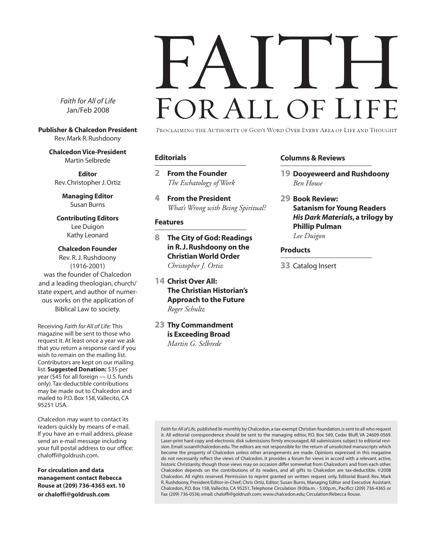# FOR ALL OF LI

*Faith for All of Life* Jan/Feb 2008

**Publisher & Chalcedon President** Rev. Mark R. Rushdoony

**Chalcedon Vice-President** Martin Selbrede

**Editor** Rev. Christopher J. Ortiz

> **Managing Editor** Susan Burns

**Contributing Editors** Lee Duigon Kathy Leonard

**Chalcedon Founder** Rev. R. J. Rushdoony (1916-2001) was the founder of Chalcedon and a leading theologian, church/ state expert, and author of numerous works on the application of Biblical Law to society.

Receiving *Faith for All of Life:* This magazine will be sent to those who request it. At least once a year we ask that you return a response card if you wish to remain on the mailing list. Contributors are kept on our mailing list. **Suggested Donation:** \$35 per year (\$45 for all foreign — U.S. funds only). Tax-deductible contributions may be made out to Chalcedon and mailed to P.O. Box 158, Vallecito, CA 95251 USA.

Chalcedon may want to contact its readers quickly by means of e-mail. If you have an e-mail address, please send an e-mail message including your full postal address to our office: chaloffi@goldrush.com.

**For circulation and data management contact Rebecca Rouse at (209) 736-4365 ext. 10 or chaloffi@goldrush.com**

PROCLAIMING THE AUTHORITY OF GOD'S WORD OVER EVERY AREA OF LIFE AND THOUGHT

#### **Editorials**

**2 From the Founder** *The Eschatology of Work*

**4 From the President** *What's Wrong with Being Spiritual?*

#### **Features**

- **8 The City of God: Readings in R. J. Rushdoony on the Christian World Order** *Christopher J. Ortiz*
- **14 Christ Over All: The Christian Historian's Approach to the Future** *Roger Schultz*
- **23 Thy Commandment is Exceeding Broad** *Martin G. Selbrede*

#### **Columns & Reviews**

- **19 Dooyeweerd and Rushdoony** *Ben House*
- **29 Book Review: Satanism for Young Readers** *His Dark Materials***, a trilogy by Phillip Pulman** *Lee Duigon*

#### **Products**

**33** Catalog Insert

*Faith for All of Life,* published bi-monthly by Chalcedon, a tax-exempt Christian foundation, is sent to all who request it. All editorial correspondence should be sent to the managing editor, P.O. Box 569, Cedar Bluff, VA 24609-0569. Laser-print hard copy and electronic disk submissions firmly encouraged. All submissions subject to editorial revision. Email: susan@chalcedon.edu. The editors are not responsible for the return of unsolicited manuscripts which become the property of Chalcedon unless other arrangements are made. Opinions expressed in this magazine do not necessarily reflect the views of Chalcedon. It provides a forum for views in accord with a relevant, active, historic Christianity, though those views may on occasion differ somewhat from Chalcedon's and from each other. Chalcedon depends on the contributions of its readers, and all gifts to Chalcedon are tax-deductible. ©2008 Chalcedon. All rights reserved. Permission to reprint granted on written request only. Editorial Board: Rev. Mark R. Rushdoony, President/Editor-in-Chief; Chris Ortiz, Editor; Susan Burns, Managing Editor and Executive Assistant. Chalcedon, P.O. Box 158, Vallecito, CA 95251, Telephone Circulation (9:00a.m. - 5:00p.m., Pacific): (209) 736-4365 or Fax (209) 736-0536; email: chaloffi@goldrush.com; www.chalcedon.edu; Circulation:Rebecca Rouse.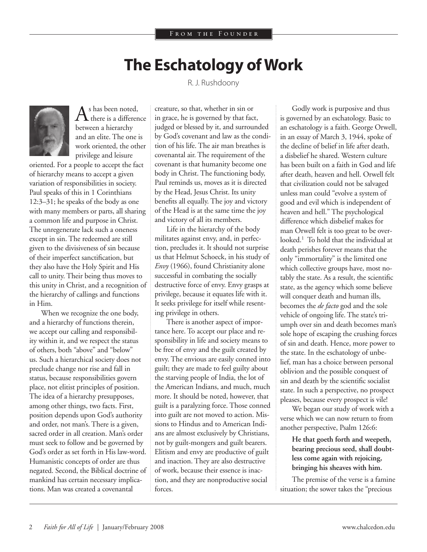## **The Eschatology of Work**

R. J. Rushdoony



 $A<sup>s</sup>$  has been noted,<br>there is a difference between a hierarchy and an elite. The one is work oriented, the other privilege and leisure

oriented. For a people to accept the fact of hierarchy means to accept a given variation of responsibilities in society. Paul speaks of this in 1 Corinthians 12:3–31; he speaks of the body as one with many members or parts, all sharing a common life and purpose in Christ. The unregenerate lack such a oneness except in sin. The redeemed are still given to the divisiveness of sin because of their imperfect sanctification, but they also have the Holy Spirit and His call to unity. Their being thus moves to this unity in Christ, and a recognition of the hierarchy of callings and functions in Him.

When we recognize the one body, and a hierarchy of functions therein, we accept our calling and responsibility within it, and we respect the status of others, both "above" and "below" us. Such a hierarchical society does not preclude change nor rise and fall in status, because responsibilities govern place, not elitist principles of position. The idea of a hierarchy presupposes, among other things, two facts. First, position depends upon God's authority and order, not man's. There is a given, sacred order in all creation. Man's order must seek to follow and be governed by God's order as set forth in His law-word. Humanistic concepts of order are thus negated. Second, the Biblical doctrine of mankind has certain necessary implications. Man was created a covenantal

creature, so that, whether in sin or in grace, he is governed by that fact, judged or blessed by it, and surrounded by God's covenant and law as the condition of his life. The air man breathes is covenantal air. The requirement of the covenant is that humanity become one body in Christ. The functioning body, Paul reminds us, moves as it is directed by the Head, Jesus Christ. Its unity benefits all equally. The joy and victory of the Head is at the same time the joy and victory of all its members.

Life in the hierarchy of the body militates against envy, and, in perfection, precludes it. It should not surprise us that Helmut Schoeck, in his study of *Envy* (1966), found Christianity alone successful in combating the socially destructive force of envy. Envy grasps at privilege, because it equates life with it. It seeks privilege for itself while resenting privilege in others.

There is another aspect of importance here. To accept our place and responsibility in life and society means to be free of envy and the guilt created by envy. The envious are easily conned into guilt; they are made to feel guilty about the starving people of India, the lot of the American Indians, and much, much more. It should be noted, however, that guilt is a paralyzing force. Those conned into guilt are not moved to action. Missions to Hindus and to American Indians are almost exclusively by Christians, not by guilt-mongers and guilt bearers. Elitism and envy are productive of guilt and inaction. They are also destructive of work, because their essence is inaction, and they are nonproductive social forces.

Godly work is purposive and thus is governed by an eschatology. Basic to an eschatology is a faith. George Orwell, in an essay of March 3, 1944, spoke of the decline of belief in life after death, a disbelief he shared. Western culture has been built on a faith in God and life after death, heaven and hell. Orwell felt that civilization could not be salvaged unless man could "evolve a system of good and evil which is independent of heaven and hell." The psychological difference which disbelief makes for man Orwell felt is too great to be overlooked.1 To hold that the individual at death perishes forever means that the only "immortality" is the limited one which collective groups have, most notably the state. As a result, the scientific state, as the agency which some believe will conquer death and human ills, becomes the *de facto* god and the sole vehicle of ongoing life. The state's triumph over sin and death becomes man's sole hope of escaping the crushing forces of sin and death. Hence, more power to the state. In the eschatology of unbelief, man has a choice between personal oblivion and the possible conquest of sin and death by the scientific socialist state. In such a perspective, no prospect pleases, because every prospect is vile!

We began our study of work with a verse which we can now return to from another perspective, Psalm 126:6:

**He that goeth forth and weepeth, bearing precious seed, shall doubtless come again with rejoicing, bringing his sheaves with him.**

The premise of the verse is a famine situation; the sower takes the "precious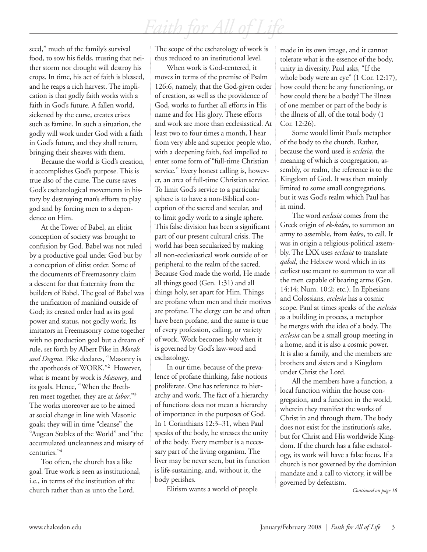seed," much of the family's survival food, to sow his fields, trusting that neither storm nor drought will destroy his crops. In time, his act of faith is blessed, and he reaps a rich harvest. The implication is that godly faith works with a faith in God's future. A fallen world, sickened by the curse, creates crises such as famine. In such a situation, the godly will work under God with a faith in God's future, and they shall return, bringing their sheaves with them.

Because the world is God's creation, it accomplishes God's purpose. This is true also of the curse. The curse saves God's eschatological movements in history by destroying man's efforts to play god and by forcing men to a dependence on Him.

At the Tower of Babel, an elitist conception of society was brought to confusion by God. Babel was not ruled by a productive goal under God but by a conception of elitist order. Some of the documents of Freemasonry claim a descent for that fraternity from the builders of Babel. The goal of Babel was the unification of mankind outside of God; its created order had as its goal power and status, not godly work. Its imitators in Freemasonry come together with no production goal but a dream of rule, set forth by Albert Pike in *Morals and Dogma*. Pike declares, "Masonry is the apotheosis of WORK."2 However, what is meant by work is *Masonry*, and its goals. Hence, "When the Brethren meet together, they are at *labor*."3 The works moreover are to be aimed at social change in line with Masonic goals; they will in time "cleanse" the "Augean Stables of the World" and "the accumulated uncleanness and misery of centuries."4

Too often, the church has a like goal. True work is seen as institutional, i.e., in terms of the institution of the church rather than as unto the Lord.

The scope of the eschatology of work is thus reduced to an institutional level.

When work is God-centered, it moves in terms of the premise of Psalm 126:6, namely, that the God-given order of creation, as well as the providence of God, works to further all efforts in His name and for His glory. These efforts and work are more than ecclesiastical. At least two to four times a month, I hear from very able and superior people who, with a deepening faith, feel impelled to enter some form of "full-time Christian service." Every honest calling is, however, an area of full-time Christian service. To limit God's service to a particular sphere is to have a non-Biblical conception of the sacred and secular, and to limit godly work to a single sphere. This false division has been a significant part of our present cultural crisis. The world has been secularized by making all non-ecclesiastical work outside of or peripheral to the realm of the sacred. Because God made the world, He made all things good (Gen. 1:31) and all things holy, set apart for Him. Things are profane when men and their motives are profane. The clergy can be and often have been profane, and the same is true of every profession, calling, or variety of work. Work becomes holy when it is governed by God's law-word and eschatology.

In our time, because of the prevalence of profane thinking, false notions proliferate. One has reference to hierarchy and work. The fact of a hierarchy of functions does not mean a hierarchy of importance in the purposes of God. In 1 Corinthians 12:3–31, when Paul speaks of the body, he stresses the unity of the body. Every member is a necessary part of the living organism. The liver may be never seen, but its function is life-sustaining, and, without it, the body perishes.

Elitism wants a world of people

made in its own image, and it cannot tolerate what is the essence of the body, unity in diversity. Paul asks, "If the whole body were an eye" (1 Cor. 12:17), how could there be any functioning, or how could there be a body? The illness of one member or part of the body is the illness of all, of the total body (1 Cor. 12:26).

Some would limit Paul's metaphor of the body to the church. Rather, because the word used is *ecclesia*, the meaning of which is congregation, assembly, or realm, the reference is to the Kingdom of God. It was then mainly limited to some small congregations, but it was God's realm which Paul has in mind.

The word *ecclesia* comes from the Greek origin of *ek-kaleo*, to summon an army to assemble, from *kaleo*, to call. It was in origin a religious-political assembly. The LXX uses *ecclesia* to translate *qabal*, the Hebrew word which in its earliest use meant to summon to war all the men capable of bearing arms (Gen. 14:14; Num. 10:2; etc.). In Ephesians and Colossians, *ecclesia* has a cosmic scope. Paul at times speaks of the *ecclesia* as a building in process, a metaphor he merges with the idea of a body. The *ecclesia* can be a small group meeting in a home, and it is also a cosmic power. It is also a family, and the members are brothers and sisters and a Kingdom under Christ the Lord.

All the members have a function, a local function within the house congregation, and a function in the world, wherein they manifest the works of Christ in and through them. The body does not exist for the institution's sake, but for Christ and His worldwide Kingdom. If the church has a false eschatology, its work will have a false focus. If a church is not governed by the dominion mandate and a call to victory, it will be governed by defeatism.

*Continued on page 18*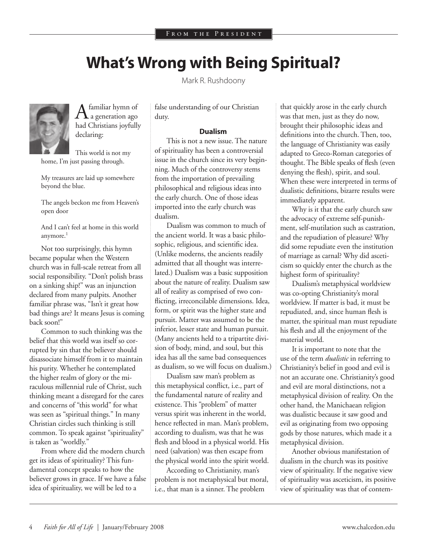## **What's Wrong with Being Spiritual?**

Mark R. Rushdoony



 $A<sub>a</sub>$  generation ago had Christians joyfully declaring:

This world is not my home, I'm just passing through.

My treasures are laid up somewhere beyond the blue.

The angels beckon me from Heaven's open door

And I can't feel at home in this world anymore.<sup>1</sup>

Not too surprisingly, this hymn became popular when the Western church was in full-scale retreat from all social responsibility. "Don't polish brass on a sinking ship!" was an injunction declared from many pulpits. Another familiar phrase was, "Isn't it great how bad things are? It means Jesus is coming back soon!"

Common to such thinking was the belief that this world was itself so corrupted by sin that the believer should disassociate himself from it to maintain his purity. Whether he contemplated the higher realm of glory or the miraculous millennial rule of Christ, such thinking meant a disregard for the cares and concerns of "this world" for what was seen as "spiritual things." In many Christian circles such thinking is still common. To speak against "spirituality" is taken as "worldly."

From where did the modern church get its ideas of spirituality? This fundamental concept speaks to how the believer grows in grace. If we have a false idea of spirituality, we will be led to a

false understanding of our Christian duty.

#### **Dualism**

This is not a new issue. The nature of spirituality has been a controversial issue in the church since its very beginning. Much of the controversy stems from the importation of prevailing philosophical and religious ideas into the early church. One of those ideas imported into the early church was dualism.

Dualism was common to much of the ancient world. It was a basic philosophic, religious, and scientific idea. (Unlike moderns, the ancients readily admitted that all thought was interrelated.) Dualism was a basic supposition about the nature of reality. Dualism saw all of reality as comprised of two conflicting, irreconcilable dimensions. Idea, form, or spirit was the higher state and pursuit. Matter was assumed to be the inferior, lesser state and human pursuit. (Many ancients held to a tripartite division of body, mind, and soul, but this idea has all the same bad consequences as dualism, so we will focus on dualism.)

Dualism saw man's problem as this metaphysical conflict, i.e., part of the fundamental nature of reality and existence. This "problem" of matter versus spirit was inherent in the world, hence reflected in man. Man's problem, according to dualism, was that he was flesh and blood in a physical world. His need (salvation) was then escape from the physical world into the spirit world.

According to Christianity, man's problem is not metaphysical but moral, i.e., that man is a sinner. The problem

that quickly arose in the early church was that men, just as they do now, brought their philosophic ideas and definitions into the church. Then, too, the language of Christianity was easily adapted to Greco-Roman categories of thought. The Bible speaks of flesh (even denying the flesh), spirit, and soul. When these were interpreted in terms of dualistic definitions, bizarre results were immediately apparent.

Why is it that the early church saw the advocacy of extreme self-punishment, self-mutilation such as castration, and the repudiation of pleasure? Why did some repudiate even the institution of marriage as carnal? Why did asceticism so quickly enter the church as the highest form of spirituality?

Dualism's metaphysical worldview was co-opting Christianity's moral worldview. If matter is bad, it must be repudiated, and, since human flesh is matter, the spiritual man must repudiate his flesh and all the enjoyment of the material world.

It is important to note that the use of the term *dualistic* in referring to Christianity's belief in good and evil is not an accurate one. Christianity's good and evil are moral distinctions, not a metaphysical division of reality. On the other hand, the Manichaean religion was dualistic because it saw good and evil as originating from two opposing gods by those natures, which made it a metaphysical division.

Another obvious manifestation of dualism in the church was its positive view of spirituality. If the negative view of spirituality was asceticism, its positive view of spirituality was that of contem-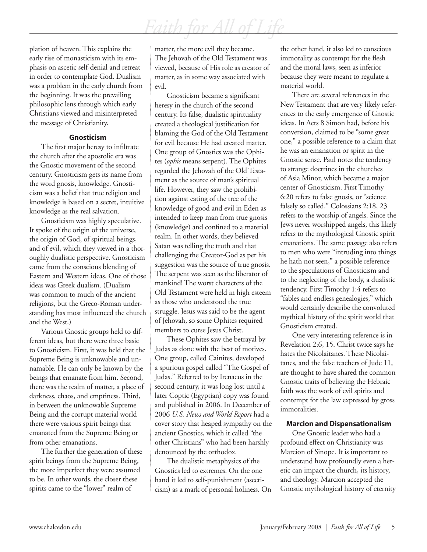plation of heaven. This explains the early rise of monasticism with its emphasis on ascetic self-denial and retreat in order to contemplate God. Dualism was a problem in the early church from the beginning. It was the prevailing philosophic lens through which early Christians viewed and misinterpreted the message of Christianity.

#### **Gnosticism**

The first major heresy to infiltrate the church after the apostolic era was the Gnostic movement of the second century. Gnosticism gets its name from the word gnosis, knowledge. Gnosticism was a belief that true religion and knowledge is based on a secret, intuitive knowledge as the real salvation.

Gnosticism was highly speculative. It spoke of the origin of the universe, the origin of God, of spiritual beings, and of evil, which they viewed in a thoroughly dualistic perspective. Gnosticism came from the conscious blending of Eastern and Western ideas. One of those ideas was Greek dualism. (Dualism was common to much of the ancient religions, but the Greco-Roman understanding has most influenced the church and the West.)

Various Gnostic groups held to different ideas, but there were three basic to Gnosticism. First, it was held that the Supreme Being is unknowable and unnamable. He can only be known by the beings that emanate from him. Second, there was the realm of matter, a place of darkness, chaos, and emptiness. Third, in between the unknowable Supreme Being and the corrupt material world there were various spirit beings that emanated from the Supreme Being or from other emanations.

The further the generation of these spirit beings from the Supreme Being, the more imperfect they were assumed to be. In other words, the closer these spirits came to the "lower" realm of

matter, the more evil they became. The Jehovah of the Old Testament was viewed, because of His role as creator of matter, as in some way associated with evil.

Gnosticism became a significant heresy in the church of the second century. Its false, dualistic spirituality created a theological justification for blaming the God of the Old Testament for evil because He had created matter. One group of Gnostics was the Ophites (*ophis* means serpent). The Ophites regarded the Jehovah of the Old Testament as the source of man's spiritual life. However, they saw the prohibition against eating of the tree of the knowledge of good and evil in Eden as intended to keep man from true gnosis (knowledge) and confined to a material realm. In other words, they believed Satan was telling the truth and that challenging the Creator-God as per his suggestion was the source of true gnosis. The serpent was seen as the liberator of mankind! The worst characters of the Old Testament were held in high esteem as those who understood the true struggle. Jesus was said to be the agent of Jehovah, so some Ophites required members to curse Jesus Christ.

These Ophites saw the betrayal by Judas as done with the best of motives. One group, called Cainites, developed a spurious gospel called "The Gospel of Judas." Referred to by Irenaeus in the second century, it was long lost until a later Coptic (Egyptian) copy was found and published in 2006. In December of 2006 *U.S. News and World Report* had a cover story that heaped sympathy on the ancient Gnostics, which it called "the other Christians" who had been harshly denounced by the orthodox.

The dualistic metaphysics of the Gnostics led to extremes. On the one hand it led to self-punishment (asceticism) as a mark of personal holiness. On the other hand, it also led to conscious immorality as contempt for the flesh and the moral laws, seen as inferior because they were meant to regulate a material world.

There are several references in the New Testament that are very likely references to the early emergence of Gnostic ideas. In Acts 8 Simon had, before his conversion, claimed to be "some great one," a possible reference to a claim that he was an emanation or spirit in the Gnostic sense. Paul notes the tendency to strange doctrines in the churches of Asia Minor, which became a major center of Gnosticism. First Timothy 6:20 refers to false gnosis, or "science falsely so called." Colossians 2:18, 23 refers to the worship of angels. Since the Jews never worshipped angels, this likely refers to the mythological Gnostic spirit emanations. The same passage also refers to men who were "intruding into things he hath not seen," a possible reference to the speculations of Gnosticism and to the neglecting of the body, a dualistic tendency. First Timothy 1:4 refers to "fables and endless genealogies," which would certainly describe the convoluted mythical history of the spirit world that Gnosticism created.

One very interesting reference is in Revelation 2:6, 15. Christ twice says he hates the Nicolaitanes. These Nicolaitanes, and the false teachers of Jude 11, are thought to have shared the common Gnostic traits of believing the Hebraic faith was the work of evil spirits and contempt for the law expressed by gross immoralities.

#### **Marcion and Dispensationalism**

One Gnostic leader who had a profound effect on Christianity was Marcion of Sinope. It is important to understand how profoundly even a heretic can impact the church, its history, and theology. Marcion accepted the Gnostic mythological history of eternity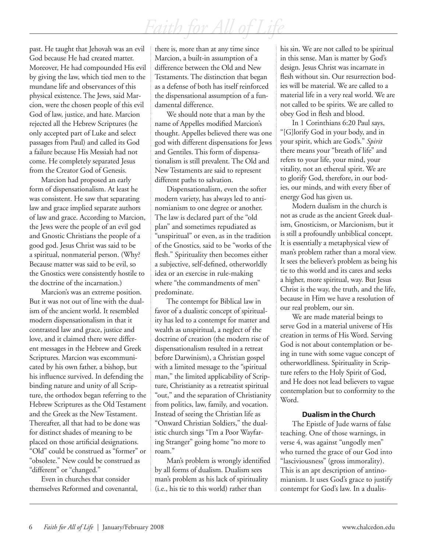past. He taught that Jehovah was an evil God because He had created matter. Moreover, He had compounded His evil by giving the law, which tied men to the mundane life and observances of this physical existence. The Jews, said Marcion, were the chosen people of this evil God of law, justice, and hate. Marcion rejected all the Hebrew Scriptures (he only accepted part of Luke and select passages from Paul) and called its God a failure because His Messiah had not come. He completely separated Jesus from the Creator God of Genesis.

Marcion had proposed an early form of dispensationalism. At least he was consistent. He saw that separating law and grace implied separate authors of law and grace. According to Marcion, the Jews were the people of an evil god and Gnostic Christians the people of a good god. Jesus Christ was said to be a spiritual, nonmaterial person. (Why? Because matter was said to be evil, so the Gnostics were consistently hostile to the doctrine of the incarnation.)

Marcion's was an extreme position. But it was not out of line with the dualism of the ancient world. It resembled modern dispensationalism in that it contrasted law and grace, justice and love, and it claimed there were different messages in the Hebrew and Greek Scriptures. Marcion was excommunicated by his own father, a bishop, but his influence survived. In defending the binding nature and unity of all Scripture, the orthodox began referring to the Hebrew Scriptures as the Old Testament and the Greek as the New Testament. Thereafter, all that had to be done was for distinct shades of meaning to be placed on those artificial designations. "Old" could be construed as "former" or "obsolete." New could be construed as "different" or "changed."

Even in churches that consider themselves Reformed and covenantal, there is, more than at any time since Marcion, a built-in assumption of a difference between the Old and New Testaments. The distinction that began as a defense of both has itself reinforced the dispensational assumption of a fundamental difference.

We should note that a man by the name of Appelles modified Marcion's thought. Appelles believed there was one god with different dispensations for Jews and Gentiles. This form of dispensationalism is still prevalent. The Old and New Testaments are said to represent different paths to salvation.

Dispensationalism, even the softer modern variety, has always led to antinomianism to one degree or another. The law is declared part of the "old plan" and sometimes repudiated as "unspiritual" or even, as in the tradition of the Gnostics, said to be "works of the flesh." Spirituality then becomes either a subjective, self-defined, otherworldly idea or an exercise in rule-making where "the commandments of men" predominate.

The contempt for Biblical law in favor of a dualistic concept of spirituality has led to a contempt for matter and wealth as unspiritual, a neglect of the doctrine of creation (the modern rise of dispensationalism resulted in a retreat before Darwinism), a Christian gospel with a limited message to the "spiritual man," the limited applicability of Scripture, Christianity as a retreatist spiritual "out," and the separation of Christianity from politics, law, family, and vocation. Instead of seeing the Christian life as "Onward Christian Soldiers," the dualistic church sings "I'm a Poor Wayfaring Stranger" going home "no more to roam."

Man's problem is wrongly identified by all forms of dualism. Dualism sees man's problem as his lack of spirituality (i.e., his tie to this world) rather than

his sin. We are not called to be spiritual in this sense. Man is matter by God's design. Jesus Christ was incarnate in flesh without sin. Our resurrection bodies will be material. We are called to a material life in a very real world. We are not called to be spirits. We are called to obey God in flesh and blood.

In 1 Corinthians 6:20 Paul says, "[G]lorify God in your body, and in your spirit, which are God's." *Spirit*  there means your "breath of life" and refers to your life, your mind, your vitality, not an ethereal spirit. We are to glorify God, therefore, in our bodies, our minds, and with every fiber of energy God has given us.

Modern dualism in the church is not as crude as the ancient Greek dualism, Gnosticism, or Marcionism, but it is still a profoundly unbiblical concept. It is essentially a metaphysical view of man's problem rather than a moral view. It sees the believer's problem as being his tie to this world and its cares and seeks a higher, more spiritual, way. But Jesus Christ is the way, the truth, and the life, because in Him we have a resolution of our real problem, our sin.

We are made material beings to serve God in a material universe of His creation in terms of His Word. Serving God is not about contemplation or being in tune with some vague concept of otherworldliness. Spirituality in Scripture refers to the Holy Spirit of God, and He does not lead believers to vague contemplation but to conformity to the Word.

#### **Dualism in the Church**

The Epistle of Jude warns of false teaching. One of those warnings, in verse 4, was against "ungodly men" who turned the grace of our God into "lasciviousness" (gross immorality). This is an apt description of antinomianism. It uses God's grace to justify contempt for God's law. In a dualis-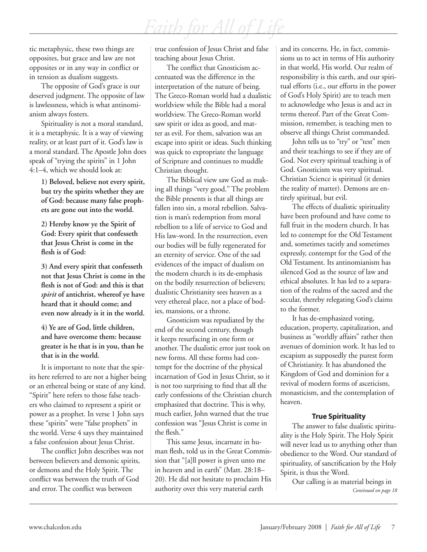tic metaphysic, these two things are opposites, but grace and law are not opposites or in any way in conflict or in tension as dualism suggests.

The opposite of God's grace is our deserved judgment. The opposite of law is lawlessness, which is what antinomianism always fosters.

Spirituality is not a moral standard, it is a metaphysic. It is a way of viewing reality, or at least part of it. God's law is a moral standard. The Apostle John does speak of "trying the spirits" in 1 John 4:1–4, which we should look at:

> **1) Beloved, believe not every spirit, but try the spirits whether they are of God: because many false prophets are gone out into the world.**

**2) Hereby know ye the Spirit of God: Every spirit that confesseth that Jesus Christ is come in the flesh is of God:**

**3) And every spirit that confesseth not that Jesus Christ is come in the flesh is not of God: and this is that**  *spirit* **of antichrist, whereof ye have heard that it should come; and even now already is it in the world.**

**4) Ye are of God, little children, and have overcome them: because greater is he that is in you, than he that is in the world.**

It is important to note that the spirits here referred to are not a higher being or an ethereal being or state of any kind. "Spirit" here refers to those false teachers who claimed to represent a spirit or power as a prophet. In verse 1 John says these "spirits" were "false prophets" in the world. Verse 4 says they maintained a false confession about Jesus Christ.

The conflict John describes was not between believers and demonic spirits, or demons and the Holy Spirit. The conflict was between the truth of God and error. The conflict was between

true confession of Jesus Christ and false teaching about Jesus Christ.

The conflict that Gnosticism accentuated was the difference in the interpretation of the nature of being. The Greco-Roman world had a dualistic worldview while the Bible had a moral worldview. The Greco-Roman world saw spirit or idea as good, and matter as evil. For them, salvation was an escape into spirit or ideas. Such thinking was quick to expropriate the language of Scripture and continues to muddle Christian thought.

The Biblical view saw God as making all things "very good." The problem the Bible presents is that all things are fallen into sin, a moral rebellion. Salvation is man's redemption from moral rebellion to a life of service to God and His law-word. In the resurrection, even our bodies will be fully regenerated for an eternity of service. One of the sad evidences of the impact of dualism on the modern church is its de-emphasis on the bodily resurrection of believers; dualistic Christianity sees heaven as a very ethereal place, not a place of bodies, mansions, or a throne.

Gnosticism was repudiated by the end of the second century, though it keeps resurfacing in one form or another. The dualistic error just took on new forms. All these forms had contempt for the doctrine of the physical incarnation of God in Jesus Christ, so it is not too surprising to find that all the early confessions of the Christian church emphasized that doctrine. This is why, much earlier, John warned that the true confession was "Jesus Christ is come in the flesh."

This same Jesus, incarnate in human flesh, told us in the Great Commission that "[a]ll power is given unto me in heaven and in earth" (Matt. 28:18– 20). He did not hesitate to proclaim His authority over this very material earth

and its concerns. He, in fact, commissions us to act in terms of His authority in that world, His world. Our realm of responsibility is this earth, and our spiritual efforts (i.e., our efforts in the power of God's Holy Spirit) are to teach men to acknowledge who Jesus is and act in terms thereof. Part of the Great Commission, remember, is teaching men to observe all things Christ commanded.

John tells us to "try" or "test" men and their teachings to see if they are of God. Not every spiritual teaching is of God. Gnosticism was very spiritual. Christian Science is spiritual (it denies the reality of matter). Demons are entirely spiritual, but evil.

The effects of dualistic spirituality have been profound and have come to full fruit in the modern church. It has led to contempt for the Old Testament and, sometimes tacitly and sometimes expressly, contempt for the God of the Old Testament. Its antinomianism has silenced God as the source of law and ethical absolutes. It has led to a separation of the realms of the sacred and the secular, thereby relegating God's claims to the former.

It has de-emphasized voting, education, property, capitalization, and business as "worldly affairs" rather then avenues of dominion work. It has led to escapism as supposedly the purest form of Christianity. It has abandoned the Kingdom of God and dominion for a revival of modern forms of asceticism, monasticism, and the contemplation of heaven.

#### **True Spirituality**

The answer to false dualistic spirituality is the Holy Spirit. The Holy Spirit will never lead us to anything other than obedience to the Word. Our standard of spirituality, of sanctification by the Holy Spirit, is thus the Word.

Our calling is as material beings in *Continued on page 18*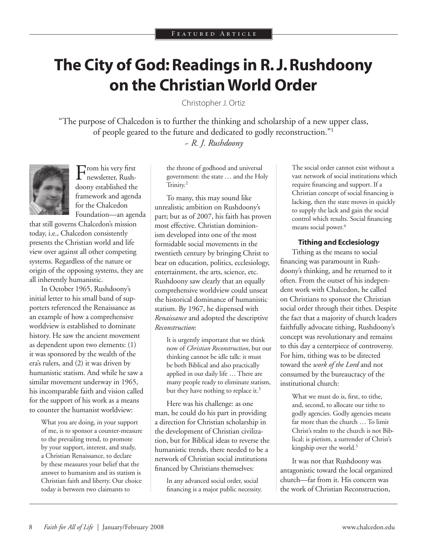# **The City of God: Readings in R. J. Rushdoony on the Christian World Order**

Christopher J. Ortiz

"The purpose of Chalcedon is to further the thinking and scholarship of a new upper class, of people geared to the future and dedicated to godly reconstruction."1 *~ R. J. Rushdoony*



From his very first newsletter, Rushdoony established the framework and agenda for the Chalcedon Foundation—an agenda

that still governs Chalcedon's mission today, i.e., Chalcedon consistently presents the Christian world and life view over against all other competing systems. Regardless of the nature or origin of the opposing systems, they are all inherently humanistic.

In October 1965, Rushdoony's initial letter to his small band of supporters referenced the Renaissance as an example of how a comprehensive worldview is established to dominate history. He saw the ancient movement as dependent upon two elements: (1) it was sponsored by the wealth of the era's rulers, and (2) it was driven by humanistic statism. And while he saw a similar movement underway in 1965, his incomparable faith and vision called for the support of his work as a means to counter the humanist worldview:

What you are doing, in your support of me, is to sponsor a counter-measure to the prevailing trend, to promote by your support, interest, and study, a Christian Renaissance, to declare by these measures your belief that the answer to humanism and its statism is Christian faith and liberty. Our choice today is between two claimants to

the throne of godhood and universal government: the state … and the Holy Trinity.<sup>2</sup>

To many, this may sound like unrealistic ambition on Rushdoony's part; but as of 2007, his faith has proven most effective. Christian dominionism developed into one of the most formidable social movements in the twentieth century by bringing Christ to bear on education, politics, ecclesiology, entertainment, the arts, science, etc. Rushdoony saw clearly that an equally comprehensive worldview could unseat the historical dominance of humanistic statism. By 1967, he dispensed with *Renaissance* and adopted the descriptive *Reconstruction*:

It is urgently important that we think now of *Christian Reconstruction*, but our thinking cannot be idle talk: it must be both Biblical and also practically applied in our daily life … There are many people ready to eliminate statism, but they have nothing to replace it.<sup>3</sup>

Here was his challenge: as one man, he could do his part in providing a direction for Christian scholarship in the development of Christian civilization, but for Biblical ideas to reverse the humanistic trends, there needed to be a network of Christian social institutions financed by Christians themselves:

In any advanced social order, social financing is a major public necessity. The social order cannot exist without a vast network of social institutions which require financing and support. If a Christian concept of social financing is lacking, then the state moves in quickly to supply the lack and gain the social control which results. Social financing means social power.<sup>4</sup>

#### **Tithing and Ecclesiology**

Tithing as the means to social financing was paramount in Rushdoony's thinking, and he returned to it often. From the outset of his independent work with Chalcedon, he called on Christians to sponsor the Christian social order through their tithes. Despite the fact that a majority of church leaders faithfully advocate tithing, Rushdoony's concept was revolutionary and remains to this day a centerpiece of controversy. For him, tithing was to be directed toward the *work of the Lord* and not consumed by the bureaucracy of the institutional church:

What we must do is, first, to tithe, and, second, to allocate our tithe to godly agencies. Godly agencies means far more than the church … To limit Christ's realm to the church is not Biblical; is pietism, a surrender of Christ's kingship over the world.<sup>5</sup>

It was not that Rushdoony was antagonistic toward the local organized church—far from it. His concern was the work of Christian Reconstruction,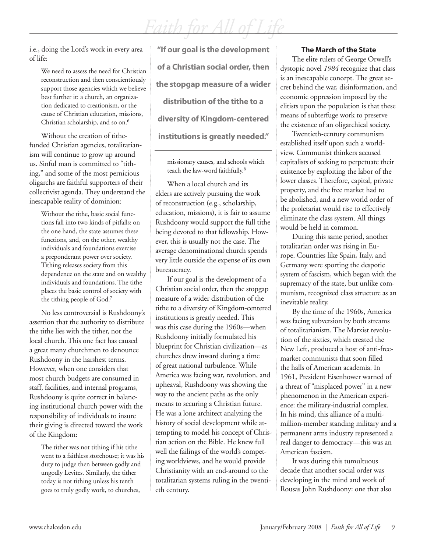i.e., doing the Lord's work in every area of life:

> We need to assess the need for Christian reconstruction and then conscientiously support those agencies which we believe best further it: a church, an organization dedicated to creationism, or the cause of Christian education, missions, Christian scholarship, and so on.<sup>6</sup>

Without the creation of tithefunded Christian agencies, totalitarianism will continue to grow up around us. Sinful man is committed to "tithing," and some of the most pernicious oligarchs are faithful supporters of their collectivist agenda. They understand the inescapable reality of dominion:

Without the tithe, basic social functions fall into two kinds of pitfalls: on the one hand, the state assumes these functions, and, on the other, wealthy individuals and foundations exercise a preponderant power over society. Tithing releases society from this dependence on the state and on wealthy individuals and foundations. The tithe places the basic control of society with the tithing people of God.7

No less controversial is Rushdoony's assertion that the authority to distribute the tithe lies with the tither, not the local church. This one fact has caused a great many churchmen to denounce Rushdoony in the harshest terms. However, when one considers that most church budgets are consumed in staff, facilities, and internal programs, Rushdoony is quite correct in balancing institutional church power with the responsibility of individuals to insure their giving is directed toward the work of the Kingdom:

The tither was not tithing if his tithe went to a faithless storehouse; it was his duty to judge then between godly and ungodly Levites. Similarly, the tither today is not tithing unless his tenth goes to truly godly work, to churches,

**"If our goal is the development of a Christian social order, then the stopgap measure of a wider distribution of the tithe to a diversity of Kingdom-centered institutions is greatly needed."**

missionary causes, and schools which teach the law-word faithfully.<sup>8</sup>

When a local church and its elders are actively pursuing the work of reconstruction (e.g., scholarship, education, missions), it is fair to assume Rushdoony would support the full tithe being devoted to that fellowship. However, this is usually not the case. The average denominational church spends very little outside the expense of its own bureaucracy.

If our goal is the development of a Christian social order, then the stopgap measure of a wider distribution of the tithe to a diversity of Kingdom-centered institutions is greatly needed. This was this case during the 1960s—when Rushdoony initially formulated his blueprint for Christian civilization—as churches drew inward during a time of great national turbulence. While America was facing war, revolution, and upheaval, Rushdoony was showing the way to the ancient paths as the only means to securing a Christian future. He was a lone architect analyzing the history of social development while attempting to model his concept of Christian action on the Bible. He knew full well the failings of the world's competing worldviews, and he would provide Christianity with an end-around to the totalitarian systems ruling in the twentieth century.

#### **The March of the State**

The elite rulers of George Orwell's dystopic novel *1984* recognize that class is an inescapable concept. The great secret behind the war, disinformation, and economic oppression imposed by the elitists upon the population is that these means of subterfuge work to preserve the existence of an oligarchical society.

Twentieth-century communism established itself upon such a worldview. Communist thinkers accused capitalists of seeking to perpetuate their existence by exploiting the labor of the lower classes. Therefore, capital, private property, and the free market had to be abolished, and a new world order of the proletariat would rise to effectively eliminate the class system. All things would be held in common.

During this same period, another totalitarian order was rising in Europe. Countries like Spain, Italy, and Germany were sporting the despotic system of fascism, which began with the supremacy of the state, but unlike communism, recognized class structure as an inevitable reality.

By the time of the 1960s, America was facing subversion by both streams of totalitarianism. The Marxist revolution of the sixties, which created the New Left, produced a host of anti-freemarket communists that soon filled the halls of American academia. In 1961, President Eisenhower warned of a threat of "misplaced power" in a new phenomenon in the American experience: the military-industrial complex. In his mind, this alliance of a multimillion-member standing military and a permanent arms industry represented a real danger to democracy—this was an American fascism.

It was during this tumultuous decade that another social order was developing in the mind and work of Rousas John Rushdoony: one that also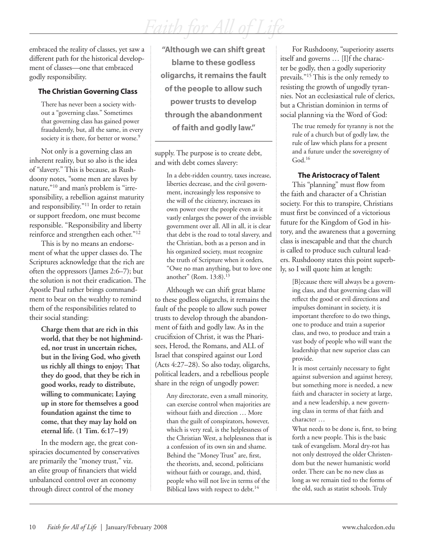embraced the reality of classes, yet saw a different path for the historical development of classes—one that embraced godly responsibility.

#### **The Christian Governing Class**

There has never been a society without a "governing class." Sometimes that governing class has gained power fraudulently, but, all the same, in every society it is there, for better or worse.<sup>9</sup>

Not only is a governing class an inherent reality, but so also is the idea of "slavery." This is because, as Rushdoony notes, "some men are slaves by nature,"10 and man's problem is "irresponsibility, a rebellion against maturity and responsibility."11 In order to retain or support freedom, one must become responsible. "Responsibility and liberty reinforce and strengthen each other."12

This is by no means an endorsement of what the upper classes do. The Scriptures acknowledge that the rich are often the oppressors (James 2:6–7); but the solution is not their eradication. The Apostle Paul rather brings commandment to bear on the wealthy to remind them of the responsibilities related to their social standing:

**Charge them that are rich in this world, that they be not highminded, nor trust in uncertain riches, but in the living God, who giveth us richly all things to enjoy; That they do good, that they be rich in good works, ready to distribute, willing to communicate; Laying up in store for themselves a good foundation against the time to come, that they may lay hold on eternal life. (1 Tim. 6:17–19)**

In the modern age, the great conspiracies documented by conservatives are primarily the "money trust," viz. an elite group of financiers that wield unbalanced control over an economy through direct control of the money

**"Although we can shift great blame to these godless oligarchs, it remains the fault of the people to allow such power trusts to develop through the abandonment of faith and godly law."**

supply. The purpose is to create debt, and with debt comes slavery:

In a debt-ridden country, taxes increase, liberties decrease, and the civil government, increasingly less responsive to the will of the citizenry, increases its own power over the people even as it vastly enlarges the power of the invisible government over all. All in all, it is clear that debt is the road to total slavery, and the Christian, both as a person and in his organized society, must recognize the truth of Scripture when it orders, "Owe no man anything, but to love one another" (Rom. 13:8).13

Although we can shift great blame to these godless oligarchs, it remains the fault of the people to allow such power trusts to develop through the abandonment of faith and godly law. As in the crucifixion of Christ, it was the Pharisees, Herod, the Romans, and ALL of Israel that conspired against our Lord (Acts 4:27–28). So also today, oligarchs, political leaders, and a rebellious people share in the reign of ungodly power:

Any directorate, even a small minority, can exercise control when majorities are without faith and direction … More than the guilt of conspirators, however, which is very real, is the helplessness of the Christian West, a helplessness that is a confession of its own sin and shame. Behind the "Money Trust" are, first, the theorists, and, second, politicians without faith or courage, and, third, people who will not live in terms of the Biblical laws with respect to debt.<sup>14</sup>

For Rushdoony, "superiority asserts itself and governs … [I]f the character be godly, then a godly superiority prevails."15 This is the only remedy to resisting the growth of ungodly tyrannies. Not an ecclesiastical rule of clerics, but a Christian dominion in terms of social planning via the Word of God:

The true remedy for tyranny is not the rule of a church but of godly law, the rule of law which plans for a present and a future under the sovereignty of  $God.<sup>16</sup>$ 

#### **The Aristocracy of Talent**

This "planning" must flow from the faith and character of a Christian society. For this to transpire, Christians must first be convinced of a victorious future for the Kingdom of God in history, and the awareness that a governing class is inescapable and that the church is called to produce such cultural leaders. Rushdoony states this point superbly, so I will quote him at length:

[B]ecause there will always be a governing class, and that governing class will reflect the good or evil directions and impulses dominant in society, it is important therefore to do two things, one to produce and train a superior class, and two, to produce and train a vast body of people who will want the leadership that new superior class can provide.

It is most certainly necessary to fight against subversion and against heresy, but something more is needed, a new faith and character in society at large, and a new leadership, a new governing class in terms of that faith and character …

What needs to be done is, first, to bring forth a new people. This is the basic task of evangelism. Moral dry-rot has not only destroyed the older Christendom but the newer humanistic world order. There can be no new class as long as we remain tied to the forms of the old, such as statist schools. Truly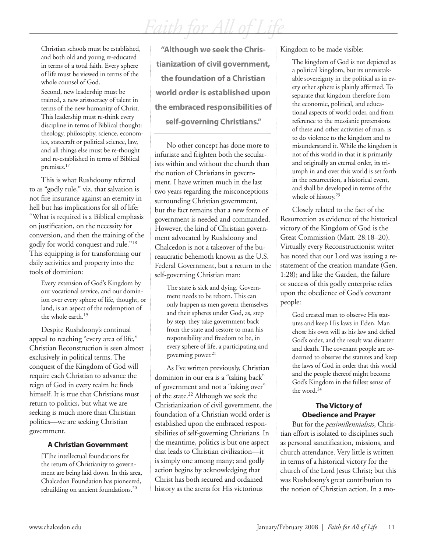Christian schools must be established, and both old and young re-educated in terms of a total faith. Every sphere of life must be viewed in terms of the whole counsel of God. Second, new leadership must be trained, a new aristocracy of talent in terms of the new humanity of Christ. This leadership must re-think every discipline in terms of Biblical thought: theology, philosophy, science, economics, statecraft or political science, law, and all things else must be re-thought and re-established in terms of Biblical premises.17

This is what Rushdoony referred to as "godly rule," viz. that salvation is not fire insurance against an eternity in hell but has implications for all of life: "What is required is a Biblical emphasis on justification, on the necessity for conversion, and then the training of the godly for world conquest and rule."18 This equipping is for transforming our daily activities and property into the tools of dominion:

> Every extension of God's Kingdom by our vocational service, and our dominion over every sphere of life, thought, or land, is an aspect of the redemption of the whole earth.19

Despite Rushdoony's continual appeal to reaching "every area of life," Christian Reconstruction is seen almost exclusively in political terms. The conquest of the Kingdom of God will require each Christian to advance the reign of God in every realm he finds himself. It is true that Christians must return to politics, but what we are seeking is much more than Christian politics—we are seeking Christian government.

#### **A Christian Government**

[T]he intellectual foundations for the return of Christianity to government are being laid down. In this area, Chalcedon Foundation has pioneered, rebuilding on ancient foundations.<sup>20</sup>

**"Although we seek the Christianization of civil government, the foundation of a Christian world order is established upon the embraced responsibilities of self-governing Christians."**

No other concept has done more to infuriate and frighten both the secularists within and without the church than the notion of Christians in government. I have written much in the last two years regarding the misconceptions surrounding Christian government, but the fact remains that a new form of government is needed and commanded. However, the kind of Christian government advocated by Rushdoony and Chalcedon is not a takeover of the bureaucratic behemoth known as the U.S. Federal Government, but a return to the self-governing Christian man:

The state is sick and dying. Government needs to be reborn. This can only happen as men govern themselves and their spheres under God, as, step by step, they take government back from the state and restore to man his responsibility and freedom to be, in every sphere of life, a participating and governing power.<sup>21</sup>

As I've written previously, Christian dominion in our era is a "taking back" of government and not a "taking over" of the state.<sup>22</sup> Although we seek the Christianization of civil government, the foundation of a Christian world order is established upon the embraced responsibilities of self-governing Christians. In the meantime, politics is but one aspect that leads to Christian civilization—it is simply one among many; and godly action begins by acknowledging that Christ has both secured and ordained history as the arena for His victorious

Kingdom to be made visible:

The kingdom of God is not depicted as a political kingdom, but its unmistakable sovereignty in the political as in every other sphere is plainly affirmed. To separate that kingdom therefore from the economic, political, and educational aspects of world order, and from reference to the messianic pretensions of these and other activities of man, is to do violence to the kingdom and to misunderstand it. While the kingdom is not of this world in that it is primarily and originally an eternal order, its triumph in and over this world is set forth in the resurrection, a historical event, and shall be developed in terms of the whole of history.<sup>23</sup>

Closely related to the fact of the Resurrection as evidence of the historical victory of the Kingdom of God is the Great Commission (Matt. 28:18–20). Virtually every Reconstructionist writer has noted that our Lord was issuing a restatement of the creation mandate (Gen. 1:28); and like the Garden, the failure or success of this godly enterprise relies upon the obedience of God's covenant people:

God created man to observe His statutes and keep His laws in Eden. Man chose his own will as his law and defied God's order, and the result was disaster and death. The covenant people are redeemed to observe the statutes and keep the laws of God in order that this world and the people thereof might become God's Kingdom in the fullest sense of the word.24

#### **The Victory of Obedience and Prayer**

But for the *pessimillennialists*, Christian effort is isolated to disciplines such as personal sanctification, missions, and church attendance. Very little is written in terms of a historical victory for the church of the Lord Jesus Christ; but this was Rushdoony's great contribution to the notion of Christian action. In a mo-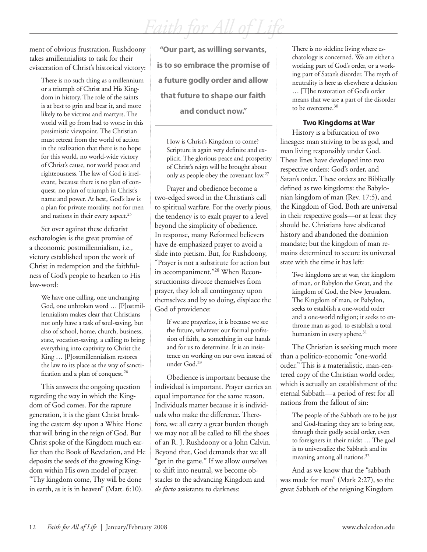*Faith for All of Life*

ment of obvious frustration, Rushdoony takes amillennialists to task for their evisceration of Christ's historical victory:

There is no such thing as a millennium or a triumph of Christ and His Kingdom in history. The role of the saints is at best to grin and bear it, and more likely to be victims and martyrs. The world will go from bad to worse in this pessimistic viewpoint. The Christian must retreat from the world of action in the realization that there is no hope for this world, no world-wide victory of Christ's cause, nor world peace and righteousness. The law of God is irrelevant, because there is no plan of conquest, no plan of triumph in Christ's name and power. At best, God's law is a plan for private morality, not for men and nations in their every aspect.<sup>25</sup>

Set over against these defeatist eschatologies is the great promise of a theonomic postmillennialism, i.e., victory established upon the work of Christ in redemption and the faithfulness of God's people to hearken to His law-word:

> We have one calling, one unchanging God, one unbroken word … [P]ostmillennialism makes clear that Christians not only have a task of soul-saving, but also of school, home, church, business, state, vocation-saving, a calling to bring everything into captivity to Christ the King … [P]ostmillennialism restores the law to its place as the way of sanctification and a plan of conquest.<sup>26</sup>

This answers the ongoing question regarding the way in which the Kingdom of God comes. For the rapture generation, it is the giant Christ breaking the eastern sky upon a White Horse that will bring in the reign of God. But Christ spoke of the Kingdom much earlier than the Book of Revelation, and He deposits the seeds of the growing Kingdom within His own model of prayer: "Thy kingdom come, Thy will be done in earth, as it is in heaven" (Matt. 6:10).

**"Our part, as willing servants, is to so embrace the promise of a future godly order and allow that future to shape our faith and conduct now."**

How is Christ's Kingdom to come? Scripture is again very definite and explicit. The glorious peace and prosperity of Christ's reign will be brought about only as people obey the covenant law.27

Prayer and obedience become a two-edged sword in the Christian's call to spiritual warfare. For the overly pious, the tendency is to exalt prayer to a level beyond the simplicity of obedience. In response, many Reformed believers have de-emphasized prayer to avoid a slide into pietism. But, for Rushdoony, "Prayer is not a substitute for action but its accompaniment."28 When Reconstructionists divorce themselves from prayer, they lob all contingency upon themselves and by so doing, displace the God of providence:

If we are prayerless, it is because we see the future, whatever our formal profession of faith, as something in our hands and for us to determine. It is an insistence on working on our own instead of under God.29

Obedience is important because the individual is important. Prayer carries an equal importance for the same reason. Individuals matter because it is individuals who make the difference. Therefore, we all carry a great burden though we may not all be called to fill the shoes of an R. J. Rushdoony or a John Calvin. Beyond that, God demands that we all "get in the game." If we allow ourselves to shift into neutral, we become obstacles to the advancing Kingdom and *de facto* assistants to darkness:

There is no sideline living where eschatology is concerned. We are either a working part of God's order, or a working part of Satan's disorder. The myth of neutrality is here as elsewhere a delusion

… [T]he restoration of God's order means that we are a part of the disorder to be overcome.<sup>30</sup>

#### **Two Kingdoms at War**

History is a bifurcation of two lineages: man striving to be as god, and man living responsibly under God. These lines have developed into two respective orders: God's order, and Satan's order. These orders are Biblically defined as two kingdoms: the Babylonian kingdom of man (Rev. 17:5), and the Kingdom of God. Both are universal in their respective goals—or at least they should be. Christians have abdicated history and abandoned the dominion mandate; but the kingdom of man remains determined to secure its universal state with the time it has left:

Two kingdoms are at war, the kingdom of man, or Babylon the Great, and the kingdom of God, the New Jerusalem. The Kingdom of man, or Babylon, seeks to establish a one-world order and a one-world religion; it seeks to enthrone man as god, to establish a total humanism in every sphere.<sup>31</sup>

The Christian is seeking much more than a politico-economic "one-world order." This is a materialistic, man-centered copy of the Christian world order, which is actually an establishment of the eternal Sabbath—a period of rest for all nations from the fallout of sin:

The people of the Sabbath are to be just and God-fearing; they are to bring rest, through their godly social order, even to foreigners in their midst … The goal is to universalize the Sabbath and its meaning among all nations.<sup>32</sup>

And as we know that the "sabbath was made for man" (Mark 2:27), so the great Sabbath of the reigning Kingdom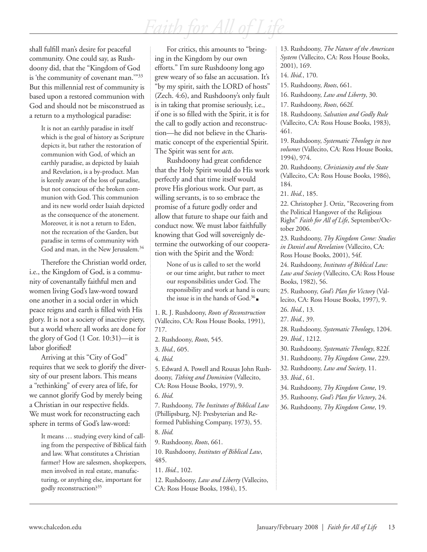shall fulfill man's desire for peaceful community. One could say, as Rushdoony did, that the "Kingdom of God is 'the community of covenant man.'"33 But this millennial rest of community is based upon a restored communion with God and should not be misconstrued as a return to a mythological paradise:

> It is not an earthly paradise in itself which is the goal of history as Scripture depicts it, but rather the restoration of communion with God, of which an earthly paradise, as depicted by Isaiah and Revelation, is a by-product. Man is keenly aware of the loss of paradise, but not conscious of the broken communion with God. This communion and its new world order Isaiah depicted as the consequence of the atonement. Moreover, it is not a return to Eden, not the recreation of the Garden, but paradise in terms of community with God and man, in the New Jerusalem.<sup>34</sup>

Therefore the Christian world order, i.e., the Kingdom of God, is a community of covenantally faithful men and women living God's law-word toward one another in a social order in which peace reigns and earth is filled with His glory. It is not a society of inactive piety, but a world where all works are done for the glory of God (1 Cor. 10:31)—it is labor glorified!

Arriving at this "City of God" requires that we seek to glorify the diversity of our present labors. This means a "rethinking" of every area of life, for we cannot glorify God by merely being a Christian in our respective fields. We must work for reconstructing each sphere in terms of God's law-word:

It means … studying every kind of calling from the perspective of Biblical faith and law. What constitutes a Christian farmer? How are salesmen, shopkeepers, men involved in real estate, manufacturing, or anything else, important for godly reconstruction?35

For critics, this amounts to "bringing in the Kingdom by our own efforts." I'm sure Rushdoony long ago grew weary of so false an accusation. It's "by my spirit, saith the LORD of hosts" (Zech. 4:6), and Rushdoony's only fault is in taking that promise seriously, i.e., if one is so filled with the Spirit, it is for the call to godly action and reconstruction—he did not believe in the Charismatic concept of the experiential Spirit. The Spirit was sent for *acts*.

Rushdoony had great confidence that the Holy Spirit would do His work perfectly and that time itself would prove His glorious work. Our part, as willing servants, is to so embrace the promise of a future godly order and allow that future to shape our faith and conduct now. We must labor faithfully knowing that God will sovereignly determine the outworking of our cooperation with the Spirit and the Word:

None of us is called to set the world or our time aright, but rather to meet our responsibilities under God. The responsibility and work at hand is ours; the issue is in the hands of God.36

1. R. J. Rushdoony, *Roots of Reconstruction* (Vallecito, CA: Ross House Books, 1991), 717.

2. Rushdoony, *Roots*, 545.

3. *Ibid.,* 605.

4. *Ibid.*

5. Edward A. Powell and Rousas John Rushdoony, *Tithing and Dominion* (Vallecito, CA: Ross House Books, 1979), 9.

7. Rushdoony, *The Institutes of Biblical Law* (Phillipsburg, NJ: Presbyterian and Reformed Publishing Company, 1973), 55.

8. *Ibid.*

9. Rushdoony, *Roots*, 661.

10. Rushdoony, *Institutes of Biblical Law*, 485.

11. *Ibid.*, 102.

12. Rushdoony, *Law and Liberty* (Vallecito, CA: Ross House Books, 1984), 15.

13. Rushdoony, *The Nature of the American System* (Vallecito, CA: Ross House Books, 2001), 169.

#### 14. *Ibid.*, 170.

15. Rushdoony, *Roots*, 661.

16. Rushdoony, *Law and Liberty*, 30.

17. Rushdoony, *Roots*, 662f.

18. Rushdoony, *Salvation and Godly Rule*

(Vallecito, CA: Ross House Books, 1983), 461.

19. Rushdoony, *Systematic Theology in two volumes* (Vallecito, CA: Ross House Books, 1994), 974.

20. Rushdoony, *Christianity and the State*  (Vallecito, CA: Ross House Books, 1986), 184.

21. *Ibid.*, 185.

22. Christopher J. Ortiz, "Recovering from the Political Hangover of the Religious Right" *Faith for All of Life*, September/October 2006.

23. Rushdoony, *Thy Kingdom Come: Studies in Daniel and Revelation* (Vallecito, CA: Ross House Books, 2001), 54f.

24. Rushdoony, *Institutes of Biblical Law: Law and Society* (Vallecito, CA: Ross House Books, 1982), 56.

25. Rushoony, *God's Plan for Victory* (Vallecito, CA: Ross House Books, 1997), 9. 26. *Ibid.*, 13.

27. *Ibid.*, 39.

28. Rushdoony, *Systematic Theology*, 1204. 29. *Ibid.*, 1212.

30. Rushdoony, *Systematic Theology*, 822f.

31. Rushdoony, *Thy Kingdom Come*, 229.

32. Rushdoony, *Law and Society*, 11.

33. *Ibid.*, 61.

34. Rushdoony, *Thy Kingdom Come*, 19.

35. Rushoony, *God's Plan for Victory*, 24.

36. Rushdoony, *Thy Kingdom Come*, 19.

<sup>6.</sup> *Ibid.*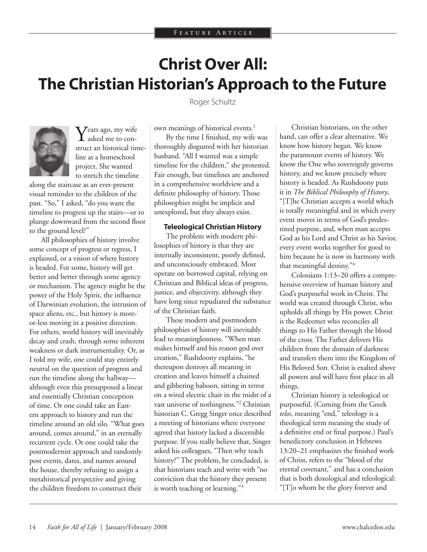## **Christ Over All: The Christian Historian's Approach to the Future**

Roger Schultz



 $\sum$  Pears ago, my wife asked me to construct an historical timeline as a homeschool project. She wanted to stretch the timeline

along the staircase as an ever-present visual reminder to the children of the past. "So," I asked, "do you want the timeline to progress up the stairs—or to plunge downward from the second floor to the ground level?"

All philosophies of history involve some concept of progress or regress, I explained, or a vision of where history is headed. For some, history will get better and better through some agency or mechanism. The agency might be the power of the Holy Spirit, the influence of Darwinian evolution, the intrusion of space aliens, etc., but history is moreor-less moving in a positive direction. For others, world history will inevitably decay and crash, through some inherent weakness or dark instrumentality. Or, as I told my wife, one could stay entirely neutral on the question of progress and run the timeline along the hallway although even this presupposed a linear and essentially Christian conception of time. Or one could take an Eastern approach to history and run the timeline around an old silo. "What goes around, comes around," in an eternally recurrent cycle. Or one could take the postmodernist approach and randomly post events, dates, and names around the house, thereby refusing to assign a metahistorical perspective and giving the children freedom to construct their

own meanings of historical events.<sup>1</sup> By the time I finished, my wife was thoroughly disgusted with her historian husband. "All I wanted was a simple timeline for the children," she protested. Fair enough, but timelines are anchored in a comprehensive worldview and a definite philosophy of history. Those philosophies might be implicit and unexplored, but they always exist.

#### **Teleological Christian History**

The problem with modern philosophies of history is that they are internally inconsistent, poorly defined, and unconsciously embraced. Most operate on borrowed capital, relying on Christian and Biblical ideas of progress, justice, and objectivity, although they have long since repudiated the substance of the Christian faith.

These modern and postmodern philosophies of history will inevitably lead to meaninglessness. "When man makes himself and his reason god over creation," Rushdoony explains, "he thereupon destroys all meaning in creation and leaves himself a chained and gibbering baboon, sitting in terror on a wired electric chair in the midst of a vast universe of nothingness."2 Christian historian C. Gregg Singer once described a meeting of historians where everyone agreed that history lacked a discernible purpose. If you really believe that, Singer asked his colleagues, "Then why teach history?" The problem, he concluded, is that historians teach and write with "no conviction that the history they present is worth teaching or learning."3

Christian historians, on the other hand, can offer a clear alternative. We know how history began. We know the paramount events of history. We know the One who sovereignly governs history, and we know precisely where history is headed. As Rushdoony puts it in *The Biblical Philosophy of History*, "[T]he Christian accepts a world which is totally meaningful and in which every event moves in terms of God's predestined purpose, and, when man accepts God as his Lord and Christ as his Savior, every event works together for good to him because he is now in harmony with that meaningful destiny."4

Colossians 1:13–20 offers a comprehensive overview of human history and God's purposeful work in Christ. The world was created through Christ, who upholds all things by His power. Christ is the Redeemer who reconciles all things to His Father through the blood of the cross. The Father delivers His children from the domain of darkness and transfers them into the Kingdom of His Beloved Son. Christ is exalted above all powers and will have first place in all things.

Christian history is teleological or purposeful. (Coming from the Greek *telos*, meaning "end," teleology is a theological term meaning the study of a definitive end or final purpose.) Paul's benedictory conclusion in Hebrews 13:20–21 emphasizes the finished work of Christ, refers to the "blood of the eternal covenant," and has a conclusion that is both doxological and teleological: "[T]o whom be the glory forever and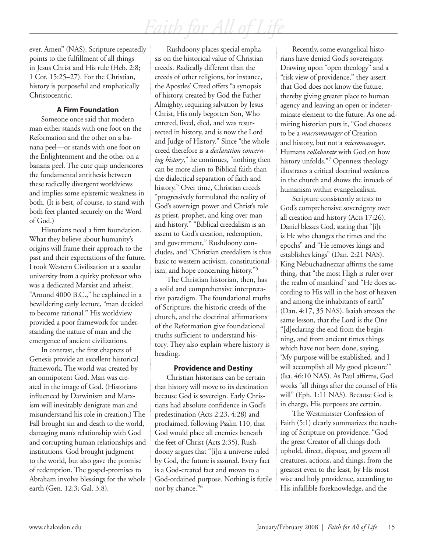ever. Amen" (NAS). Scripture repeatedly points to the fulfillment of all things in Jesus Christ and His rule (Heb. 2:8; 1 Cor. 15:25–27). For the Christian, history is purposeful and emphatically Christocentric.

#### **A Firm Foundation**

Someone once said that modern man either stands with one foot on the Reformation and the other on a banana peel—or stands with one foot on the Enlightenment and the other on a banana peel. The cute quip underscores the fundamental antithesis between these radically divergent worldviews and implies some epistemic weakness in both. (It is best, of course, to stand with both feet planted securely on the Word of God.)

Historians need a firm foundation. What they believe about humanity's origins will frame their approach to the past and their expectations of the future. I took Western Civilization at a secular university from a quirky professor who was a dedicated Marxist and atheist. "Around 4000 B.C.," he explained in a bewildering early lecture, "man decided to become rational." His worldview provided a poor framework for understanding the nature of man and the emergence of ancient civilizations.

In contrast, the first chapters of Genesis provide an excellent historical framework. The world was created by an omnipotent God. Man was created in the image of God. (Historians influenced by Darwinism and Marxism will inevitably denigrate man and misunderstand his role in creation.) The Fall brought sin and death to the world, damaging man's relationship with God and corrupting human relationships and institutions. God brought judgment to the world, but also gave the promise of redemption. The gospel-promises to Abraham involve blessings for the whole earth (Gen. 12:3; Gal. 3:8).

Rushdoony places special emphasis on the historical value of Christian creeds. Radically different than the creeds of other religions, for instance, the Apostles' Creed offers "a synopsis of history, created by God the Father Almighty, requiring salvation by Jesus Christ, His only begotten Son, Who entered, lived, died, and was resurrected in history, and is now the Lord and Judge of History." Since "the whole creed therefore is a *declaration concerning history*," he continues, "nothing then can be more alien to Biblical faith than the dialectical separation of faith and history." Over time, Christian creeds "progressively formulated the reality of God's sovereign power and Christ's role as priest, prophet, and king over man and history." "Biblical creedalism is an assent to God's creation, redemption, and government," Rushdoony concludes, and "Christian creedalism is thus basic to western activism, constitutionalism, and hope concerning history."5

The Christian historian, then, has a solid and comprehensive interpretative paradigm. The foundational truths of Scripture, the historic creeds of the church, and the doctrinal affirmations of the Reformation give foundational truths sufficient to understand history. They also explain where history is heading.

#### **Providence and Destiny**

Christian historians can be certain that history will move to its destination because God is sovereign. Early Christians had absolute confidence in God's predestination (Acts 2:23, 4:28) and proclaimed, following Psalm 110, that God would place all enemies beneath the feet of Christ (Acts 2:35). Rushdoony argues that "[i]n a universe ruled by God, the future is assured. Every fact is a God-created fact and moves to a God-ordained purpose. Nothing is futile nor by chance."6

Recently, some evangelical historians have denied God's sovereignty. Drawing upon "open theology" and a "risk view of providence," they assert that God does not know the future, thereby giving greater place to human agency and leaving an open or indeterminate element to the future. As one admiring historian puts it, "God chooses to be a *macromanager* of Creation and history, but not a *micromanager*. Humans *collaborate* with God on how history unfolds."7 Openness theology illustrates a critical doctrinal weakness in the church and shows the inroads of humanism within evangelicalism.

Scripture consistently attests to God's comprehensive sovereignty over all creation and history (Acts 17:26). Daniel blesses God, stating that "[i]t is He who changes the times and the epochs" and "He removes kings and establishes kings" (Dan. 2:21 NAS). King Nebuchadnezzar affirms the same thing, that "the most High is ruler over the realm of mankind" and "He does according to His will in the host of heaven and among the inhabitants of earth" (Dan. 4:17, 35 NAS). Isaiah stresses the same lesson, that the Lord is the One "[d]eclaring the end from the beginning, and from ancient times things which have not been done, saying, 'My purpose will be established, and I will accomplish all My good pleasure" (Isa. 46:10 NAS). As Paul affirms, God works "all things after the counsel of His will" (Eph. 1:11 NAS). Because God is in charge, His purposes are certain.

The Westminster Confession of Faith (5:1) clearly summarizes the teaching of Scripture on providence: "God the great Creator of all things doth uphold, direct, dispose, and govern all creatures, actions, and things, from the greatest even to the least, by His most wise and holy providence, according to His infallible foreknowledge, and the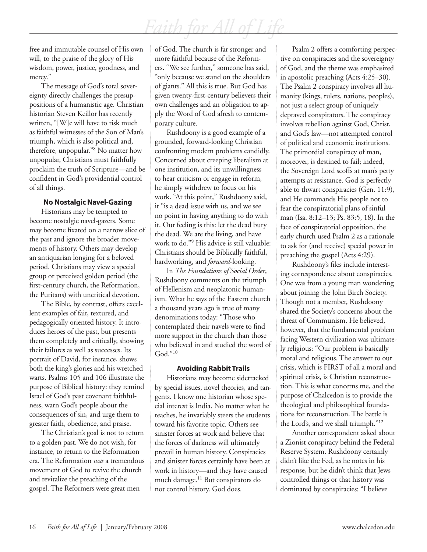free and immutable counsel of His own will, to the praise of the glory of His wisdom, power, justice, goodness, and mercy."

The message of God's total sovereignty directly challenges the presuppositions of a humanistic age. Christian historian Steven Keillor has recently written, "[W]e will have to risk much as faithful witnesses of the Son of Man's triumph, which is also political and, therefore, unpopular."8 No matter how unpopular, Christians must faithfully proclaim the truth of Scripture—and be confident in God's providential control of all things.

#### **No Nostalgic Navel-Gazing**

Historians may be tempted to become nostalgic navel-gazers. Some may become fixated on a narrow slice of the past and ignore the broader movements of history. Others may develop an antiquarian longing for a beloved period. Christians may view a special group or perceived golden period (the first-century church, the Reformation, the Puritans) with uncritical devotion.

The Bible, by contrast, offers excellent examples of fair, textured, and pedagogically oriented history. It introduces heroes of the past, but presents them completely and critically, showing their failures as well as successes. Its portrait of David, for instance, shows both the king's glories and his wretched warts. Psalms 105 and 106 illustrate the purpose of Biblical history: they remind Israel of God's past covenant faithfulness, warn God's people about the consequences of sin, and urge them to greater faith, obedience, and praise.

The Christian's goal is not to return to a golden past. We do not wish, for instance, to return to the Reformation era. The Reformation *was* a tremendous movement of God to revive the church and revitalize the preaching of the gospel. The Reformers were great men

of God. The church is far stronger and more faithful because of the Reformers. "We see further," someone has said, "only because we stand on the shoulders of giants." All this is true. But God has given twenty-first-century believers their own challenges and an obligation to apply the Word of God afresh to contemporary culture.

Rushdoony is a good example of a grounded, forward-looking Christian confronting modern problems candidly. Concerned about creeping liberalism at one institution, and its unwillingness to hear criticism or engage in reform, he simply withdrew to focus on his work. "At this point," Rushdoony said, it "is a dead issue with us, and we see no point in having anything to do with it. Our feeling is this: let the dead bury the dead. We are the living, and have work to do."9 His advice is still valuable: Christians should be Biblically faithful, hardworking, and *forward*-looking.

In *The Foundations of Social Order*, Rushdoony comments on the triumph of Hellenism and neoplatonic humanism. What he says of the Eastern church a thousand years ago is true of many denominations today: "Those who contemplated their navels were to find more support in the church than those who believed in and studied the word of God."10

#### **Avoiding Rabbit Trails**

Historians may become sidetracked by special issues, novel theories, and tangents. I know one historian whose special interest is India. No matter what he teaches, he invariably steers the students toward his favorite topic. Others see sinister forces at work and believe that the forces of darkness will ultimately prevail in human history. Conspiracies and sinister forces certainly have been at work in history—and they have caused much damage.11 But conspirators do not control history. God does.

Psalm 2 offers a comforting perspective on conspiracies and the sovereignty of God, and the theme was emphasized in apostolic preaching (Acts 4:25–30). The Psalm 2 conspiracy involves all humanity (kings, rulers, nations, peoples), not just a select group of uniquely depraved conspirators. The conspiracy involves rebellion against God, Christ, and God's law—not attempted control of political and economic institutions. The primordial conspiracy of man, moreover, is destined to fail; indeed, the Sovereign Lord scoffs at man's petty attempts at resistance. God is perfectly able to thwart conspiracies (Gen. 11:9), and He commands His people not to fear the conspiratorial plans of sinful man (Isa. 8:12–13; Ps. 83:5, 18). In the face of conspiratorial opposition, the early church used Psalm 2 as a rationale to ask for (and receive) special power in preaching the gospel (Acts 4:29).

Rushdoony's files include interesting correspondence about conspiracies. One was from a young man wondering about joining the John Birch Society. Though not a member, Rushdoony shared the Society's concerns about the threat of Communism. He believed, however, that the fundamental problem facing Western civilization was ultimately religious: "Our problem is basically moral and religious. The answer to our crisis, which is FIRST of all a moral and spiritual crisis, is Christian reconstruction. This is what concerns me, and the purpose of Chalcedon is to provide the theological and philosophical foundations for reconstruction. The battle is the Lord's, and we shall triumph."12

Another correspondent asked about a Zionist conspiracy behind the Federal Reserve System. Rushdoony certainly didn't like the Fed, as he notes in his response, but he didn't think that Jews controlled things or that history was dominated by conspiracies: "I believe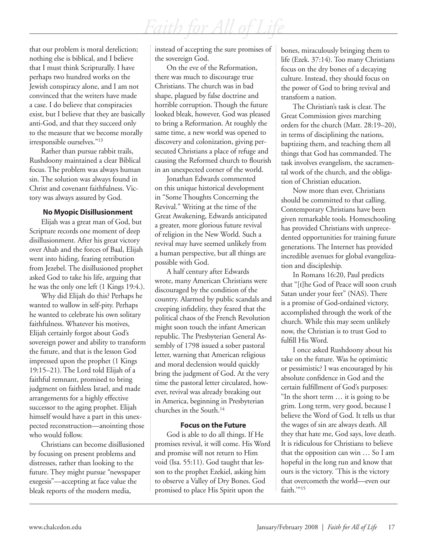that our problem is moral dereliction; nothing else is biblical, and I believe that I must think Scripturally. I have perhaps two hundred works on the Jewish conspiracy alone, and I am not convinced that the writers have made a case. I do believe that conspiracies exist, but I believe that they are basically anti-God, and that they succeed only to the measure that we become morally irresponsible ourselves."13

Rather than pursue rabbit trails, Rushdoony maintained a clear Biblical focus. The problem was always human sin. The solution was always found in Christ and covenant faithfulness. Victory was always assured by God.

#### **No Myopic Disillusionment**

Elijah was a great man of God, but Scripture records one moment of deep disillusionment. After his great victory over Ahab and the forces of Baal, Elijah went into hiding, fearing retribution from Jezebel. The disillusioned prophet asked God to take his life, arguing that he was the only one left (1 Kings 19:4.).

Why did Elijah do this? Perhaps he wanted to wallow in self-pity. Perhaps he wanted to celebrate his own solitary faithfulness. Whatever his motives, Elijah certainly forgot about God's sovereign power and ability to transform the future, and that is the lesson God impressed upon the prophet (1 Kings 19:15–21). The Lord told Elijah of a faithful remnant, promised to bring judgment on faithless Israel, and made arrangements for a highly effective successor to the aging prophet. Elijah himself would have a part in this unexpected reconstruction—anointing those who would follow.

Christians can become disillusioned by focusing on present problems and distresses, rather than looking to the future. They might pursue "newspaper exegesis"—accepting at face value the bleak reports of the modern media,

instead of accepting the sure promises of the sovereign God.

On the eve of the Reformation, there was much to discourage true Christians. The church was in bad shape, plagued by false doctrine and horrible corruption. Though the future looked bleak, however, God was pleased to bring a Reformation. At roughly the same time, a new world was opened to discovery and colonization, giving persecuted Christians a place of refuge and causing the Reformed church to flourish in an unexpected corner of the world.

Jonathan Edwards commented on this unique historical development in "Some Thoughts Concerning the Revival." Writing at the time of the Great Awakening, Edwards anticipated a greater, more glorious future revival of religion in the New World. Such a revival may have seemed unlikely from a human perspective, but all things are possible with God.

A half century after Edwards wrote, many American Christians were discouraged by the condition of the country. Alarmed by public scandals and creeping infidelity, they feared that the political chaos of the French Revolution might soon touch the infant American republic. The Presbyterian General Assembly of 1798 issued a sober pastoral letter, warning that American religious and moral declension would quickly bring the judgment of God. At the very time the pastoral letter circulated, however, revival was already breaking out in America, beginning in Presbyterian churches in the South.14

#### **Focus on the Future**

God is able to do all things. If He promises revival, it will come. His Word and promise will not return to Him void (Isa. 55:11). God taught that lesson to the prophet Ezekiel, asking him to observe a Valley of Dry Bones. God promised to place His Spirit upon the

bones, miraculously bringing them to life (Ezek. 37:14). Too many Christians focus on the dry bones of a decaying culture. Instead, they should focus on the power of God to bring revival and transform a nation.

The Christian's task is clear. The Great Commission gives marching orders for the church (Matt. 28:19–20), in terms of disciplining the nations, baptizing them, and teaching them all things that God has commanded. The task involves evangelism, the sacramental work of the church, and the obligation of Christian education.

Now more than ever, Christians should be committed to that calling. Contemporary Christians have been given remarkable tools. Homeschooling has provided Christians with unprecedented opportunities for training future generations. The Internet has provided incredible avenues for global evangelization and discipleship.

In Romans 16:20, Paul predicts that "[t]he God of Peace will soon crush Satan under your feet" (NAS). There is a promise of God-ordained victory, accomplished through the work of the church. While this may seem unlikely now, the Christian is to trust God to fulfill His Word.

I once asked Rushdoony about his take on the future. Was he optimistic or pessimistic? I was encouraged by his absolute confidence in God and the certain fulfillment of God's purposes: "In the short term … it is going to be grim. Long term, very good, because I believe the Word of God. It tells us that the wages of sin are always death. All they that hate me, God says, love death. It is ridiculous for Christians to believe that the opposition can win … So I am hopeful in the long run and know that ours is the victory. 'This is the victory that overcometh the world—even our faith."<sup>15</sup>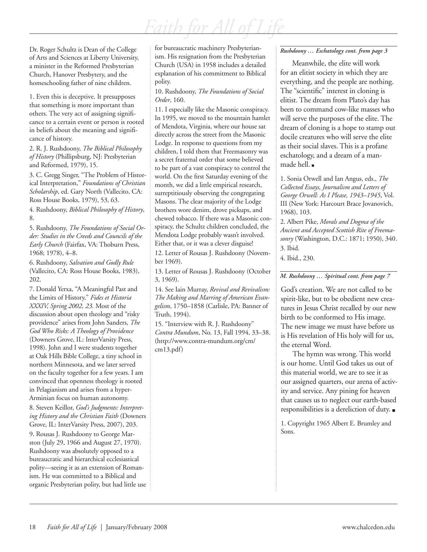Dr. Roger Schultz is Dean of the College of Arts and Sciences at Liberty University, a minister in the Reformed Presbyterian Church, Hanover Presbytery, and the homeschooling father of nine children.

1. Even this is deceptive. It presupposes that something is more important than others. The very act of assigning significance to a certain event or person is rooted in beliefs about the meaning and significance of history.

2. R. J. Rushdoony, *The Biblical Philosophy of History* (Phillipsburg, NJ: Presbyterian and Reformed, 1979), 15.

3. C. Gregg Singer, "The Problem of Historical Interpretation," *Foundations of Christian Scholarship*, ed. Gary North (Vallecito, CA: Ross House Books, 1979), 53, 63.

4. Rushdoony, *Biblical Philosophy of History*, 8.

5. Rushdoony, *The Foundations of Social Order: Studies in the Creeds and Councils of the Early Church* (Fairfax, VA: Thoburn Press, 1968; 1978), 4–8.

6. Rushdoony, *Salvation and Godly Rule* (Vallecito, CA: Ross House Books, 1983), 202.

7. Donald Yerxa, "A Meaningful Past and the Limits of History," *Fides et Historia XXXIV, Spring 2002, 23.* Most of the discussion about open theology and "risky providence" arises from John Sanders, *The God Who Risks: A Theology of Providence* (Downers Grove, IL: InterVarsity Press, 1998). John and I were students together at Oak Hills Bible College, a tiny school in northern Minnesota, and we later served on the faculty together for a few years. I am convinced that openness theology is rooted in Pelagianism and arises from a hyper-Arminian focus on human autonomy.

8. Steven Keillor, *God's Judgments: Interpreting History and the Christian Faith* (Downers Grove, IL: InterVarsity Press, 2007), 203.

9. Rousas J. Rushdoony to George Marston (July 29, 1966 and August 27, 1970). Rushdoony was absolutely opposed to a bureaucratic and hierarchical ecclesiastical polity—seeing it as an extension of Romanism. He was committed to a Biblical and organic Presbyterian polity, but had little use for bureaucratic machinery Presbyterianism. His resignation from the Presbyterian Church (USA) in 1958 includes a detailed explanation of his commitment to Biblical polity.

#### 10. Rushdoony, *The Foundations of Social Order*, 160.

11. I especially like the Masonic conspiracy. In 1995, we moved to the mountain hamlet of Mendota, Virginia, where our house sat directly across the street from the Masonic Lodge. In response to questions from my children, I told them that Freemasonry was a secret fraternal order that some believed to be part of a vast conspiracy to control the world. On the first Saturday evening of the month, we did a little empirical research, surreptitiously observing the congregating Masons. The clear majority of the Lodge brothers wore denim, drove pickups, and chewed tobacco. If there was a Masonic conspiracy, the Schultz children concluded, the Mendota Lodge probably wasn't involved. Either that, or it was a clever disguise!

12. Letter of Rousas J. Rushdoony (November 1969).

13. Letter of Rousas J. Rushdoony (October 3, 1969).

14. See Iain Murray, *Revival and Revivalism: The Making and Marring of American Evangelism*, 1750–1858 (Carlisle, PA: Banner of Truth, 1994).

15. "Interview with R. J. Rushdoony" *Contra Mundum*, No. 13, Fall 1994, 33–38. (http://www.contra-mundum.org/cm/ cm13.pdf)

#### *Rushdoony … Eschatology cont. from page 3*

Meanwhile, the elite will work for an elitist society in which they are everything, and the people are nothing. The "scientific" interest in cloning is elitist. The dream from Plato's day has been to command cow-like masses who will serve the purposes of the elite. The dream of cloning is a hope to stamp out docile creatures who will serve the elite as their social slaves. This is a profane eschatology, and a dream of a manmade hell.

1. Sonia Orwell and Ian Angus, eds., *The Collected Essays, Journalism and Letters of George Orwell: As I Please, 1943–1945*, Vol. III (New York: Harcourt Brace Jovanovich, 1968), 103.

2. Albert Pike, *Morals and Dogma of the Ancient and Accepted Scottish Rite of Freemasonry* (Washington, D.C.: 1871; 1950), 340. 3. Ibid.

4. Ibid., 230.

*M. Rushdoony … Spiritual cont. from page 7*

God's creation. We are not called to be spirit-like, but to be obedient new creatures in Jesus Christ recalled by our new birth to be conformed to His image. The new image we must have before us is His revelation of His holy will for us, the eternal Word.

The hymn was wrong. This world is our home. Until God takes us out of this material world, we are to see it as our assigned quarters, our arena of activity and service. Any pining for heaven that causes us to neglect our earth-based responsibilities is a dereliction of duty.

1. Copyright 1965 Albert E. Brumley and Sons.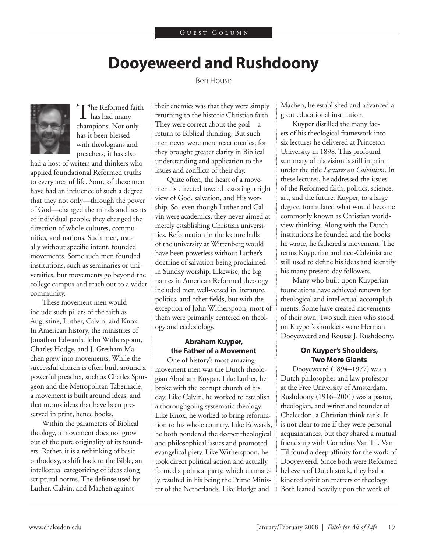## **Dooyeweerd and Rushdoony**

Ben House



The Reformed faith has had many champions. Not only has it been blessed with theologians and preachers, it has also

had a host of writers and thinkers who applied foundational Reformed truths to every area of life. Some of these men have had an influence of such a degree that they not only—through the power of God—changed the minds and hearts of individual people, they changed the direction of whole cultures, communities, and nations. Such men, usually without specific intent, founded movements. Some such men founded institutions, such as seminaries or universities, but movements go beyond the college campus and reach out to a wider community.

These movement men would include such pillars of the faith as Augustine, Luther, Calvin, and Knox. In American history, the ministries of Jonathan Edwards, John Witherspoon, Charles Hodge, and J. Gresham Machen grew into movements. While the successful church is often built around a powerful preacher, such as Charles Spurgeon and the Metropolitan Tabernacle, a movement is built around ideas, and that means ideas that have been preserved in print, hence books.

Within the parameters of Biblical theology, a movement does not grow out of the pure originality of its founders. Rather, it is a rethinking of basic orthodoxy, a shift back to the Bible, an intellectual categorizing of ideas along scriptural norms. The defense used by Luther, Calvin, and Machen against

their enemies was that they were simply returning to the historic Christian faith. They were correct about the goal—a return to Biblical thinking. But such men never were mere reactionaries, for they brought greater clarity in Biblical understanding and application to the issues and conflicts of their day.

Quite often, the heart of a movement is directed toward restoring a right view of God, salvation, and His worship. So, even though Luther and Calvin were academics, they never aimed at merely establishing Christian universities. Reformation in the lecture halls of the university at Wittenberg would have been powerless without Luther's doctrine of salvation being proclaimed in Sunday worship. Likewise, the big names in American Reformed theology included men well-versed in literature, politics, and other fields, but with the exception of John Witherspoon, most of them were primarily centered on theology and ecclesiology.

#### **Abraham Kuyper, the Father of a Movement**

One of history's most amazing movement men was the Dutch theologian Abraham Kuyper. Like Luther, he broke with the corrupt church of his day. Like Calvin, he worked to establish a thoroughgoing systematic theology. Like Knox, he worked to bring reformation to his whole country. Like Edwards, he both pondered the deeper theological and philosophical issues and promoted evangelical piety. Like Witherspoon, he took direct political action and actually formed a political party, which ultimately resulted in his being the Prime Minister of the Netherlands. Like Hodge and

Machen, he established and advanced a great educational institution.

Kuyper distilled the many facets of his theological framework into six lectures he delivered at Princeton University in 1898. This profound summary of his vision is still in print under the title *Lectures on Calvinism*. In these lectures, he addressed the issues of the Reformed faith, politics, science, art, and the future. Kuyper, to a large degree, formulated what would become commonly known as Christian worldview thinking. Along with the Dutch institutions he founded and the books he wrote, he fathered a movement. The terms Kuyperian and neo-Calvinist are still used to define his ideas and identify his many present-day followers.

Many who built upon Kuyperian foundations have achieved renown for theological and intellectual accomplishments. Some have created movements of their own. Two such men who stood on Kuyper's shoulders were Herman Dooyeweerd and Rousas J. Rushdoony.

#### **On Kuyper's Shoulders, Two More Giants**

Dooyeweerd (1894–1977) was a Dutch philosopher and law professor at the Free University of Amsterdam. Rushdoony (1916–2001) was a pastor, theologian, and writer and founder of Chalcedon, a Christian think tank. It is not clear to me if they were personal acquaintances, but they shared a mutual friendship with Cornelius Van Til. Van Til found a deep affinity for the work of Dooyeweerd. Since both were Reformed believers of Dutch stock, they had a kindred spirit on matters of theology. Both leaned heavily upon the work of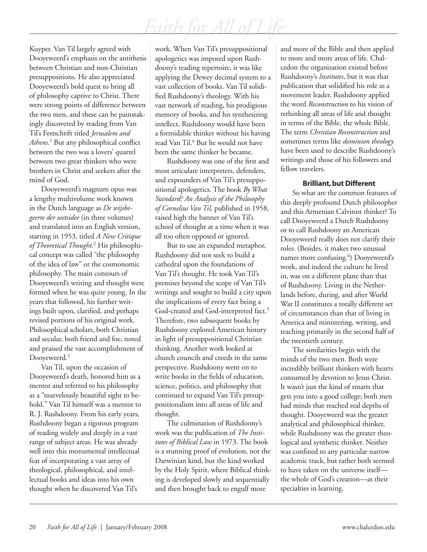Kuyper. Van Til largely agreed with Dooyeweerd's emphasis on the antithesis between Christian and non-Christian presuppositions. He also appreciated Dooyeweerd's bold quest to bring all of philosophy captive to Christ. There were strong points of difference between the two men, and these can be painstakingly discovered by reading from Van Til's Festschrift titled *Jerusalem and*  Athens.<sup>1</sup> But any philosophical conflict between the two was a lovers' quarrel between two great thinkers who were brothers in Christ and seekers after the mind of God.

Dooyeweerd's magnum opus was a lengthy multivolume work known in the Dutch language as *De wijsbegeerte der wetsidee* (in three volumes) and translated into an English version, starting in 1953, titled *A New Critique*  of Theoretical Thought.<sup>2</sup> His philosophical concept was called "the philosophy of the idea of law" or the cosmonomic philosophy. The main contours of Dooyeweerd's writing and thought were formed when he was quite young. In the years that followed, his further writings built upon, clarified, and perhaps revised portions of his original work. Philosophical scholars, both Christian and secular, both friend and foe, noted and praised the vast accomplishment of Dooyeweerd.<sup>3</sup>

Van Til, upon the occasion of Dooyeweerd's death, honored him as a mentor and referred to his philosophy as a "marvelously beautiful sight to behold." Van Til himself was a mentor to R. J. Rushdoony. From his early years, Rushdoony began a rigorous program of reading widely and deeply in a vast range of subject areas. He was already well into this monumental intellectual feat of incorporating a vast array of theological, philosophical, and intellectual books and ideas into his own thought when he discovered Van Til's

work. When Van Til's presuppositional apologetics was imposed upon Rushdoony's reading repertoire, it was like applying the Dewey decimal system to a vast collection of books. Van Til solidified Rushdoony's theology. With his vast network of reading, his prodigious memory of books, and his synthesizing intellect, Rushdoony would have been a formidable thinker without his having read Van Til.<sup>4</sup> But he would not have been the same thinker he became.

Rushdoony was one of the first and most articulate interpreters, defenders, and expounders of Van Til's presuppositional apologetics. The book *By What Standard? An Analysis of the Philosophy of Cornelius Van Til*, published in 1958, raised high the banner of Van Til's school of thought at a time when it was all too often opposed or ignored.

But to use an expanded metaphor, Rushdoony did not seek to build a cathedral upon the foundations of Van Til's thought. He took Van Til's premises beyond the scope of Van Til's writings and sought to build a city upon the implications of every fact being a God-created and God-interpreted fact.<sup>5</sup> Therefore, two subsequent books by Rushdoony explored American history in light of presuppositional Christian thinking. Another work looked at church councils and creeds in the same perspective. Rushdoony went on to write books in the fields of education, science, politics, and philosophy that continued to expand Van Til's presuppositionalism into all areas of life and thought.

The culmination of Rushdoony's work was the publication of *The Institutes of Biblical Law* in 1973. The book is a stunning proof of evolution, not the Darwinian kind, but the kind worked by the Holy Spirit, where Biblical thinking is developed slowly and sequentially and then brought back to engulf more

and more of the Bible and then applied to more and more areas of life. Chalcedon the organization existed before Rushdoony's *Institutes*, but it was that publication that solidified his role as a movement leader. Rushdoony applied the word *Reconstruction* to his vision of rethinking all areas of life and thought in terms of the Bible, the whole Bible. The term *Christian Reconstruction* and sometimes terms like *dominion theology* have been used to describe Rushdoony's writings and those of his followers and fellow travelers.

#### **Brilliant, but Different**

So what are the common features of this deeply profound Dutch philosopher and this Armenian Calvinist thinker? To call Dooyeweerd a Dutch Rushdoony or to call Rushdoony an American Dooyeweerd really does not clarify their roles. (Besides, it makes two unusual names more confusing.<sup>6</sup>) Dooyeweerd's work, and indeed the culture he lived in, was on a different plane than that of Rushdoony. Living in the Netherlands before, during, and after World War II constitutes a totally different set of circumstances than that of living in America and ministering, writing, and teaching primarily in the second half of the twentieth century.

The similarities begin with the minds of the two men. Both were incredibly brilliant thinkers with hearts consumed by devotion to Jesus Christ. It wasn't just the kind of smarts that gets you into a good college; both men had minds that reached real depths of thought. Dooyeweerd was the greater analytical and philosophical thinker, while Rushdoony was the greater theological and synthetic thinker. Neither was confined to any particular narrow academic track, but rather both seemed to have taken on the universe itself the whole of God's creation—as their specialties in learning.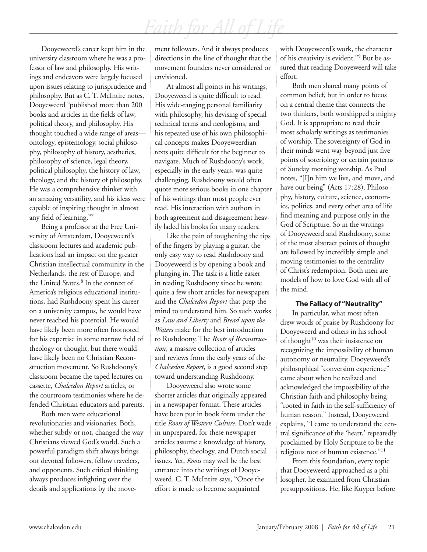Dooyeweerd's career kept him in the university classroom where he was a professor of law and philosophy. His writings and endeavors were largely focused upon issues relating to jurisprudence and philosophy. But as C. T. McIntire notes, Dooyeweerd "published more than 200 books and articles in the fields of law, political theory, and philosophy. His thought touched a wide range of areas ontology, epistemology, social philosophy, philosophy of history, aesthetics, philosophy of science, legal theory, political philosophy, the history of law, theology, and the history of philosophy. He was a comprehensive thinker with an amazing versatility, and his ideas were capable of inspiring thought in almost any field of learning."7

Being a professor at the Free University of Amsterdam, Dooyeweerd's classroom lectures and academic publications had an impact on the greater Christian intellectual community in the Netherlands, the rest of Europe, and the United States.8 In the context of America's religious educational institutions, had Rushdoony spent his career on a university campus, he would have never reached his potential. He would have likely been more often footnoted for his expertise in some narrow field of theology or thought, but there would have likely been no Christian Reconstruction movement. So Rushdoony's classroom became the taped lectures on cassette, *Chalcedon Report* articles, or the courtroom testimonies where he defended Christian educators and parents.

Both men were educational revolutionaries and visionaries. Both, whether subtly or not, changed the way Christians viewed God's world. Such a powerful paradigm shift always brings out devoted followers, fellow travelers, and opponents. Such critical thinking always produces infighting over the details and applications by the movement followers. And it always produces directions in the line of thought that the movement founders never considered or envisioned.

At almost all points in his writings, Dooyeweerd is quite difficult to read. His wide-ranging personal familiarity with philosophy, his devising of special technical terms and neologisms, and his repeated use of his own philosophical concepts makes Dooyeweerdian texts quite difficult for the beginner to navigate. Much of Rushdoony's work, especially in the early years, was quite challenging. Rushdoony would often quote more serious books in one chapter of his writings than most people ever read. His interaction with authors in both agreement and disagreement heavily laded his books for many readers.

Like the pain of toughening the tips of the fingers by playing a guitar, the only easy way to read Rushdoony and Dooyeweerd is by opening a book and plunging in. The task is a little easier in reading Rushdoony since he wrote quite a few short articles for newspapers and the *Chalcedon Report* that prep the mind to understand him. So such works as *Law and Liberty* and *Bread upon the Waters* make for the best introduction to Rushdoony. The *Roots of Reconstruction*, a massive collection of articles and reviews from the early years of the *Chalcedon Report*, is a good second step toward understanding Rushdoony.

Dooyeweerd also wrote some shorter articles that originally appeared in a newspaper format. These articles have been put in book form under the title *Roots of Western Culture*. Don't wade in unprepared, for these newspaper articles assume a knowledge of history, philosophy, theology, and Dutch social issues. Yet, *Roots* may well be the best entrance into the writings of Dooyeweerd. C. T. McIntire says, "Once the effort is made to become acquainted

with Dooyeweerd's work, the character of his creativity is evident."<sup>9</sup> But be assured that reading Dooyeweerd will take effort.

Both men shared many points of common belief, but in order to focus on a central theme that connects the two thinkers, both worshipped a mighty God. It is appropriate to read their most scholarly writings as testimonies of worship. The sovereignty of God in their minds went way beyond just five points of soteriology or certain patterns of Sunday morning worship. As Paul notes, "[I]n him we live, and move, and have our being" (Acts 17:28). Philosophy, history, culture, science, economics, politics, and every other area of life find meaning and purpose only in the God of Scripture. So in the writings of Dooyeweerd and Rushdoony, some of the most abstract points of thought are followed by incredibly simple and moving testimonies to the centrality of Christ's redemption. Both men are models of how to love God with all of the mind.

#### **The Fallacy of "Neutrality"**

In particular, what most often drew words of praise by Rushdoony for Dooyeweerd and others in his school of thought<sup>10</sup> was their insistence on recognizing the impossibility of human autonomy or neutrality. Dooyeweerd's philosophical "conversion experience" came about when he realized and acknowledged the impossibility of the Christian faith and philosophy being "rooted in faith in the self-sufficiency of human reason." Instead, Dooyeweerd explains, "I came to understand the central significance of the 'heart,' repeatedly proclaimed by Holy Scripture to be the religious root of human existence."11

From this foundation, every topic that Dooyeweerd approached as a philosopher, he examined from Christian presuppositions. He, like Kuyper before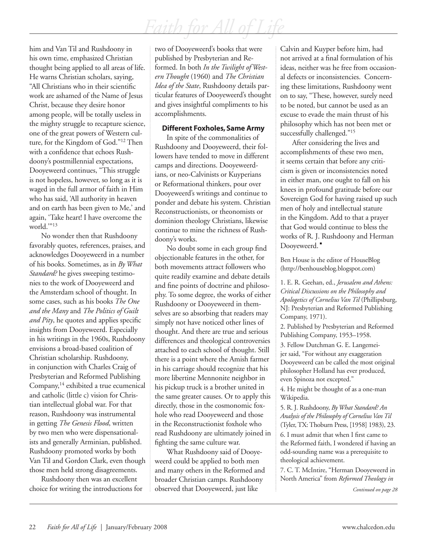him and Van Til and Rushdoony in his own time, emphasized Christian thought being applied to all areas of life. He warns Christian scholars, saying, "All Christians who in their scientific work are ashamed of the Name of Jesus Christ, because they desire honor among people, will be totally useless in the mighty struggle to recapture science, one of the great powers of Western culture, for the Kingdom of God."12 Then with a confidence that echoes Rushdoony's postmillennial expectations, Dooyeweerd continues, "This struggle is not hopeless, however, so long as it is waged in the full armor of faith in Him who has said, 'All authority in heaven and on earth has been given to Me,' and again, 'Take heart! I have overcome the world.'"13

No wonder then that Rushdoony favorably quotes, references, praises, and acknowledges Dooyeweerd in a number of his books. Sometimes, as in *By What Standard?* he gives sweeping testimonies to the work of Dooyeweerd and the Amsterdam school of thought. In some cases, such as his books *The One and the Many* and *The Politics of Guilt and Pity*, he quotes and applies specific insights from Dooyeweerd. Especially in his writings in the 1960s, Rushdoony envisions a broad-based coalition of Christian scholarship. Rushdoony, in conjunction with Charles Craig of Presbyterian and Reformed Publishing Company,14 exhibited a true ecumenical and catholic (little c) vision for Christian intellectual global war. For that reason, Rushdoony was instrumental in getting *The Genesis Flood*, written by two men who were dispensationalists and generally Arminian, published. Rushdoony promoted works by both Van Til and Gordon Clark, even though those men held strong disagreements.

Rushdoony then was an excellent choice for writing the introductions for two of Dooyeweerd's books that were published by Presbyterian and Reformed. In both *In the Twilight of Western Thought* (1960) and *The Christian Idea of the State*, Rushdoony details particular features of Dooyeweerd's thought and gives insightful compliments to his accomplishments.

#### **Different Foxholes, Same Army**

In spite of the commonalities of Rushdoony and Dooyeweerd, their followers have tended to move in different camps and directions. Dooyeweerdians, or neo-Calvinists or Kuyperians or Reformational thinkers, pour over Dooyeweerd's writings and continue to ponder and debate his system. Christian Reconstructionists, or theonomists or dominion theology Christians, likewise continue to mine the richness of Rushdoony's works.

No doubt some in each group find objectionable features in the other, for both movements attract followers who quite readily examine and debate details and fine points of doctrine and philosophy. To some degree, the works of either Rushdoony or Dooyeweerd in themselves are so absorbing that readers may simply not have noticed other lines of thought. And there are true and serious differences and theological controversies attached to each school of thought. Still there is a point where the Amish farmer in his carriage should recognize that his more libertine Mennonite neighbor in his pickup truck is a brother united in the same greater causes. Or to apply this directly, those in the cosmonomic foxhole who read Dooyeweerd and those in the Reconstructionist foxhole who read Rushdoony are ultimately joined in fighting the same culture war.

What Rushdoony said of Dooyeweerd could be applied to both men and many others in the Reformed and broader Christian camps. Rushdoony observed that Dooyeweerd, just like

Calvin and Kuyper before him, had not arrived at a final formulation of his ideas, neither was he free from occasional defects or inconsistencies. Concerning these limitations, Rushdoony went on to say, "These, however, surely need to be noted, but cannot be used as an excuse to evade the main thrust of his philosophy which has not been met or successfully challenged."<sup>15</sup>

After considering the lives and accomplishments of these two men, it seems certain that before any criticism is given or inconsistencies noted in either man, one ought to fall on his knees in profound gratitude before our Sovereign God for having raised up such men of holy and intellectual stature in the Kingdom. Add to that a prayer that God would continue to bless the works of R. J. Rushdoony and Herman Dooyeweerd.

Ben House is the editor of HouseBlog (http://benhouseblog.blogspot.com)

1. E. R. Geehan, ed., *Jerusalem and Athens: Critical Discussions on the Philosophy and Apologetics of Cornelius Van Til* (Phillipsburg, NJ: Presbyterian and Reformed Publishing Company, 1971).

2. Published by Presbyterian and Reformed Publishing Company, 1953–1958.

3. Fellow Dutchman G. E. Langemeijer said, "For without any exaggeration Dooyeweerd can be called the most original philosopher Holland has ever produced, even Spinoza not excepted."

4. He might be thought of as a one-man Wikipedia.

5. R. J. Rushdoony, *By What Standard? An Analysis of the Philosophy of Cornelius Van Til* (Tyler, TX: Thoburn Press, [1958] 1983), 23.

6. I must admit that when I first came to the Reformed faith, I wondered if having an odd-sounding name was a prerequisite to theological achievement.

7. C. T. McIntire, "Herman Dooyeweerd in North America" from *Reformed Theology in* 

*Continued on page 28*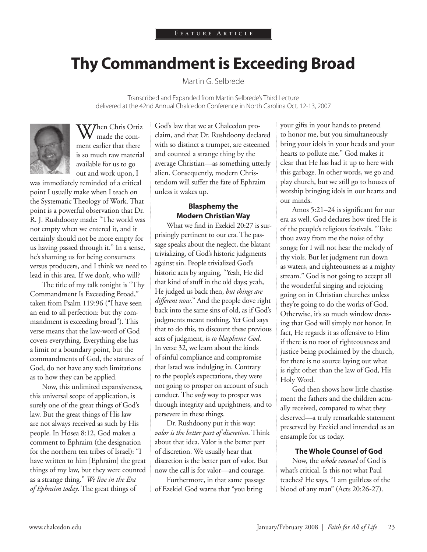## **Thy Commandment is Exceeding Broad**

Martin G. Selbrede

Transcribed and Expanded from Martin Selbrede's Third Lecture delivered at the 42nd Annual Chalcedon Conference in North Carolina Oct. 12-13, 2007



**V7** hen Chris Ortiz made the comment earlier that there is so much raw material available for us to go out and work upon, I

was immediately reminded of a critical point I usually make when I teach on the Systematic Theology of Work. That point is a powerful observation that Dr. R. J. Rushdoony made: "The world was not empty when we entered it, and it certainly should not be more empty for us having passed through it." In a sense, he's shaming us for being consumers versus producers, and I think we need to lead in this area. If we don't, who will?

The title of my talk tonight is "Thy Commandment Is Exceeding Broad," taken from Psalm 119:96 ("I have seen an end to all perfection: but thy commandment is exceeding broad"). This verse means that the law-word of God covers everything. Everything else has a limit or a boundary point, but the commandments of God, the statutes of God, do not have any such limitations as to how they can be applied.

Now, this unlimited expansiveness, this universal scope of application, is surely one of the great things of God's law. But the great things of His law are not always received as such by His people. In Hosea 8:12, God makes a comment to Ephraim (the designation for the northern ten tribes of Israel): "I have written to him [Ephraim] the great things of my law, but they were counted as a strange thing." *We live in the Era of Ephraim today*. The great things of

God's law that we at Chalcedon proclaim, and that Dr. Rushdoony declared with so distinct a trumpet, are esteemed and counted a strange thing by the average Christian—as something utterly alien. Consequently, modern Christendom will suffer the fate of Ephraim unless it wakes up.

#### **Blasphemy the Modern Christian Way**

What we find in Ezekiel 20:27 is surprisingly pertinent to our era. The passage speaks about the neglect, the blatant trivializing, of God's historic judgments against sin. People trivialized God's historic acts by arguing, "Yeah, He did that kind of stuff in the old days; yeah, He judged us back then, *but things are different now*." And the people dove right back into the same sins of old, as if God's judgments meant nothing. Yet God says that to do this, to discount these previous acts of judgment, is *to blaspheme God*. In verse 32, we learn about the kinds of sinful compliance and compromise that Israel was indulging in. Contrary to the people's expectations, they were not going to prosper on account of such conduct. The *only* way to prosper was through integrity and uprightness, and to persevere in these things.

Dr. Rushdoony put it this way: *valor is the better part of discretion*. Think about that idea. Valor is the better part of discretion. We usually hear that discretion is the better part of valor. But now the call is for valor—and courage.

Furthermore, in that same passage of Ezekiel God warns that "you bring

your gifts in your hands to pretend to honor me, but you simultaneously bring your idols in your heads and your hearts to pollute me." God makes it clear that He has had it up to here with this garbage. In other words, we go and play church, but we still go to houses of worship bringing idols in our hearts and our minds.

Amos 5:21–24 is significant for our era as well. God declares how tired He is of the people's religious festivals. "Take thou away from me the noise of thy songs; for I will not hear the melody of thy viols. But let judgment run down as waters, and righteousness as a mighty stream." God is not going to accept all the wonderful singing and rejoicing going on in Christian churches unless they're going to do the works of God. Otherwise, it's so much window dressing that God will simply not honor. In fact, He regards it as offensive to Him if there is no root of righteousness and justice being proclaimed by the church, for there is no source laying out what is right other than the law of God, His Holy Word.

God then shows how little chastisement the fathers and the children actually received, compared to what they deserved—a truly remarkable statement preserved by Ezekiel and intended as an ensample for us today.

#### **The Whole Counsel of God**

Now, the *whole counsel* of God is what's critical. Is this not what Paul teaches? He says, "I am guiltless of the blood of any man" (Acts 20:26-27).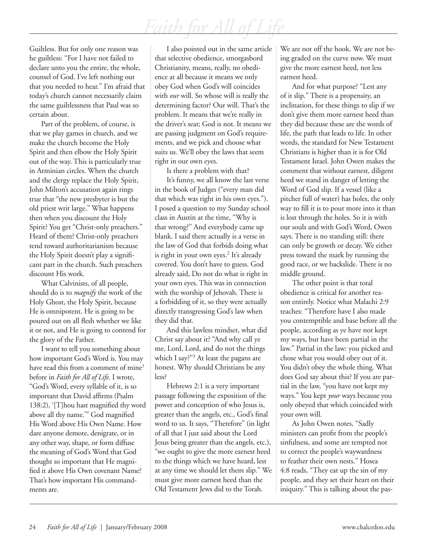Guiltless. But for only one reason was he guiltless: "For I have not failed to declare unto you the entire, the whole, counsel of God. I've left nothing out that you needed to hear." I'm afraid that today's church cannot necessarily claim the same guiltlessness that Paul was so certain about.

Part of the problem, of course, is that we play games in church, and we make the church become the Holy Spirit and then elbow the Holy Spirit out of the way. This is particularly true in Arminian circles. When the church and the clergy replace the Holy Spirit, John Milton's accusation again rings true that "the new presbyter is but the old priest writ large." What happens then when you discount the Holy Spirit? You get "Christ-only preachers." Heard of them? Christ-only preachers tend toward authoritarianism because the Holy Spirit doesn't play a significant part in the church. Such preachers discount His work.

What Calvinists, of all people, should do is to *magnify* the work of the Holy Ghost, the Holy Spirit, because He is omnipotent. He is going to be poured out on all flesh whether we like it or not, and He is going to contend for the glory of the Father.

I want to tell you something about how important God's Word is. You may have read this from a comment of mine<sup>1</sup> before in *Faith for All of Life*. I wrote, "God's Word, every syllable of it, is so important that David affirms (Psalm 138:2), '[T]hou hast magnified thy word above all thy name.'" God magnified His Word above His Own Name. How dare anyone demote, denigrate, or in any other way, shape, or form diffuse the meaning of God's Word that God thought so important that He magnified it above His Own covenant Name? That's how important His commandments are.

I also pointed out in the same article that selective obedience, smorgasbord Christianity, means, really, no obedience at all because it means we only obey God when God's will coincides with *our* will. So whose will is really the determining factor? Our will. That's the problem. It means that we're really in the driver's seat; God is not. It means we are passing judgment on God's requirements, and we pick and choose what suits us. We'll obey the laws that seem right in our own eyes.

Is there a problem with that?

It's funny, we all know the last verse in the book of Judges ("every man did that which was right in his own eyes."). I posed a question to my Sunday school class in Austin at the time, "Why is that wrong?" And everybody came up blank. I said there actually is a verse in the law of God that forbids doing what is right in your own eyes.<sup>2</sup> It's already covered. You don't have to guess. God already said, Do not do what is right in your own eyes. This was in connection with the worship of Jehovah. There is a forbidding of it, so they were actually directly transgressing God's law when they did that.

And this lawless mindset, what did Christ say about it? "And why call ye me, Lord, Lord, and do not the things which I say?"3 At least the pagans are honest. Why should Christians be any less?

Hebrews 2:1 is a very important passage following the exposition of the power and conception of who Jesus is, greater than the angels, etc., God's final word to us. It says, "Therefore" (in light of all that I just said about the Lord Jesus being greater than the angels, etc.), "we ought to give the more earnest heed to the things which we have heard, lest at any time we should let them slip." We must give more earnest heed than the Old Testament Jews did to the Torah.

We are not off the hook. We are not being graded on the curve now. We must give the more earnest heed, not less earnest heed.

And for what purpose? "Lest any of it slip." There is a propensity, an inclination, for these things to slip if we don't give them more earnest heed than they did because these are the words of life, the path that leads to life. In other words, the standard for New Testament Christians is higher than it is for Old Testament Israel. John Owen makes the comment that without earnest, diligent heed we stand in danger of letting the Word of God slip. If a vessel (like a pitcher full of water) has holes, the only way to fill it is to pour more into it than is lost through the holes. So it is with our souls and with God's Word, Owen says. There is no standing still: there can only be growth or decay. We either press toward the mark by running the good race, or we backslide. There is no middle ground.

The other point is that total obedience is critical for another reason entirely. Notice what Malachi 2:9 teaches: "Therefore have I also made you contemptible and base before all the people, according as ye have not kept my ways, but have been partial in the law." Partial in the law: you picked and chose what you would obey out of it. You didn't obey the whole thing. What does God say about this? If you are partial in the law, "you have not kept my ways." You kept *your* ways because you only obeyed that which coincided with your own will.

As John Owen notes, "Sadly ministers can profit from the people's sinfulness, and some are tempted not to correct the people's waywardness to feather their own nests." Hosea 4:8 reads, "They eat up the sin of my people, and they set their heart on their iniquity." This is talking about the pas-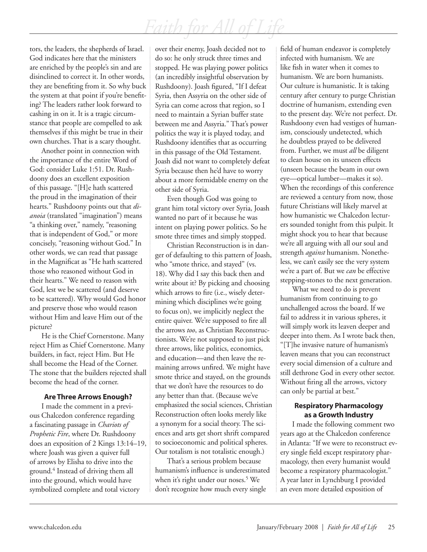tors, the leaders, the shepherds of Israel. God indicates here that the ministers are enriched by the people's sin and are disinclined to correct it. In other words, they are benefiting from it. So why buck the system at that point if you're benefiting? The leaders rather look forward to cashing in on it. It is a tragic circumstance that people are compelled to ask themselves if this might be true in their own churches. That is a scary thought.

Another point in connection with the importance of the entire Word of God: consider Luke 1:51. Dr. Rushdoony does an excellent exposition of this passage. "[H]e hath scattered the proud in the imagination of their hearts." Rushdoony points out that *dianoia* (translated "imagination") means "a thinking over," namely, "reasoning that is independent of God," or more concisely, "reasoning without God." In other words, we can read that passage in the Magnificat as "He hath scattered those who reasoned without God in their hearts." We need to reason with God, lest we be scattered (and deserve to be scattered). Why would God honor and preserve those who would reason without Him and leave Him out of the picture?

He is the Chief Cornerstone. Many reject Him as Chief Cornerstone. Many builders, in fact, reject Him. But He shall become the Head of the Corner. The stone that the builders rejected shall become the head of the corner.

#### **Are Three Arrows Enough?**

I made the comment in a previous Chalcedon conference regarding a fascinating passage in *Chariots of Prophetic Fire*, where Dr. Rushdoony does an exposition of 2 Kings 13:14–19, where Joash was given a quiver full of arrows by Elisha to drive into the ground.4 Instead of driving them all into the ground, which would have symbolized complete and total victory

over their enemy, Joash decided not to do so: he only struck three times and stopped. He was playing power politics (an incredibly insightful observation by Rushdoony). Joash figured, "If I defeat Syria, then Assyria on the other side of Syria can come across that region, so I need to maintain a Syrian buffer state between me and Assyria." That's power politics the way it is played today, and Rushdoony identifies that as occurring in this passage of the Old Testament. Joash did not want to completely defeat Syria because then he'd have to worry about a more formidable enemy on the other side of Syria.

Even though God was going to grant him total victory over Syria, Joash wanted no part of it because he was intent on playing power politics. So he smote three times and simply stopped.

Christian Reconstruction is in danger of defaulting to this pattern of Joash, who "smote thrice, and stayed" (vs. 18). Why did I say this back then and write about it? By picking and choosing which arrows to fire (i.e., wisely determining which disciplines we're going to focus on), we implicitly neglect the entire quiver. We're supposed to fire all the arrows *too*, as Christian Reconstructionists. We're not supposed to just pick three arrows, like politics, economics, and education—and then leave the remaining arrows unfired. We might have smote thrice and stayed, on the grounds that we don't have the resources to do any better than that. (Because we've emphasized the social sciences, Christian Reconstruction often looks merely like a synonym for a social theory. The sciences and arts get short shrift compared to socioeconomic and political spheres. Our totalism is not totalistic enough.)

That's a serious problem because humanism's influence is underestimated when it's right under our noses.<sup>5</sup> We don't recognize how much every single

field of human endeavor is completely infected with humanism. We are like fish in water when it comes to humanism. We are born humanists. Our culture is humanistic. It is taking century after century to purge Christian doctrine of humanism, extending even to the present day. We're not perfect. Dr. Rushdoony even had vestiges of humanism, consciously undetected, which he doubtless prayed to be delivered from. Further, we must *all* be diligent to clean house on its unseen effects (unseen because the beam in our own eye—optical lumber—makes it so). When the recordings of this conference are reviewed a century from now, those future Christians will likely marvel at how humanistic we Chalcedon lecturers sounded tonight from this pulpit. It might shock you to hear that because we're all arguing with all our soul and strength *against* humanism. Nonetheless, we can't easily see the very system we're a part of. But we *can* be effective stepping-stones to the next generation.

What we need to do is prevent humanism from continuing to go unchallenged across the board. If we fail to address it in various spheres, it will simply work its leaven deeper and deeper into them. As I wrote back then, "[T]he invasive nature of humanism's leaven means that you can reconstruct every social dimension of a culture and still dethrone God in every other sector. Without firing all the arrows, victory can only be partial at best."

#### **Respiratory Pharmacology as a Growth Industry**

I made the following comment two years ago at the Chalcedon conference in Atlanta: "If we were to reconstruct every single field except respiratory pharmacology, then every humanist would become a respiratory pharmacologist." A year later in Lynchburg I provided an even more detailed exposition of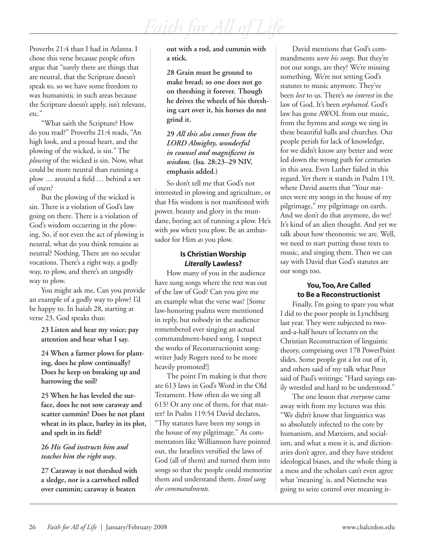Proverbs 21:4 than I had in Atlanta. I chose this verse because people often argue that "surely there are things that are neutral, that the Scripture doesn't speak to, so we have some freedom to wax humanistic in such areas because the Scripture doesn't apply, isn't relevant, etc."

"What saith the Scripture? How do you read?" Proverbs 21:4 reads, "An high look, and a proud heart, and the plowing of the wicked, is sin." The *plowing* of the wicked is sin. Now, what could be more neutral than running a plow … around a field … behind a set of oxen?

But the plowing of the wicked is sin. There is a violation of God's law going on there. There is a violation of God's wisdom occurring in the plowing. So, if not even the act of plowing is neutral, what do you think remains as neutral? Nothing. There are no secular vocations. There's a right way, a godly way, to plow, and there's an ungodly way to plow.

You might ask me, Can you provide an example of a godly way to plow? I'd be happy to. In Isaiah 28, starting at verse 23, God speaks thus:

**23 Listen and hear my voice; pay attention and hear what I say.**

**24 When a farmer plows for planting, does he plow continually? Does he keep on breaking up and harrowing the soil?**

**25 When he has leveled the surface, does he not sow caraway and scatter cummin? Does he not plant wheat in its place, barley in its plot, and spelt in its field?**

#### **26** *His God instructs him and teaches him the right way***.**

**27 Caraway is not threshed with a sledge, nor is a cartwheel rolled over cummin; caraway is beaten** 

**out with a rod, and cummin with a stick.**

**28 Grain must be ground to make bread; so one does not go on threshing it forever. Though he drives the wheels of his threshing cart over it, his horses do not grind it.**

#### **29** *All this also comes from the LORD Almighty, wonderful in counsel and magnificent in wisdom***. (Isa. 28:23–29 NIV, emphasis added.)**

So don't tell me that God's not interested in plowing and agriculture, or that His wisdom is not manifested with power, beauty and glory in the mundane, boring act of running a plow. He's with *you* when you plow. Be an ambassador for Him *as* you plow.

#### **Is Christian Worship** *Literally* **Lawless?**

How many of you in the audience have sung songs where the text was out of the law of God? Can you give me an example what the verse was? [Some law-honoring psalms were mentioned in reply, but nobody in the audience remembered ever singing an actual commandment-based song. I suspect the works of Reconstructionist songwriter Judy Rogers need to be more heavily promoted!]

The point I'm making is that there are 613 laws in God's Word in the Old Testament. How often do we sing all 613? Or any one of them, for that matter? In Psalm 119:54 David declares, "Thy statutes have been my songs in the house of my pilgrimage." As commentators like Williamson have pointed out, the Israelites versified the laws of God (all of them) and turned them into songs so that the people could memorize them and understand them. *Israel sang the commandments.* 

David mentions that God's commandments *were his songs*. But they're not our songs, are they? We're missing something. We're not setting God's statutes to music anymore. They've been *lost* to us. There's *no interest* in the law of God. It's been *orphaned*. God's law has gone AWOL from our music, from the hymns and songs we sing in these beautiful halls and churches. Our people perish for lack of knowledge, for we didn't know any better and were led down the wrong path for centuries in this area. Even Luther failed in this regard. Yet there it stands in Psalm 119, where David asserts that "Your statutes were my songs in the house of my pilgrimage," my pilgrimage on earth. And we don't do that anymore, do we? It's kind of an alien thought. And yet we talk about how theonomic we are. Well, we need to start putting those texts to music, and singing them. Then we can say with David that God's statutes are our songs too.

#### **You, Too, Are Called to Be a Reconstructionist**

Finally, I'm going to spare you what I did to the poor people in Lynchburg last year. They were subjected to twoand-a-half hours of lectures on the Christian Reconstruction of linguistic theory, comprising over 178 PowerPoint slides. Some people got a lot out of it, and others said of my talk what Peter said of Paul's writings: "Hard sayings easily wrestled and hard to be understood."

The one lesson that *everyone* came away with from my lectures was this: "We didn't know that linguistics was so absolutely infected to the core by humanism, and Marxism, and socialism, and what a mess it is, and dictionaries don't agree, and they have strident ideological biases, and the whole thing is a mess and the scholars can't even agree what 'meaning' is, and Nietzsche was going to seize control over meaning it-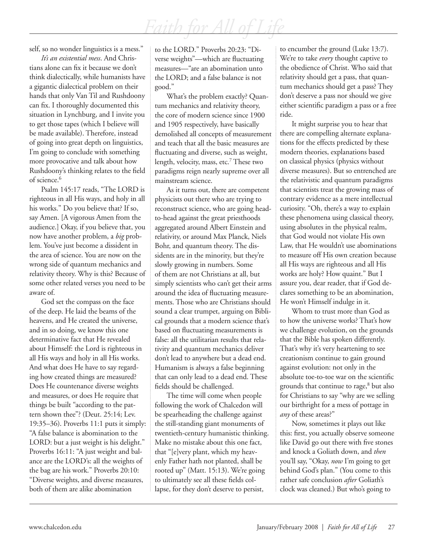self, so no wonder linguistics is a mess."

*It's an existential mess*. And Christians alone can fix it because we don't think dialectically, while humanists have a gigantic dialectical problem on their hands that only Van Til and Rushdoony can fix. I thoroughly documented this situation in Lynchburg, and I invite you to get those tapes (which I believe will be made available). Therefore, instead of going into great depth on linguistics, I'm going to conclude with something more provocative and talk about how Rushdoony's thinking relates to the field of science.<sup>6</sup>

Psalm 145:17 reads, "The LORD is righteous in all His ways, and holy in all his works." Do you believe that? If so, say Amen. [A vigorous Amen from the audience.] Okay, if you believe that, you now have another problem, a *big* problem. You've just become a dissident in the area of science. You are now on the wrong side of quantum mechanics and relativity theory. Why is this? Because of some other related verses you need to be aware of.

God set the compass on the face of the deep. He laid the beams of the heavens, and He created the universe, and in so doing, we know this one determinative fact that He revealed about Himself: the Lord is righteous in all His ways and holy in all His works. And what does He have to say regarding how created things are measured? Does He countenance diverse weights and measures, or does He require that things be built "according to the pattern shown thee"? (Deut. 25:14; Lev. 19:35–36). Proverbs 11:1 puts it simply: "A false balance is abomination to the LORD: but a just weight is his delight." Proverbs 16:11: "A just weight and balance are the LORD's: all the weights of the bag are his work." Proverbs 20:10: "Diverse weights, and diverse measures, both of them are alike abomination

to the LORD." Proverbs 20:23: "Diverse weights"—which are fluctuating measures—"are an abomination unto the LORD; and a false balance is not good."

What's the problem exactly? Quantum mechanics and relativity theory, the core of modern science since 1900 and 1905 respectively, have basically demolished all concepts of measurement and teach that all the basic measures are fluctuating and diverse, such as weight, length, velocity, mass, etc.7 These two paradigms reign nearly supreme over all mainstream science.

As it turns out, there are competent physicists out there who are trying to reconstruct science, who are going headto-head against the great priesthoods aggregated around Albert Einstein and relativity, or around Max Planck, Niels Bohr, and quantum theory. The dissidents are in the minority, but they're slowly growing in numbers. Some of them are not Christians at all, but simply scientists who can't get their arms around the idea of fluctuating measurements. Those who are Christians should sound a clear trumpet, arguing on Biblical grounds that a modern science that's based on fluctuating measurements is false: all the utilitarian results that relativity and quantum mechanics deliver don't lead to anywhere but a dead end. Humanism is always a false beginning that can only lead to a dead end. These fields should be challenged.

The time will come when people following the work of Chalcedon will be spearheading the challenge against the still-standing giant monuments of twentieth-century humanistic thinking. Make no mistake about this one fact, that "[e]very plant, which my heavenly Father hath not planted, shall be rooted up" (Matt. 15:13). We're going to ultimately see all these fields collapse, for they don't deserve to persist,

to encumber the ground (Luke 13:7). We're to take *every* thought captive to the obedience of Christ. Who said that relativity should get a pass, that quantum mechanics should get a pass? They don't deserve a pass nor should we give either scientific paradigm a pass or a free ride.

It might surprise you to hear that there are compelling alternate explanations for the effects predicted by these modern theories, explanations based on classical physics (physics without diverse measures). But so entrenched are the relativistic and quantum paradigms that scientists treat the growing mass of contrary evidence as a mere intellectual curiosity. "Oh, there's a way to explain these phenomena using classical theory, using absolutes in the physical realm, that God would not violate His own Law, that He wouldn't use abominations to measure off His own creation because all His ways are righteous and all His works are holy? How quaint." But I assure you, dear reader, that if God declares something to be an abomination, He won't Himself indulge in it.

Whom to trust more than God as to how the universe works? That's how we challenge evolution, on the grounds that the Bible has spoken differently. That's why it's very heartening to see creationism continue to gain ground against evolution: not only in the absolute toe-to-toe war on the scientific grounds that continue to rage,8 but also for Christians to say "why are we selling our birthright for a mess of pottage in *any* of these areas?"

Now, sometimes it plays out like this: first, you actually observe someone like David go out there with five stones and knock a Goliath down, and *then* you'll say, "Okay, *now* I'm going to get behind God's plan." (You come to this rather safe conclusion *after* Goliath's clock was cleaned.) But who's going to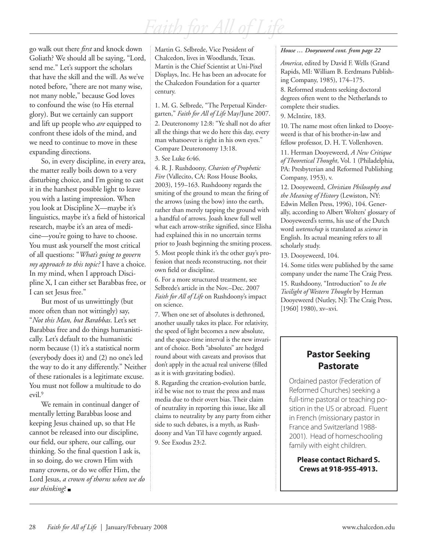go walk out there *first* and knock down Goliath? We should all be saying, "Lord, send me." Let's support the scholars that have the skill and the will. As we've noted before, "there are not many wise, not many noble," because God loves to confound the wise (to His eternal glory). But we certainly can support and lift up people who *are* equipped to confront these idols of the mind, and we need to continue to move in these expanding directions.

So, in every discipline, in every area, the matter really boils down to a very disturbing choice, and I'm going to cast it in the harshest possible light to leave you with a lasting impression. When you look at Discipline X—maybe it's linguistics, maybe it's a field of historical research, maybe it's an area of medicine—you're going to have to choose. You must ask yourself the most critical of all questions: "*What's going to govern my approach to this topic?* I have a choice. In my mind, when I approach Discipline X, I can either set Barabbas free, or I can set Jesus free."

But most of us unwittingly (but more often than not wittingly) say, "*Not this Man, but Barabbas*. Let's set Barabbas free and do things humanistically. Let's default to the humanistic norm because (1) it's a statistical norm (everybody does it) and (2) no one's led the way to do it any differently." Neither of these rationales is a legitimate excuse. You must not follow a multitude to do evil.9

We remain in continual danger of mentally letting Barabbas loose and keeping Jesus chained up, so that He cannot be released into our discipline, our field, our sphere, our calling, our thinking. So the final question I ask is, in so doing, do we crown Him with many crowns, or do we offer Him, the Lord Jesus, *a crown of thorns when we do our thinking*?

Martin G. Selbrede, Vice President of Chalcedon, lives in Woodlands, Texas. Martin is the Chief Scientist at Uni-Pixel Displays, Inc. He has been an advocate for the Chalcedon Foundation for a quarter century.

1. M. G. Selbrede, "The Perpetual Kindergarten," *Faith for All of Life* May/June 2007. 2. Deuteronomy 12:8: "Ye shall not do after all the things that we do here this day, every man whatsoever is right in his own eyes." Compare Deuteronomy 13:18.

3. See Luke 6:46.

4. R. J. Rushdoony, *Chariots of Prophetic Fire* (Vallecito, CA: Ross House Books, 2003), 159–163. Rushdoony regards the smiting of the ground to mean the firing of the arrows (using the bow) into the earth, rather than merely tapping the ground with a handful of arrows. Joash knew full well what each arrow-strike signified, since Elisha had explained this in no uncertain terms prior to Joash beginning the smiting process. 5. Most people think it's the other guy's profession that needs reconstructing, not their own field or discipline.

6. For a more structured treatment, see Selbrede's article in the Nov.–Dec. 2007 *Faith for All of Life* on Rushdoony's impact on science.

7. When one set of absolutes is dethroned, another usually takes its place. For relativity, the speed of light becomes a new absolute, and the space-time interval is the new invariant of choice. Both "absolutes" are hedged round about with caveats and provisos that don't apply in the actual real universe (filled as it is with gravitating bodies).

8. Regarding the creation-evolution battle, it'd be wise not to trust the press and mass media due to their overt bias. Their claim of neutrality in reporting this issue, like all claims to neutrality by any party from either side to such debates, is a myth, as Rushdoony and Van Til have cogently argued. 9. See Exodus 23:2.

#### *House … Dooyeweerd cont. from page 22*

*America*, edited by David F. Wells (Grand Rapids, MI: William B. Eerdmans Publishing Company, 1985), 174–175.

8. Reformed students seeking doctoral degrees often went to the Netherlands to complete their studies.

9. McIntire, 183.

10. The name most often linked to Dooyeweerd is that of his brother-in-law and fellow professor, D. H. T. Vollenhoven.

11. Herman Dooyeweerd, *A New Critique of Theoretical Thought*, Vol. 1 (Philadelphia, PA: Presbyterian and Reformed Publishing Company, 1953), v.

12. Dooyeweerd, *Christian Philosophy and the Meaning of History* (Lewiston, NY: Edwin Mellen Press, 1996), 104. Generally, according to Albert Wolters' glossary of Dooyeweerd's terms, his use of the Dutch word *wetenschap* is translated as *science* in English. Its actual meaning refers to all scholarly study.

13. Dooyeweerd, 104.

14. Some titles were published by the same company under the name The Craig Press. 15. Rushdoony, "Introduction" to *In the Twilight of Western Thought* by Herman Dooyeweerd (Nutley, NJ: The Craig Press, [1960] 1980), xv-xvi.

### **Pastor Seeking Pastorate**

Ordained pastor (Federation of Reformed Churches) seeking a full-time pastoral or teaching position in the US or abroad. Fluent in French (missionary pastor in France and Switzerland 1988- 2001). Head of homeschooling family with eight children.

**Please contact Richard S. Crews at 918-955-4913.**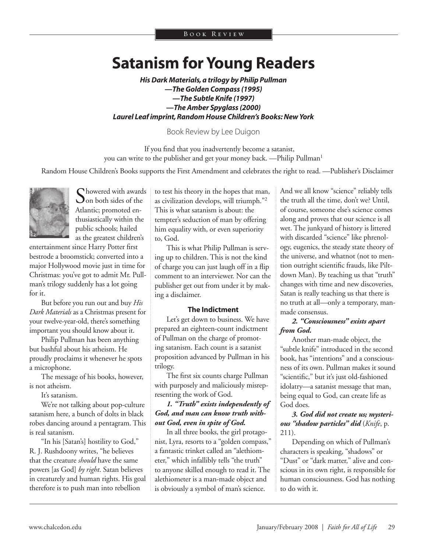## **Satanism for Young Readers**

*His Dark Materials, a trilogy by Philip Pullman —The Golden Compass (1995) —The Subtle Knife (1997) —The Amber Spyglass (2000) Laurel Leaf imprint, Random House Children's Books: New York*

Book Review by Lee Duigon

If you find that you inadvertently become a satanist, you can write to the publisher and get your money back. —Philip Pullman<sup>1</sup>

Random House Children's Books supports the First Amendment and celebrates the right to read. —Publisher's Disclaimer



Chowered with awards  $\mathbf{\cup}$  on both sides of the Atlantic; promoted enthusiastically within the public schools; hailed as the greatest children's

entertainment since Harry Potter first bestrode a broomstick; converted into a major Hollywood movie just in time for Christmas: you've got to admit Mr. Pullman's trilogy suddenly has a lot going for it.

But before you run out and buy *His Dark Materials* as a Christmas present for your twelve-year-old, there's something important you should know about it.

Philip Pullman has been anything but bashful about his atheism. He proudly proclaims it whenever he spots a microphone.

The message of his books, however, is not atheism.

It's satanism.

We're not talking about pop-culture satanism here, a bunch of dolts in black robes dancing around a pentagram. This is real satanism.

"In his [Satan's] hostility to God," R. J. Rushdoony writes, "he believes that the creature *should* have the same powers [as God] *by right*. Satan believes in creaturely and human rights. His goal therefore is to push man into rebellion

to test his theory in the hopes that man, as civilization develops, will triumph."2 This is what satanism is about: the tempter's seduction of man by offering him equality with, or even superiority to, God.

This is what Philip Pullman is serving up to children. This is not the kind of charge you can just laugh off in a flip comment to an interviewer. Nor can the publisher get out from under it by making a disclaimer.

#### **The Indictment**

Let's get down to business. We have prepared an eighteen-count indictment of Pullman on the charge of promoting satanism. Each count is a satanist proposition advanced by Pullman in his trilogy.

The first six counts charge Pullman with purposely and maliciously misrepresenting the work of God.

#### *1. "Truth" exists independently of God, and man can know truth without God, even in spite of God.*

In all three books, the girl protagonist, Lyra, resorts to a "golden compass," a fantastic trinket called an "alethiometer," which infallibly tells "the truth" to anyone skilled enough to read it. The alethiometer is a man-made object and is obviously a symbol of man's science.

And we all know "science" reliably tells the truth all the time, don't we? Until, of course, someone else's science comes along and proves that our science is all wet. The junkyard of history is littered with discarded "science" like phrenology, eugenics, the steady state theory of the universe, and whatnot (not to mention outright scientific frauds, like Piltdown Man). By teaching us that "truth" changes with time and new discoveries, Satan is really teaching us that there is no truth at all—only a temporary, manmade consensus.

#### *2. "Consciousness" exists apart from God.*

Another man-made object, the "subtle knife" introduced in the second book, has "intentions" and a consciousness of its own. Pullman makes it sound "scientific," but it's just old-fashioned idolatry—a satanist message that man, being equal to God, can create life as God does.

#### *3. God did not create us; mysterious "shadow particles" did* (*Knife*, p. 211).

Depending on which of Pullman's characters is speaking, "shadows" or "Dust" or "dark matter," alive and conscious in its own right, is responsible for human consciousness. God has nothing to do with it.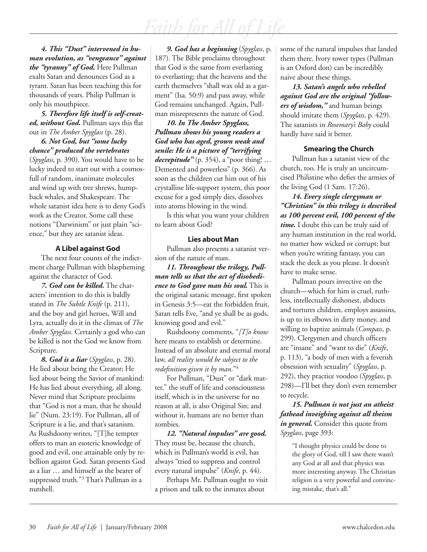*4. This "Dust" intervened in human evolution, as "vengeance" against the "tyranny" of God.* Here Pullman exalts Satan and denounces God as a tyrant. Satan has been teaching this for thousands of years. Philip Pullman is only his mouthpiece.

*5. Therefore life itself is self-created, without God.* Pullman says this flat out in *The Amber Spyglass* (p. 28).

*6. Not God, but "some lucky chance" produced the vertebrates* (*Spyglass*, p. 390). You would have to be lucky indeed to start out with a cosmosfull of random, inanimate molecules and wind up with tree shrews, humpback whales, and Shakespeare. The whole satanist idea here is to deny God's work as the Creator. Some call these notions "Darwinism" or just plain "science," but they are satanist ideas.

#### **A Libel against God**

The next four counts of the indictment charge Pullman with blaspheming against the character of God.

*7. God can be killed.* The characters' intention to do this is baldly stated in *The Subtle Knife* (p. 211), and the boy and girl heroes, Will and Lyra, actually do it in the climax of *The Amber Spyglass*. Certainly a god who can be killed is not the God we know from Scripture.

*8. God is a liar* (*Spyglass*, p. 28). He lied about being the Creator; He lied about being the Savior of mankind: He has lied about everything, all along. Never mind that Scripture proclaims that "God is not a man, that he should lie" (Num. 23:19). For Pullman, all of Scripture is a lie, and that's satanism. As Rushdoony writes, "[T]he tempter offers to man an esoteric knowledge of good and evil, one attainable only by rebellion against God. Satan presents God as a liar … and himself as the bearer of suppressed truth."<sup>3</sup> That's Pullman in a nutshell.

*9. God has a beginning* (*Spyglass*, p. 187). The Bible proclaims throughout that God is the same from everlasting to everlasting; that the heavens and the earth themselves "shall wax old as a garment" (Isa. 50:9) and pass away, while God remains unchanged. Again, Pullman misrepresents the nature of God.

*10. In The Amber Spyglass, Pullman shows his young readers a God who has aged, grown weak and senile: He is a picture of "terrifying decrepitude"* (p. 354), a "poor thing! … Demented and powerless" (p. 366). As soon as the children cut him out of his crystalline life-support system, this poor excuse for a god simply dies, dissolves into atoms blowing in the wind.

Is this what you want your children to learn about God?

#### **Lies about Man**

Pullman also presents a satanist version of the nature of man.

*11. Throughout the trilogy, Pullman tells us that the act of disobedience to God gave man his soul.* This is the original satanic message, first spoken in Genesis 3:5—eat the forbidden fruit, Satan tells Eve, "and ye shall be as gods, knowing good and evil."

Rushdoony comments, "*[T]o know* here means to establish or determine. Instead of an absolute and eternal moral law, *all reality would be subject to the redefinition given it by man*."4

For Pullman, "Dust" or "dark matter," the stuff of life and consciousness itself, which is in the universe for no reason at all, is also Original Sin; and without it, humans are no better than zombies.

*12. "Natural impulses" are good.*  They must be, because the church, which in Pullman's world is evil, has always "tried to suppress and control every natural impulse" (*Knife*, p. 44).

Perhaps Mr. Pullman ought to visit a prison and talk to the inmates about

some of the natural impulses that landed them there. Ivory tower types (Pullman is an Oxford don) can be incredibly naive about these things.

*13. Satan's angels who rebelled against God are the original "followers of wisdom,"* and human beings should imitate them (*Spyglass*, p. 429). The satanists in *Rosemary's Baby* could hardly have said it better.

#### **Smearing the Church**

Pullman has a satanist view of the church, too. He is truly an uncircumcised Philistine who defies the armies of the living God (1 Sam. 17:26).

*14. Every single clergyman or "Christian" in this trilogy is described as 100 percent evil, 100 percent of the time.* I doubt this can be truly said of any human institution in the real world, no matter how wicked or corrupt; but when you're writing fantasy, you can stack the deck as you please. It doesn't have to make sense.

Pullman pours invective on the church—which for him is cruel, ruthless, intellectually dishonest, abducts and tortures children, employs assassins, is up to its elbows in dirty money, and willing to baptize animals (*Compass*, p. 299). Clergymen and church officers are "insane" and "want to die" (*Knife*, p. 113), "a body of men with a feverish obsession with sexuality" (*Spyglass*, p. 292), they practice voodoo (*Spyglass*, p. 298)—I'll bet they don't even remember to recycle.

*15. Pullman is not just an atheist fathead inveighing against all theism*  in general. Consider this quote from *Spyglass*, page 393:

> "I thought physics could be done to the glory of God, till I saw there wasn't any God at all and that physics was more interesting anyway. The Christian religion is a very powerful and convincing mistake, that's all."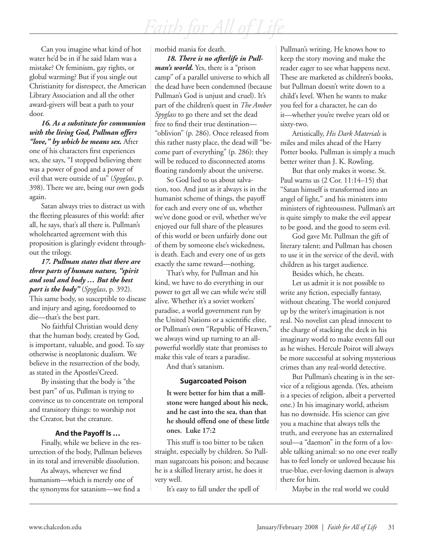Can you imagine what kind of hot water he'd be in if he said Islam was a mistake? Or feminism, gay rights, or global warming? But if you single out Christianity for disrespect, the American Library Association and all the other award-givers will beat a path to your door.

*16. As a substitute for communion with the living God, Pullman offers "love," by which he means sex.* After one of his characters first experiences sex, she says, "I stopped believing there was a power of good and a power of evil that were outside of us" (*Spyglass*, p. 398). There we are, being our own gods again.

Satan always tries to distract us with the fleeting pleasures of this world: after all, he says, that's all there is. Pullman's wholehearted agreement with this proposition is glaringly evident throughout the trilogy.

*17. Pullman states that there are three parts of human nature, "spirit and soul and body … But the best part is the body"* (*Spyglass*, p. 392). This same body, so susceptible to disease and injury and aging, foredoomed to die—that's the best part.

No faithful Christian would deny that the human body, created by God, is important, valuable, and good. To say otherwise is neoplatonic dualism. We believe in the resurrection of the body, as stated in the Apostles'Creed.

By insisting that the body is "the best part" of us, Pullman is trying to convince us to concentrate on temporal and transitory things: to worship not the Creator, but the creature.

#### **And the Payoff Is …**

Finally, while we believe in the resurrection of the body, Pullman believes in its total and irreversible dissolution.

As always, wherever we find humanism—which is merely one of the synonyms for satanism—we find a morbid mania for death.

*18. There is no afterlife in Pullman's world.* Yes, there is a "prison camp" of a parallel universe to which all the dead have been condemned (because Pullman's God is unjust and cruel). It's part of the children's quest in *The Amber Spyglass* to go there and set the dead free to find their true destination— "oblivion" (p. 286). Once released from this rather nasty place, the dead will "become part of everything" (p. 286): they will be reduced to disconnected atoms floating randomly about the universe.

So God lied to us about salvation, too. And just as it always is in the humanist scheme of things, the payoff for each and every one of us, whether we've done good or evil, whether we've enjoyed our full share of the pleasures of this world or been unfairly done out of them by someone else's wickedness, is death. Each and every one of us gets exactly the same reward—nothing.

That's why, for Pullman and his kind, we have to do everything in our power to get all we can while we're still alive. Whether it's a soviet workers' paradise, a world government run by the United Nations or a scientific elite, or Pullman's own "Republic of Heaven," we always wind up turning to an allpowerful worldly state that promises to make this vale of tears a paradise.

And that's satanism.

#### **Sugarcoated Poison**

**It were better for him that a millstone were hanged about his neck, and he cast into the sea, than that he should offend one of these little ones. Luke 17:2**

This stuff is too bitter to be taken straight, especially by children. So Pullman sugarcoats his poison; and because he is a skilled literary artist, he does it very well.

It's easy to fall under the spell of

Pullman's writing. He knows how to keep the story moving and make the reader eager to see what happens next. These are marketed as children's books, but Pullman doesn't write down to a child's level. When he wants to make you feel for a character, he can do it—whether you're twelve years old or sixty-two.

Artistically, *His Dark Materials* is miles and miles ahead of the Harry Potter books. Pullman is simply a much better writer than J. K. Rowling.

But that only makes it worse. St. Paul warns us (2 Cor. 11:14–15) that "Satan himself is transformed into an angel of light," and his ministers into ministers of righteousness. Pullman's art is quite simply to make the evil appear to be good, and the good to seem evil.

God gave Mr. Pullman the gift of literary talent; and Pullman has chosen to use it in the service of the devil, with children as his target audience.

Besides which, he cheats.

Let us admit it is not possible to write any fiction, especially fantasy, without cheating. The world conjured up by the writer's imagination is not real. No novelist can plead innocent to the charge of stacking the deck in his imaginary world to make events fall out as he wishes. Hercule Poirot will always be more successful at solving mysterious crimes than any real-world detective.

But Pullman's cheating is in the service of a religious agenda. (Yes, atheism is a species of religion, albeit a perverted one.) In his imaginary world, atheism has no downside. His science can give you a machine that always tells the truth, and everyone has an externalized soul—a "daemon" in the form of a lovable talking animal: so no one ever really has to feel lonely or unloved because his true-blue, ever-loving daemon is always there for him.

Maybe in the real world we could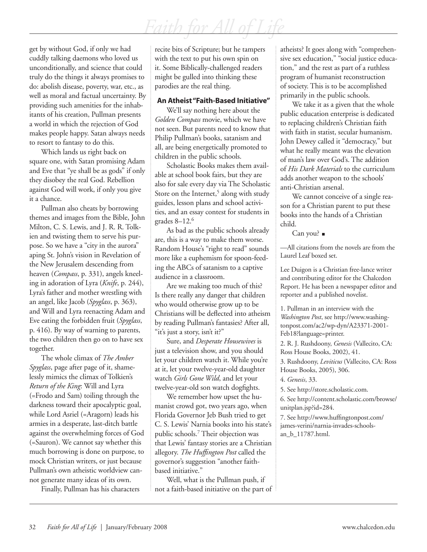get by without God, if only we had cuddly talking daemons who loved us unconditionally, and science that could truly do the things it always promises to do: abolish disease, poverty, war, etc., as well as moral and factual uncertainty. By providing such amenities for the inhabitants of his creation, Pullman presents a world in which the rejection of God makes people happy. Satan always needs to resort to fantasy to do this.

Which lands us right back on square one, with Satan promising Adam and Eve that "ye shall be as gods" if only they disobey the real God. Rebellion against God will work, if only you give it a chance.

Pullman also cheats by borrowing themes and images from the Bible, John Milton, C. S. Lewis, and J. R. R. Tolkien and twisting them to serve his purpose. So we have a "city in the aurora" aping St. John's vision in Revelation of the New Jerusalem descending from heaven (*Compass*, p. 331), angels kneeling in adoration of Lyra (*Knife*, p. 244), Lyra's father and mother wrestling with an angel, like Jacob (*Spyglass*, p. 363), and Will and Lyra reenacting Adam and Eve eating the forbidden fruit (*Spyglass*, p. 416). By way of warning to parents, the two children then go on to have sex together.

The whole climax of *The Amber Spyglass*, page after page of it, shamelessly mimics the climax of Tolkien's *Return of the King*: Will and Lyra (=Frodo and Sam) toiling through the darkness toward their apocalyptic goal, while Lord Asriel (=Aragorn) leads his armies in a desperate, last-ditch battle against the overwhelming forces of God (=Sauron). We cannot say whether this much borrowing is done on purpose, to mock Christian writers, or just because Pullman's own atheistic worldview cannot generate many ideas of its own.

Finally, Pullman has his characters

recite bits of Scripture; but he tampers with the text to put his own spin on it. Some Biblically-challenged readers might be gulled into thinking these parodies are the real thing.

#### **An Atheist "Faith-Based Initiative"**

We'll say nothing here about the *Golden Compass* movie, which we have not seen. But parents need to know that Philip Pullman's books, satanism and all, are being energetically promoted to children in the public schools.

Scholastic Books makes them available at school book fairs, but they are also for sale every day via The Scholastic Store on the Internet,<sup>5</sup> along with study guides, lesson plans and school activities, and an essay contest for students in grades  $8-12.6$ 

As bad as the public schools already are, this is a way to make them worse. Random House's "right to read" sounds more like a euphemism for spoon-feeding the ABCs of satanism to a captive audience in a classroom.

Are we making too much of this? Is there really any danger that children who would otherwise grow up to be Christians will be deflected into atheism by reading Pullman's fantasies? After all, "it's just a story, isn't it?"

Sure, and *Desperate Housewives* is just a television show, and you should let your children watch it. While you're at it, let your twelve-year-old daughter watch *Girls Gone Wild*, and let your twelve-year-old son watch dogfights.

We remember how upset the humanist crowd got, two years ago, when Florida Governor Jeb Bush tried to get C. S. Lewis' Narnia books into his state's public schools.7 Their objection was that Lewis' fantasy stories are a Christian allegory. *The Huffington Post* called the governor's suggestion "another faithbased initiative."

Well, what is the Pullman push, if not a faith-based initiative on the part of atheists? It goes along with "comprehensive sex education," "social justice education," and the rest as part of a ruthless program of humanist reconstruction of society. This is to be accomplished primarily in the public schools.

We take it as a given that the whole public education enterprise is dedicated to replacing children's Christian faith with faith in statist, secular humanism. John Dewey called it "democracy," but what he really meant was the elevation of man's law over God's. The addition of *His Dark Materials* to the curriculum adds another weapon to the schools' anti-Christian arsenal.

We cannot conceive of a single reason for a Christian parent to put these books into the hands of a Christian child.

Can you? ■

—All citations from the novels are from the Laurel Leaf boxed set.

Lee Duigon is a Christian free-lance writer and contributing editor for the Chalcedon Report. He has been a newspaper editor and reporter and a published novelist.

1. Pullman in an interview with the *Washington Post*, see http://www.washingtonpost.com/ac2/wp-dyn/A23371-2001- Feb18?language=printer.

2. R. J. Rushdoony, *Genesis* (Vallecito, CA: Ross House Books, 2002), 41.

3. Rushdoony, *Leviticus* (Vallecito, CA: Ross House Books, 2005), 306.

4. *Genesis*, 33.

5. See http://store.scholastic.com.

6. See http://content.scholastic.com/browse/ unitplan.jsp?id=284.

7. See http://www.huffingtonpost.com/ james-verini/narnia-invades-schoolsan\_b\_11787.html.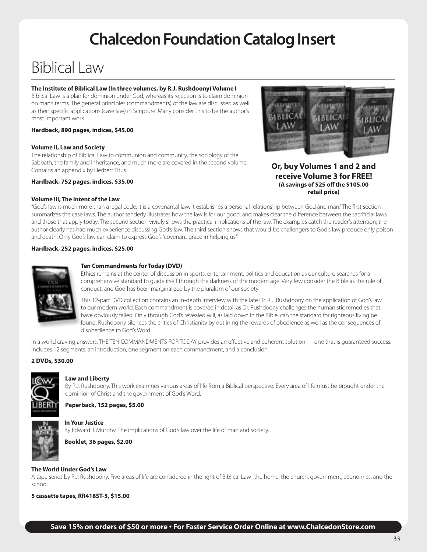# **Chalcedon Foundation Catalog Insert**

# Biblical Law

#### **The Institute of Biblical Law (In three volumes, by R.J. Rushdoony) Volume I**

Biblical Law is a plan for dominion under God, whereas its rejection is to claim dominion on man's terms. The general principles (commandments) of the law are discussed as well as their specific applications (case law) in Scripture. Many consider this to be the author's most important work.

#### **Hardback, 890 pages, indices, \$45.00**

#### **Volume II, Law and Society**

The relationship of Biblical Law to communion and community, the sociology of the Sabbath, the family and inheritance, and much more are covered in the second volume. Contains an appendix by Herbert Titus.

#### **Hardback, 752 pages, indices, \$35.00**

#### **Volume III, The Intent of the Law**



**Or, buy Volumes 1 and 2 and receive Volume 3 for FREE! (A savings of \$25 off the \$105.00 retail price)**

"God's law is much more than a legal code; it is a covenantal law. It establishes a personal relationship between God and man." The first section summarizes the case laws. The author tenderly illustrates how the law is for our good, and makes clear the difference between the sacrificial laws and those that apply today. The second section vividly shows the practical implications of the law. The examples catch the reader's attention; the author clearly has had much experience discussing God's law. The third section shows that would-be challengers to God's law produce only poison and death. Only God's law can claim to express God's "covenant grace in helping us."

#### **Hardback, 252 pages, indices, \$25.00**



#### **Ten Commandments for Today (DVD)**

Ethics remains at the center of discussion in sports, entertainment, politics and education as our culture searches for a comprehensive standard to guide itself through the darkness of the modern age. Very few consider the Bible as the rule of conduct, and God has been marginalized by the pluralism of our society.

This 12-part DVD collection contains an in-depth interview with the late Dr. R.J. Rushdoony on the application of God's law to our modern world. Each commandment is covered in detail as Dr. Rushdoony challenges the humanistic remedies that have obviously failed. Only through God's revealed will, as laid down in the Bible, can the standard for righteous living be found. Rushdoony silences the critics of Christianity by outlining the rewards of obedience as well as the consequences of disobedience to God's Word.

In a world craving answers, THE TEN COMMANDMENTS FOR TODAY provides an effective and coherent solution — one that is guaranteed success. Includes 12 segments: an introduction, one segment on each commandment, and a conclusion.

#### **2 DVDs, \$30.00**



#### **Law and Liberty**

By R.J. Rushdoony. This work examines various areas of life from a Biblical perspective. Every area of life must be brought under the dominion of Christ and the government of God's Word.

#### **Paperback, 152 pages, \$5.00**



#### **In Your Justice**

By Edward J. Murphy. The implications of God's law over the life of man and society.

**Booklet, 36 pages, \$2.00**

#### **The World Under God's Law**

A tape series by R.J. Rushdoony. Five areas of life are considered in the light of Biblical Law- the home, the church, government, economics, and the school.

**5 cassette tapes, RR418ST-5, \$15.00**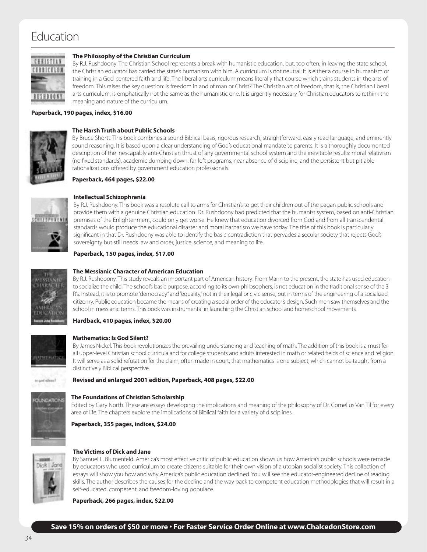## Education



#### **The Philosophy of the Christian Curriculum**

By R.J. Rushdoony. The Christian School represents a break with humanistic education, but, too often, in leaving the state school, the Christian educator has carried the state's humanism with him. A curriculum is not neutral: it is either a course in humanism or training in a God-centered faith and life. The liberal arts curriculum means literally that course which trains students in the arts of freedom. This raises the key question: is freedom in and of man or Christ? The Christian art of freedom, that is, the Christian liberal arts curriculum, is emphatically not the same as the humanistic one. It is urgently necessary for Christian educators to rethink the meaning and nature of the curriculum.

#### **Paperback, 190 pages, index, \$16.00**



#### **The Harsh Truth about Public Schools**

By Bruce Shortt. This book combines a sound Biblical basis, rigorous research, straightforward, easily read language, and eminently sound reasoning. It is based upon a clear understanding of God's educational mandate to parents. It is a thoroughly documented description of the inescapably anti-Christian thrust of any governmental school system and the inevitable results: moral relativism (no fixed standards), academic dumbing down, far-left programs, near absence of discipline, and the persistent but pitiable rationalizations offered by government education professionals.

**Paperback, 464 pages, \$22.00**



#### **Intellectual Schizophrenia**

By R.J. Rushdoony. This book was a resolute call to arms for Christian's to get their children out of the pagan public schools and provide them with a genuine Christian education. Dr. Rushdoony had predicted that the humanist system, based on anti-Christian premises of the Enlightenment, could only get worse. He knew that education divorced from God and from all transcendental standards would produce the educational disaster and moral barbarism we have today. The title of this book is particularly significant in that Dr. Rushdoony was able to identify the basic contradiction that pervades a secular society that rejects God's sovereignty but still needs law and order, justice, science, and meaning to life.

#### **Paperback, 150 pages, index, \$17.00**



#### **The Messianic Character of American Education**

By R.J. Rushdoony. This study reveals an important part of American history: From Mann to the present, the state has used education to socialize the child. The school's basic purpose, according to its own philosophers, is not education in the traditional sense of the 3 R's. Instead, it is to promote "democracy" and "equality," not in their legal or civic sense, but in terms of the engineering of a socialized citizenry. Public education became the means of creating a social order of the educator's design. Such men saw themselves and the school in messianic terms. This book was instrumental in launching the Christian school and homeschool movements.

#### **Hardback, 410 pages, index, \$20.00**



Franke hop as

#### **Mathematics: Is God Silent?**

By James Nickel. This book revolutionizes the prevailing understanding and teaching of math. The addition of this book is a must for all upper-level Christian school curricula and for college students and adults interested in math or related fields of science and religion. It will serve as a solid refutation for the claim, often made in court, that mathematics is one subject, which cannot be taught from a distinctively Biblical perspective.

#### **Revised and enlarged 2001 edition, Paperback, 408 pages, \$22.00**



#### **The Foundations of Christian Scholarship**

Edited by Gary North. These are essays developing the implications and meaning of the philosophy of Dr. Cornelius Van Til for every area of life. The chapters explore the implications of Biblical faith for a variety of disciplines.

**Paperback, 355 pages, indices, \$24.00**



#### **The Victims of Dick and Jane**

By Samuel L. Blumenfeld. America's most effective critic of public education shows us how America's public schools were remade by educators who used curriculum to create citizens suitable for their own vision of a utopian socialist society. This collection of essays will show you how and why America's public education declined. You will see the educator-engineered decline of reading skills. The author describes the causes for the decline and the way back to competent education methodologies that will result in a self-educated, competent, and freedom-loving populace.

**Paperback, 266 pages, index, \$22.00**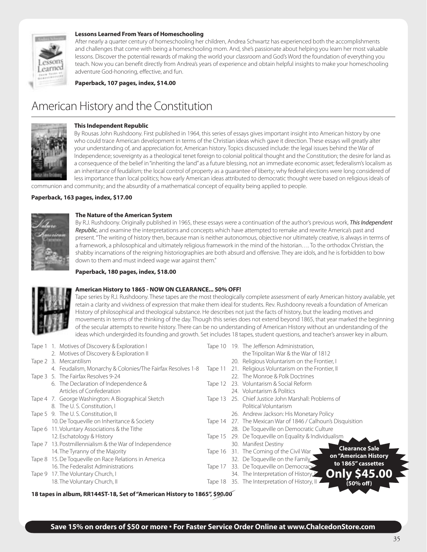

#### **Lessons Learned From Years of Homeschooling**

After nearly a quarter century of homeschooling her children, Andrea Schwartz has experienced both the accomplishments and challenges that come with being a homeschooling mom. And, she's passionate about helping you learn her most valuable lessons. Discover the potential rewards of making the world your classroom and God's Word the foundation of everything you teach. Now you can benefit directly from Andrea's years of experience and obtain helpful insights to make your homeschooling adventure God-honoring, effective, and fun.

**Paperback, 107 pages, index, \$14.00**

## American History and the Constitution



#### **This Independent Republic**

By Rousas John Rushdoony. First published in 1964, this series of essays gives important insight into American history by one who could trace American development in terms of the Christian ideas which gave it direction. These essays will greatly alter your understanding of, and appreciation for, American history. Topics discussed include: the legal issues behind the War of Independence; sovereignty as a theological tenet foreign to colonial political thought and the Constitution; the desire for land as a consequence of the belief in "inheriting the land" as a future blessing, not an immediate economic asset; federalism's localism as an inheritance of feudalism; the local control of property as a guarantee of liberty; why federal elections were long considered of less importance than local politics; how early American ideas attributed to democratic thought were based on religious ideals of

communion and community; and the absurdity of a mathematical concept of equality being applied to people.

#### **Paperback, 163 pages, index, \$17.00**



#### **The Nature of the American System**

By R.J. Rushdoony. Originally published in 1965, these essays were a continuation of the author's previous work, *This Independent Republic*, and examine the interpretations and concepts which have attempted to remake and rewrite America's past and present. "The writing of history then, because man is neither autonomous, objective nor ultimately creative, is always in terms of a framework, a philosophical and ultimately religious framework in the mind of the historian…. To the orthodox Christian, the shabby incarnations of the reigning historiographies are both absurd and offensive. They are idols, and he is forbidden to bow down to them and must indeed wage war against them."

#### **Paperback, 180 pages, index, \$18.00**



#### **American History to 1865 - NOW ON CLEARANCE... 50% OFF!**

Tape series by R.J. Rushdoony. These tapes are the most theologically complete assessment of early American history available, yet retain a clarity and vividness of expression that make them ideal for students. Rev. Rushdoony reveals a foundation of American History of philosophical and theological substance. He describes not just the facts of history, but the leading motives and movements in terms of the thinking of the day. Though this series does not extend beyond 1865, that year marked the beginning of the secular attempts to rewrite history. There can be no understanding of American History without an understanding of the ideas which undergirded its founding and growth. Set includes 18 tapes, student questions, and teacher's answer key in album.

|        | Tape 1 1. Motives of Discovery & Exploration I             |         | Tape 10 19. The Jefferson Administration,                 |
|--------|------------------------------------------------------------|---------|-----------------------------------------------------------|
|        | 2. Motives of Discovery & Exploration II                   |         | the Tripolitan War & the War of 1812                      |
|        | Tape 2 3. Mercantilism                                     |         | 20. Religious Voluntarism on the Frontier, I              |
|        | 4. Feudalism, Monarchy & Colonies/The Fairfax Resolves 1-8 | Tape 11 | 21. Religious Voluntarism on the Frontier, II             |
|        | Tape 3 5. The Fairfax Resolves 9-24                        |         | 22. The Monroe & Polk Doctrines                           |
|        | 6. The Declaration of Independence &                       | Tape 12 | 23. Voluntarism & Social Reform                           |
|        | Articles of Confederation                                  |         | 24. Voluntarism & Politics                                |
|        | Tape 4 7. George Washington: A Biographical Sketch         | Tape 13 | 25. Chief Justice John Marshall: Problems of              |
|        | 8. The U.S. Constitution, I                                |         | Political Voluntarism                                     |
|        | Tape 5 9. The U.S. Constitution, II                        |         | 26. Andrew Jackson: His Monetary Policy                   |
|        | 10. De Toqueville on Inheritance & Society                 | Tape 14 | 27. The Mexican War of 1846 / Calhoun's Disquisition      |
| lape 6 | 11. Voluntary Associations & the Tithe                     |         | 28. De Toqueville on Democratic Culture                   |
|        | 12. Eschatology & History                                  | Tape 15 | 29. De Toqueville on Equality & Individualism             |
| lape 7 | 13. Postmillennialism & the War of Independence            |         | 30. Manifest Destiny                                      |
|        | 14. The Tyranny of the Majority                            | Tape 16 | <b>Clearance Sale</b><br>31. The Coming of the Civil War  |
| Tape 8 | 15. De Toqueville on Race Relations in America             |         | on "American History<br>32. De Toqueville on the Family   |
|        | 16. The Federalist Administrations                         | lape 17 | to 1865" cassettes<br>33. De Toqueville on Democracy      |
|        | Tape 9 17. The Voluntary Church, I                         |         | <b>Only \$45.00</b><br>34. The Interpretation of History, |
|        | 18. The Voluntary Church, II                               | lape 18 | 35. The Interpretation of History, II<br>(50% off)        |
|        |                                                            |         |                                                           |

**18 tapes in album, RR144ST-18, Set of "American History to 1865", \$90.00**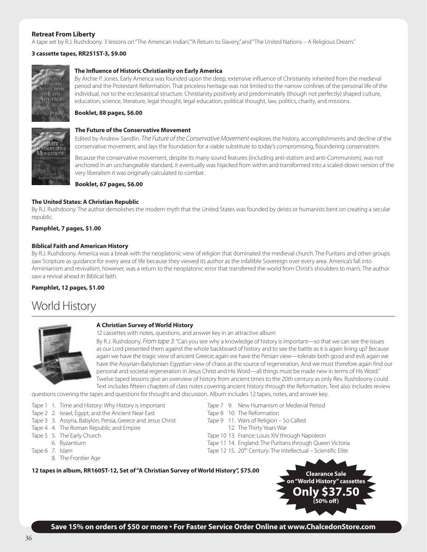#### **Retreat From Liberty**

A tape set by R.J. Rushdoony. 3 lessons on "The American Indian," "A Return to Slavery," and "The United Nations – A Religious Dream."

#### **3 cassette tapes, RR251ST-3, \$9.00**



#### **The Influence of Historic Christianity on Early America**

By Archie P. Jones. Early America was founded upon the deep, extensive influence of Christianity inherited from the medieval period and the Protestant Reformation. That priceless heritage was not limited to the narrow confines of the personal life of the individual, nor to the ecclesiastical structure. Christianity positively and predominately (though not perfectly) shaped culture, education, science, literature, legal thought, legal education, political thought, law, politics, charity, and missions.

#### **Booklet, 88 pages, \$6.00**



#### **The Future of the Conservative Movement**

Edited by Andrew Sandlin. *The Future of the Conservative Movement* explores the history, accomplishments and decline of the conservative movement, and lays the foundation for a viable substitute to today's compromising, floundering conservatism.

Because the conservative movement, despite its many sound features (including anti-statism and anti-Communism), was not anchored in an unchangeable standard, it eventually was hijacked from within and transformed into a scaled-down version of the very liberalism it was originally calculated to combat.

**Booklet, 67 pages, \$6.00**

#### **The United States: A Christian Republic**

By R.J. Rushdoony. The author demolishes the modern myth that the United States was founded by deists or humanists bent on creating a secular republic.

#### **Pamphlet, 7 pages, \$1.00**

#### **Biblical Faith and American History**

By R.J. Rushdoony. America was a break with the neoplatonic view of religion that dominated the medieval church. The Puritans and other groups saw Scripture as guidance for every area of life because they viewed its author as the infallible Sovereign over every area. America's fall into Arminianism and revivalism, however, was a return to the neoplatonic error that transferred the world from Christ's shoulders to man's. The author saw a revival ahead in Biblical faith.

#### **Pamphlet, 12 pages, \$1.00**

## World History



#### **A Christian Survey of World History**

12 cassettes with notes, questions, and answer key in an attractive album

By R.J. Rushdoony. *From tape 3:* "Can you see why a knowledge of history is important—so that we can see the issues as our Lord presented them against the whole backboard of history and to see the battle as it is again lining up? Because again we have the tragic view of ancient Greece; again we have the Persian view—tolerate both good and evil; again we have the Assyrian-Babylonian-Egyptian view of chaos as the source of regeneration. And we must therefore again find our personal and societal regeneration in Jesus Christ and His Word—all things must be made new in terms of His Word." Twelve taped lessons give an overview of history from ancient times to the 20th century as only Rev. Rushdoony could. Text includes fifteen chapters of class notes covering ancient history through the Reformation. Text also includes review

questions covering the tapes and questions for thought and discussion. Album includes 12 tapes, notes, and answer key.

- Tape 1 1. Time and History: Why History is Important Tape 7 9. New Humanism or Medieval Period
- Tape 2 2. Israel, Egypt, and the Ancient Near East Tape 8 10. The Reformation
- Tape 3 3. Assyria, Babylon, Persia, Greece and Jesus Christ Tape 9 11. Wars of Religion So Called
- Tape 4 4. The Roman Republic and Empire 12. The Thirty Years War
- 
- 
- - 8. The Frontier Age
- 
- 
- -
- Tape 5 5. The Early Church Tape 10 13. France: Louis XIV through Napoleon
	- 6. Byzantium Tape 11 14. England: The Puritans through Queen Victoria
- Tape 6 7. Islam Tape 12 15. 20<sup>th</sup> Century: The Intellectual Scientific Elite

**12 tapes in album, RR160ST-12, Set of "A Christian Survey of World History", \$75.00 Clearance Sale**



**Save 15% on orders of \$50 or more • For Faster Service Order Online at www.ChalcedonStore.com**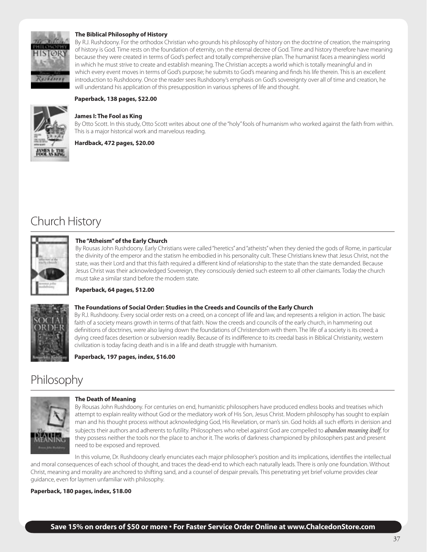

#### **The Biblical Philosophy of History**

By R.J. Rushdoony. For the orthodox Christian who grounds his philosophy of history on the doctrine of creation, the mainspring of history is God. Time rests on the foundation of eternity, on the eternal decree of God. Time and history therefore have meaning because they were created in terms of God's perfect and totally comprehensive plan. The humanist faces a meaningless world in which he must strive to create and establish meaning. The Christian accepts a world which is totally meaningful and in which every event moves in terms of God's purpose; he submits to God's meaning and finds his life therein. This is an excellent introduction to Rushdoony. Once the reader sees Rushdoony's emphasis on God's sovereignty over all of time and creation, he will understand his application of this presupposition in various spheres of life and thought.

#### **Paperback, 138 pages, \$22.00**



#### **James I: The Fool as King**

By Otto Scott. In this study, Otto Scott writes about one of the "holy" fools of humanism who worked against the faith from within. This is a major historical work and marvelous reading.

#### **Hardback, 472 pages, \$20.00**

# Church History



#### **The "Atheism" of the Early Church**

By Rousas John Rushdoony. Early Christians were called "heretics" and "atheists" when they denied the gods of Rome, in particular the divinity of the emperor and the statism he embodied in his personality cult. These Christians knew that Jesus Christ, not the state, was their Lord and that this faith required a different kind of relationship to the state than the state demanded. Because Jesus Christ was their acknowledged Sovereign, they consciously denied such esteem to all other claimants. Today the church must take a similar stand before the modern state.

#### **Paperback, 64 pages, \$12.00**

#### **The Foundations of Social Order: Studies in the Creeds and Councils of the Early Church**

By R.J. Rushdoony. Every social order rests on a creed, on a concept of life and law, and represents a religion in action. The basic faith of a society means growth in terms of that faith. Now the creeds and councils of the early church, in hammering out definitions of doctrines, were also laying down the foundations of Christendom with them. The life of a society is its creed; a dying creed faces desertion or subversion readily. Because of its indifference to its creedal basis in Biblical Christianity, western civilization is today facing death and is in a life and death struggle with humanism.

#### **Paperback, 197 pages, index, \$16.00**

## Philosophy



#### **The Death of Meaning**

By Rousas John Rushdoony. For centuries on end, humanistic philosophers have produced endless books and treatises which attempt to explain reality without God or the mediatory work of His Son, Jesus Christ. Modern philosophy has sought to explain man and his thought process without acknowledging God, His Revelation, or man's sin. God holds all such efforts in derision and subjects their authors and adherents to futility. Philosophers who rebel against God are compelled to *abandon meaning itself*, for they possess neither the tools nor the place to anchor it. The works of darkness championed by philosophers past and present need to be exposed and reproved.

In this volume, Dr. Rushdoony clearly enunciates each major philosopher's position and its implications, identifies the intellectual and moral consequences of each school of thought, and traces the dead-end to which each naturally leads. There is only one foundation. Without Christ, meaning and morality are anchored to shifting sand, and a counsel of despair prevails. This penetrating yet brief volume provides clear guidance, even for laymen unfamiliar with philosophy.

#### **Paperback, 180 pages, index, \$18.00**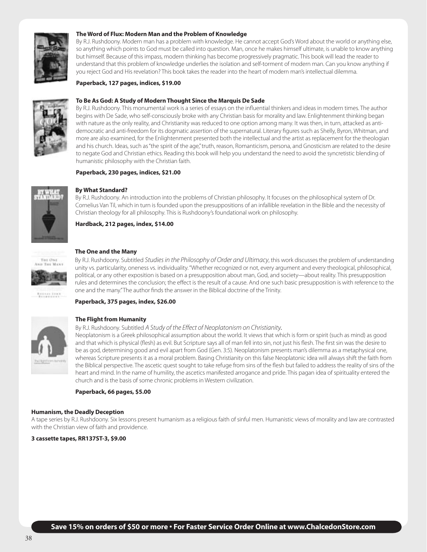

#### **The Word of Flux: Modern Man and the Problem of Knowledge**

By R.J. Rushdoony. Modern man has a problem with knowledge. He cannot accept God's Word about the world or anything else, so anything which points to God must be called into question. Man, once he makes himself ultimate, is unable to know anything but himself. Because of this impass, modern thinking has become progressively pragmatic. This book will lead the reader to understand that this problem of knowledge underlies the isolation and self-torment of modern man. Can you know anything if you reject God and His revelation? This book takes the reader into the heart of modern man's intellectual dilemma.

#### **Paperback, 127 pages, indices, \$19.00**



#### **To Be As God: A Study of Modern Thought Since the Marquis De Sade**

By R.J. Rushdoony. This monumental work is a series of essays on the influential thinkers and ideas in modern times. The author begins with De Sade, who self-consciously broke with any Christian basis for morality and law. Enlightenment thinking began with nature as the only reality, and Christianity was reduced to one option among many. It was then, in turn, attacked as antidemocratic and anti-freedom for its dogmatic assertion of the supernatural. Literary figures such as Shelly, Byron, Whitman, and more are also examined, for the Enlightenment presented both the intellectual and the artist as replacement for the theologian and his church. Ideas, such as "the spirit of the age," truth, reason, Romanticism, persona, and Gnosticism are related to the desire to negate God and Christian ethics. Reading this book will help you understand the need to avoid the syncretistic blending of humanistic philosophy with the Christian faith.

#### **Paperback, 230 pages, indices, \$21.00**



#### **By What Standard?**

By R.J. Rushdoony. An introduction into the problems of Christian philosophy. It focuses on the philosophical system of Dr. Cornelius Van Til, which in turn is founded upon the presuppositions of an infallible revelation in the Bible and the necessity of Christian theology for all philosophy. This is Rushdoony's foundational work on philosophy.

**Hardback, 212 pages, index, \$14.00**



#### **The One and the Many**

By R.J. Rushdoony. Subtitled *Studies in the Philosophy of Order and Ultimacy*, this work discusses the problem of understanding unity vs. particularity, oneness vs. individuality. "Whether recognized or not, every argument and every theological, philosophical, political, or any other exposition is based on a presupposition about man, God, and society—about reality. This presupposition rules and determines the conclusion; the effect is the result of a cause. And one such basic presupposition is with reference to the one and the many." The author finds the answer in the Biblical doctrine of the Trinity.

#### **Paperback, 375 pages, index, \$26.00**



#### **The Flight from Humanity**

#### By R.J. Rushdoony. Subtitled *A Study of the Effect of Neoplatonism on Christianity.*

Neoplatonism is a Greek philosophical assumption about the world. It views that which is form or spirit (such as mind) as good and that which is physical (flesh) as evil. But Scripture says all of man fell into sin, not just his flesh. The first sin was the desire to be as god, determining good and evil apart from God (Gen. 3:5). Neoplatonism presents man's dilemma as a metaphysical one, whereas Scripture presents it as a moral problem. Basing Christianity on this false Neoplatonic idea will always shift the faith from the Biblical perspective. The ascetic quest sought to take refuge from sins of the flesh but failed to address the reality of sins of the heart and mind. In the name of humility, the ascetics manifested arrogance and pride. This pagan idea of spirituality entered the church and is the basis of some chronic problems in Western civilization.

#### **Paperback, 66 pages, \$5.00**

#### **Humanism, the Deadly Deception**

A tape series by R.J. Rushdoony. Six lessons present humanism as a religious faith of sinful men. Humanistic views of morality and law are contrasted with the Christian view of faith and providence.

**3 cassette tapes, RR137ST-3, \$9.00**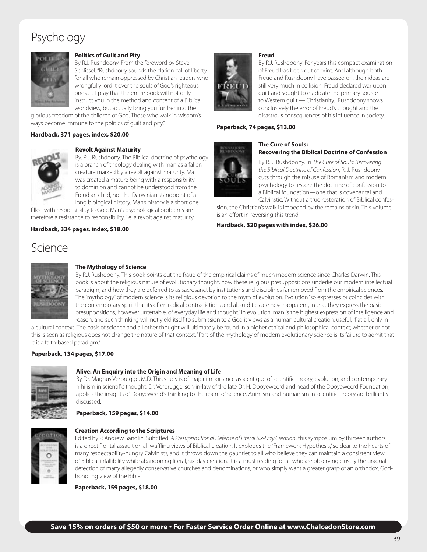## Psychology



#### **Politics of Guilt and Pity**

By R.J. Rushdoony. From the foreword by Steve Schlissel*:* "Rushdoony sounds the clarion call of liberty for all who remain oppressed by Christian leaders who wrongfully lord it over the souls of God's righteous ones.… I pray that the entire book will not only instruct you in the method and content of a Biblical worldview, but actually bring you further into the

glorious freedom of the children of God. Those who walk in wisdom's ways become immune to the politics of guilt and pity."

#### **Hardback, 371 pages, index, \$20.00**



#### **Revolt Against Maturity**

By. R.J. Rushdoony. The Biblical doctrine of psychology is a branch of theology dealing with man as a fallen creature marked by a revolt against maturity. Man was created a mature being with a responsibility to dominion and cannot be understood from the Freudian child, nor the Darwinian standpoint of a long biological history. Man's history is a short one

filled with responsibility to God. Man's psychological problems are therefore a resistance to responsibility, i.e. a revolt against maturity.

#### **Hardback, 334 pages, index, \$18.00**



By R.J. Rushdoony. For years this compact examination of Freud has been out of print. And although both Freud and Rushdoony have passed on, their ideas are still very much in collision. Freud declared war upon guilt and sought to eradicate the primary source to Western guilt — Christianity. Rushdoony shows conclusively the error of Freud's thought and the disastrous consequences of his influence in society.

#### **Paperback, 74 pages, \$13.00**



#### **The Cure of Souls: Recovering the Biblical Doctrine of Confession**

By R. J. Rushdoony. In *The Cure of Souls: Recovering the Biblical Doctrine of Confession*, R. J. Rushdoony cuts through the misuse of Romanism and modern psychology to restore the doctrine of confession to a Biblical foundation—one that is covenantal and Calvinstic. Without a true restoration of Biblical confes-

sion, the Christian's walk is impeded by the remains of sin. This volume is an effort in reversing this trend.

**Hardback, 320 pages with index, \$26.00**

## Science



#### **The Mythology of Science**

By R.J. Rushdoony. This book points out the fraud of the empirical claims of much modern science since Charles Darwin. This book is about the religious nature of evolutionary thought, how these religious presuppositions underlie our modern intellectual paradigm, and how they are deferred to as sacrosanct by institutions and disciplines far removed from the empirical sciences. The "mythology" of modern science is its religious devotion to the myth of evolution. Evolution "so expresses or coincides with the contemporary spirit that its often radical contradictions and absurdities are never apparent, in that they express the basic presuppositions, however untenable, of everyday life and thought." In evolution, man is the highest expression of intelligence and reason, and such thinking will not yield itself to submission to a God it views as a human cultural creation, useful, if at all, only in

a cultural context. The basis of science and all other thought will ultimately be found in a higher ethical and philosophical context; whether or not this is seen as religious does not change the nature of that context. "Part of the mythology of modern evolutionary science is its failure to admit that it is a faith-based paradigm."

#### **Paperback, 134 pages, \$17.00**



#### **Alive: An Enquiry into the Origin and Meaning of Life**

By Dr. Magnus Verbrugge, M.D. This study is of major importance as a critique of scientific theory, evolution, and contemporary nihilism in scientific thought. Dr. Verbrugge, son-in-law of the late Dr. H. Dooyeweerd and head of the Dooyeweerd Foundation, applies the insights of Dooyeweerd's thinking to the realm of science. Animism and humanism in scientific theory are brilliantly discussed.

#### **Paperback, 159 pages, \$14.00**

#### **Creation According to the Scriptures**

Edited by P. Andrew Sandlin. Subtitled: *A Presuppositional Defense of Literal Six-Day Creation*, this symposium by thirteen authors is a direct frontal assault on all waffling views of Biblical creation. It explodes the "Framework Hypothesis," so dear to the hearts of many respectability-hungry Calvinists, and it throws down the gauntlet to all who believe they can maintain a consistent view of Biblical infallibility while abandoning literal, six-day creation. It is a must reading for all who are observing closely the gradual defection of many allegedly conservative churches and denominations, or who simply want a greater grasp of an orthodox, Godhonoring view of the Bible.

**Paperback, 159 pages, \$18.00**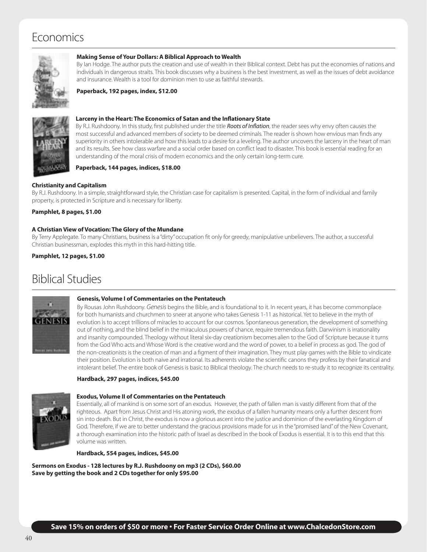## Economics



#### **Making Sense of Your Dollars: A Biblical Approach to Wealth**

By Ian Hodge. The author puts the creation and use of wealth in their Biblical context. Debt has put the economies of nations and individuals in dangerous straits. This book discusses why a business is the best investment, as well as the issues of debt avoidance and insurance. Wealth is a tool for dominion men to use as faithful stewards.

**Paperback, 192 pages, index, \$12.00**



#### **Larceny in the Heart: The Economics of Satan and the Inflationary State**

By R.J. Rushdoony. In this study, first published under the title *Roots of Inflation*, the reader sees why envy often causes the most successful and advanced members of society to be deemed criminals. The reader is shown how envious man finds any superiority in others intolerable and how this leads to a desire for a leveling. The author uncovers the larceny in the heart of man and its results. See how class warfare and a social order based on conflict lead to disaster. This book is essential reading for an understanding of the moral crisis of modern economics and the only certain long-term cure.

#### **Paperback, 144 pages, indices, \$18.00**

#### **Christianity and Capitalism**

By R.J. Rushdoony. In a simple, straightforward style, the Christian case for capitalism is presented. Capital, in the form of individual and family property, is protected in Scripture and is necessary for liberty.

**Pamphlet, 8 pages, \$1.00**

#### **A Christian View of Vocation: The Glory of the Mundane**

By Terry Applegate. To many Christians, business is a "dirty" occupation fit only for greedy, manipulative unbelievers. The author, a successful Christian businessman, explodes this myth in this hard-hitting title.

**Pamphlet, 12 pages, \$1.00**

## Biblical Studies



#### **Genesis, Volume I of Commentaries on the Pentateuch**

By Rousas John Rushdoony. *Genesis* begins the Bible, and is foundational to it. In recent years, it has become commonplace for both humanists and churchmen to sneer at anyone who takes Genesis 1-11 as historical. Yet to believe in the myth of evolution is to accept trillions of miracles to account for our cosmos. Spontaneous generation, the development of something out of nothing, and the blind belief in the miraculous powers of chance, require tremendous faith. Darwinism is irrationality and insanity compounded. Theology without literal six-day creationism becomes alien to the God of Scripture because it turns from the God Who acts and Whose Word is the creative word and the word of power, to a belief in process as god. The god of the non-creationists is the creation of man and a figment of their imagination. They must play games with the Bible to vindicate their position. Evolution is both naive and irrational. Its adherents violate the scientific canons they profess by their fanatical and intolerant belief. The entire book of Genesis is basic to Biblical theology. The church needs to re-study it to recognize its centrality.

#### **Hardback, 297 pages, indices, \$45.00**



#### **Exodus, Volume II of Commentaries on the Pentateuch**

Essentially, all of mankind is on some sort of an exodus. However, the path of fallen man is vastly different from that of the righteous. Apart from Jesus Christ and His atoning work, the exodus of a fallen humanity means only a further descent from sin into death. But in Christ, the exodus is now a glorious ascent into the justice and dominion of the everlasting Kingdom of God. Therefore, if we are to better understand the gracious provisions made for us in the "promised land" of the New Covenant, a thorough examination into the historic path of Israel as described in the book of Exodus is essential. It is to this end that this volume was written.

**Hardback, 554 pages, indices, \$45.00**

**Sermons on Exodus - 128 lectures by R.J. Rushdoony on mp3 (2 CDs), \$60.00 Save by getting the book and 2 CDs together for only \$95.00**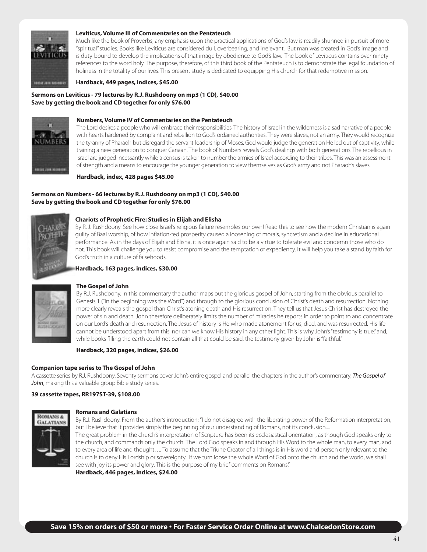

#### **Leviticus, Volume III of Commentaries on the Pentateuch**

Much like the book of Proverbs, any emphasis upon the practical applications of God's law is readily shunned in pursuit of more "spiritual" studies. Books like Leviticus are considered dull, overbearing, and irrelevant. But man was created in God's image and is duty-bound to develop the implications of that image by obedience to God's law. The book of Leviticus contains over ninety references to the word holy. The purpose, therefore, of this third book of the Pentateuch is to demonstrate the legal foundation of holiness in the totality of our lives. This present study is dedicated to equipping His church for that redemptive mission.

**Hardback, 449 pages, indices, \$45.00**

#### **Sermons on Leviticus - 79 lectures by R.J. Rushdoony on mp3 (1 CD), \$40.00 Save by getting the book and CD together for only \$76.00**



#### **Numbers, Volume IV of Commentaries on the Pentateuch**

The Lord desires a people who will embrace their responsibilities. The history of Israel in the wilderness is a sad narrative of a people with hearts hardened by complaint and rebellion to God's ordained authorities. They were slaves, not an army. They would recognize the tyranny of Pharaoh but disregard the servant-leadership of Moses. God would judge the generation He led out of captivity, while training a new generation to conquer Canaan. The book of Numbers reveals God's dealings with both generations. The rebellious in Israel are judged incessantly while a census is taken to number the armies of Israel according to their tribes. This was an assessment of strength and a means to encourage the younger generation to view themselves as God's army and not Pharaoh's slaves.

#### **Hardback, index, 428 pages \$45.00**

#### **Sermons on Numbers - 66 lectures by R.J. Rushdoony on mp3 (1 CD), \$40.00 Save by getting the book and CD together for only \$76.00**



#### **Chariots of Prophetic Fire: Studies in Elijah and Elisha**

By R. J. Rushdoony. See how close Israel's religious failure resembles our own! Read this to see how the modern Christian is again guilty of Baal worship, of how inflation-fed prosperity caused a loosening of morals, syncretism and a decline in educational performance. As in the days of Elijah and Elisha, it is once again said to be a virtue to tolerate evil and condemn those who do not. This book will challenge you to resist compromise and the temptation of expediency. It will help you take a stand by faith for God's truth in a culture of falsehoods.

#### **Hardback, 163 pages, indices, \$30.00**



#### **The Gospel of John**

By R.J. Rushdoony. In this commentary the author maps out the glorious gospel of John, starting from the obvious parallel to Genesis 1 ("In the beginning was the Word") and through to the glorious conclusion of Christ's death and resurrection. Nothing more clearly reveals the gospel than Christ's atoning death and His resurrection. They tell us that Jesus Christ has destroyed the power of sin and death. John therefore deliberately limits the number of miracles he reports in order to point to and concentrate on our Lord's death and resurrection. The Jesus of history is He who made atonement for us, died, and was resurrected. His life cannot be understood apart from this, nor can we know His history in any other light. This is why John's "testimony is true," and, while books filling the earth could not contain all that could be said, the testimony given by John is "faithful."

#### **Hardback, 320 pages, indices, \$26.00**

#### **Companion tape series to The Gospel of John**

A cassette series by R.J. Rushdoony. Seventy sermons cover John's entire gospel and parallel the chapters in the author's commentary, *The Gospel of John*, making this a valuable group Bible study series.

#### **39 cassette tapes, RR197ST-39, \$108.00**



#### **Romans and Galatians**

By R.J. Rushdoony. From the author's introduction: "I do not disagree with the liberating power of the Reformation interpretation, but I believe that it provides simply the beginning of our understanding of Romans, not its conclusion.... The great problem in the church's interpretation of Scripture has been its ecclesiastical orientation, as though God speaks only to the church, and commands only the church. The Lord God speaks in and through His Word to the whole man, to every man, and to every area of life and thought…. To assume that the Triune Creator of all things is in His word and person only relevant to the church is to deny His Lordship or sovereignty. If we turn loose the whole Word of God onto the church and the world, we shall see with joy its power and glory. This is the purpose of my brief comments on Romans."

**Hardback, 446 pages, indices, \$24.00**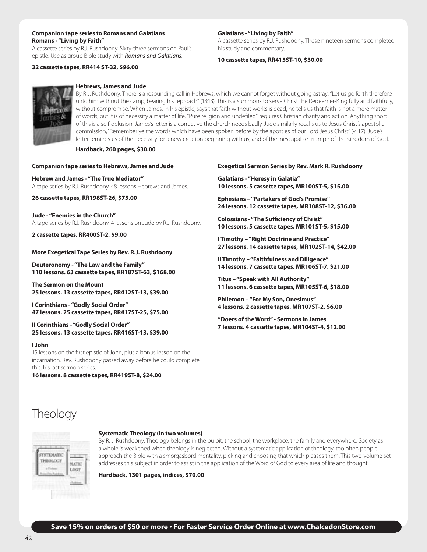#### **Companion tape series to Romans and Galatians Romans - "Living by Faith"**

A cassette series by R.J. Rushdoony. Sixty-three sermons on Paul's epistle. Use as group Bible study with *Romans and Galatians*.

#### **32 cassette tapes, RR414 ST-32, \$96.00**

#### **Galatians - "Living by Faith"**

A cassette series by R.J. Rushdoony. These nineteen sermons completed his study and commentary.

#### **10 cassette tapes, RR415ST-10, \$30.00**



#### **Hebrews, James and Jude**

By R.J. Rushdoony. There is a resounding call in Hebrews, which we cannot forget without going astray: "Let us go forth therefore unto him without the camp, bearing his reproach" (13:13). This is a summons to serve Christ the Redeemer-King fully and faithfully, without compromise. When James, in his epistle, says that faith without works is dead, he tells us that faith is not a mere matter of words, but it is of necessity a matter of life. "Pure religion and undefiled" requires Christian charity and action. Anything short of this is a self-delusion. James's letter is a corrective the church needs badly. Jude similarly recalls us to Jesus Christ's apostolic commission, "Remember ye the words which have been spoken before by the apostles of our Lord Jesus Christ" (v. 17). Jude's letter reminds us of the necessity for a new creation beginning with us, and of the inescapable triumph of the Kingdom of God.

#### **Hardback, 260 pages, \$30.00**

|  |  | <b>Companion tape series to Hebrews, James and Jude</b> |  |
|--|--|---------------------------------------------------------|--|
|  |  |                                                         |  |

**Hebrew and James - "The True Mediator"** A tape series by R.J. Rushdoony. 48 lessons Hebrews and James.

**26 cassette tapes, RR198ST-26, \$75.00**

**Jude - "Enemies in the Church"** A tape series by R.J. Rushdoony. 4 lessons on Jude by R.J. Rushdoony.

**2 cassette tapes, RR400ST-2, \$9.00**

#### **More Exegetical Tape Series by Rev. R.J. Rushdoony**

**Deuteronomy - "The Law and the Family" 110 lessons. 63 cassette tapes, RR187ST-63, \$168.00**

**The Sermon on the Mount 25 lessons. 13 cassette tapes, RR412ST-13, \$39.00**

**I Corinthians - "Godly Social Order" 47 lessons. 25 cassette tapes, RR417ST-25, \$75.00**

#### **II Corinthians - "Godly Social Order" 25 lessons. 13 cassette tapes, RR416ST-13, \$39.00**

#### **I John**

15 lessons on the first epistle of John, plus a bonus lesson on the incarnation. Rev. Rushdoony passed away before he could complete this, his last sermon series.

**16 lessons. 8 cassette tapes, RR419ST-8, \$24.00**

#### **Exegetical Sermon Series by Rev. Mark R. Rushdoony**

**Galatians - "Heresy in Galatia" 10 lessons. 5 cassette tapes, MR100ST-5, \$15.00**

**Ephesians – "Partakers of God's Promise" 24 lessons. 12 cassette tapes, MR108ST-12, \$36.00**

**Colossians - "The Sufficiency of Christ" 10 lessons. 5 cassette tapes, MR101ST-5, \$15.00**

**I Timothy – "Right Doctrine and Practice" 27 lessons. 14 cassette tapes, MR102ST-14, \$42.00**

**II Timothy – "Faithfulness and Diligence" 14 lessons. 7 cassette tapes, MR106ST-7, \$21.00**

**Titus – "Speak with All Authority" 11 lessons. 6 cassette tapes, MR105ST-6, \$18.00**

**Philemon – "For My Son, Onesimus" 4 lessons. 2 cassette tapes, MR107ST-2, \$6.00**

**"Doers of the Word" - Sermons in James 7 lessons. 4 cassette tapes, MR104ST-4, \$12.00**

## **Theology**



#### **Systematic Theology (in two volumes)**

By R. J. Rushdoony. Theology belongs in the pulpit, the school, the workplace, the family and everywhere. Society as a whole is weakened when theology is neglected. Without a systematic application of theology, too often people approach the Bible with a smorgasbord mentality, picking and choosing that which pleases them. This two-volume set addresses this subject in order to assist in the application of the Word of God to every area of life and thought.

**Hardback, 1301 pages, indices, \$70.00**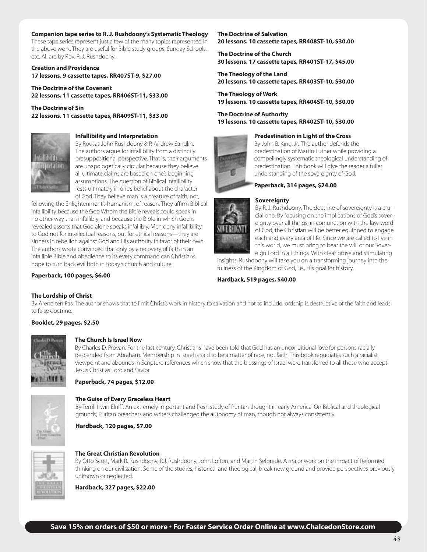#### **Companion tape series to R. J. Rushdoony's Systematic Theology**

These tape series represent just a few of the many topics represented in the above work. They are useful for Bible study groups, Sunday Schools, etc. All are by Rev. R. J. Rushdoony.

**Creation and Providence 17 lessons. 9 cassette tapes, RR407ST-9, \$27.00**

**The Doctrine of the Covenant 22 lessons. 11 cassette tapes, RR406ST-11, \$33.00**

**The Doctrine of Sin 22 lessons. 11 cassette tapes, RR409ST-11, \$33.00**



#### **Infallibility and Interpretation**

By Rousas John Rushdoony & P. Andrew Sandlin. The authors argue for infallibility from a distinctly presuppositional perspective. That is, their arguments are unapologetically circular because they believe all ultimate claims are based on one's beginning assumptions. The question of Biblical infallibility rests ultimately in one's belief about the character of God. They believe man is a creature of faith, not,

following the Enlightenment's humanism, of reason. They affirm Biblical infallibility because the God Whom the Bible reveals could speak in no other way than infallibly, and because the Bible in which God is revealed asserts that God alone speaks infallibly. Men deny infallibility to God not for intellectual reasons, but for ethical reasons—they are sinners in rebellion against God and His authority in favor of their own. The authors wrote convinced that only by a recovery of faith in an infallible Bible and obedience to its every command can Christians hope to turn back evil both in today's church and culture.

#### **Paperback, 100 pages, \$6.00**

**The Doctrine of Salvation 20 lessons. 10 cassette tapes, RR408ST-10, \$30.00**

**The Doctrine of the Church 30 lessons. 17 cassette tapes, RR401ST-17, \$45.00**

**The Theology of the Land 20 lessons. 10 cassette tapes, RR403ST-10, \$30.00**

**The Theology of Work 19 lessons. 10 cassette tapes, RR404ST-10, \$30.00**

**The Doctrine of Authority 19 lessons. 10 cassette tapes, RR402ST-10, \$30.00**

#### **Predestination in Light of the Cross**



By John B. King, Jr. The author defends the predestination of Martin Luther while providing a compellingly systematic theological understanding of predestination. This book will give the reader a fuller understanding of the sovereignty of God.



#### **Sovereignty**



By R. J. Rushdoony. The doctrine of sovereignty is a crucial one. By focusing on the implications of God's sovereignty over all things, in conjunction with the law-word of God, the Christian will be better equipped to engage each and every area of life. Since we are called to live in this world, we must bring to bear the will of our Sovereign Lord in all things. With clear prose and stimulating

insights, Rushdoony will take you on a transforming journey into the fullness of the Kingdom of God, i.e., His goal for history.

**Hardback, 519 pages, \$40.00**

#### **The Lordship of Christ**

By Arend ten Pas. The author shows that to limit Christ's work in history to salvation and not to include lordship is destructive of the faith and leads to false doctrine.

#### **Booklet, 29 pages, \$2.50**



#### **The Church Is Israel Now**

By Charles D. Provan. For the last century, Christians have been told that God has an unconditional love for persons racially descended from Abraham. Membership in Israel is said to be a matter of race, not faith. This book repudiates such a racialist viewpoint and abounds in Scripture references which show that the blessings of Israel were transferred to all those who accept Jesus Christ as Lord and Savior.

**Paperback, 74 pages, \$12.00**



#### **The Guise of Every Graceless Heart**

By Terrill Irwin Elniff. An extremely important and fresh study of Puritan thought in early America. On Biblical and theological grounds, Puritan preachers and writers challenged the autonomy of man, though not always consistently.

**Hardback, 120 pages, \$7.00**



#### **The Great Christian Revolution**

By Otto Scott, Mark R. Rushdoony, R.J. Rushdoony, John Lofton, and Martin Selbrede. A major work on the impact of Reformed thinking on our civilization. Some of the studies, historical and theological, break new ground and provide perspectives previously unknown or neglected.

**Hardback, 327 pages, \$22.00**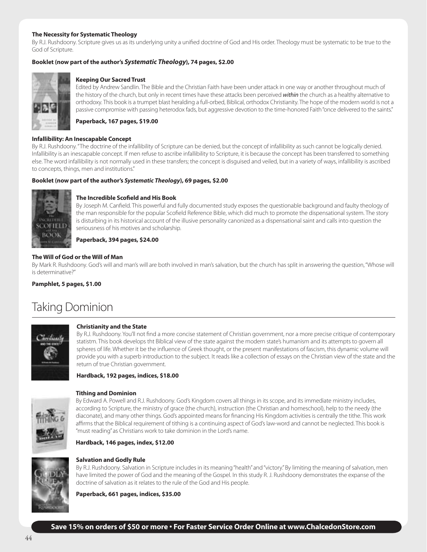#### **The Necessity for Systematic Theology**

By R.J. Rushdoony. Scripture gives us as its underlying unity a unified doctrine of God and His order. Theology must be systematic to be true to the God of Scripture.

#### **Booklet (now part of the author's** *Systematic Theology***), 74 pages, \$2.00**



#### **Keeping Our Sacred Trust**

Edited by Andrew Sandlin. The Bible and the Christian Faith have been under attack in one way or another throughout much of the history of the church, but only in recent times have these attacks been perceived *within* the church as a healthy alternative to orthodoxy. This book is a trumpet blast heralding a full-orbed, Biblical, orthodox Christianity. The hope of the modern world is not a passive compromise with passing heterodox fads, but aggressive devotion to the time-honored Faith "once delivered to the saints."

**Paperback, 167 pages, \$19.00**

#### **Infallibility: An Inescapable Concept**

By R.J. Rushdoony. "The doctrine of the infallibility of Scripture can be denied, but the concept of infallibility as such cannot be logically denied. Infallibility is an inescapable concept. If men refuse to ascribe infallibility to Scripture, it is because the concept has been transferred to something else. The word infallibility is not normally used in these transfers; the concept is disguised and veiled, but in a variety of ways, infallibility is ascribed to concepts, things, men and institutions."

#### **Booklet (now part of the author's** *Systematic Theology***), 69 pages, \$2.00**



#### **The Incredible Scofield and His Book**

By Joseph M. Canfield. This powerful and fully documented study exposes the questionable background and faulty theology of the man responsible for the popular Scofield Reference Bible, which did much to promote the dispensational system. The story is disturbing in its historical account of the illusive personality canonized as a dispensational saint and calls into question the seriousness of his motives and scholarship.

**Paperback, 394 pages, \$24.00**

#### **The Will of God or the Will of Man**

By Mark R. Rushdoony. God's will and man's will are both involved in man's salvation, but the church has split in answering the question, "Whose will is determinative?"

**Pamphlet, 5 pages, \$1.00**

## Taking Dominion



#### **Christianity and the State**

By R.J. Rushdoony. You'll not find a more concise statement of Christian government, nor a more precise critique of contemporary statistm. This book develops tht Biblical view of the state against the modern state's humanism and its attempts to govern all spheres of life. Whether it be the influence of Greek thought, or the present manifestations of fascism, this dynamic volume will provide you with a superb introduction to the subject. It reads like a collection of essays on the Christian view of the state and the return of true Christian government.

#### **Hardback, 192 pages, indices, \$18.00**



#### **Tithing and Dominion**

By Edward A. Powell and R.J. Rushdoony. God's Kingdom covers all things in its scope, and its immediate ministry includes, according to Scripture, the ministry of grace (the church), instruction (the Christian and homeschool), help to the needy (the diaconate), and many other things. God's appointed means for financing His Kingdom activities is centrally the tithe. This work affirms that the Biblical requirement of tithing is a continuing aspect of God's law-word and cannot be neglected. This book is "must reading" as Christians work to take dominion in the Lord's name.

#### **Hardback, 146 pages, index, \$12.00**



#### **Salvation and Godly Rule**

By R.J. Rushdoony. Salvation in Scripture includes in its meaning "health" and "victory." By limiting the meaning of salvation, men have limited the power of God and the meaning of the Gospel. In this study R. J. Rushdoony demonstrates the expanse of the doctrine of salvation as it relates to the rule of the God and His people.

**Paperback, 661 pages, indices, \$35.00**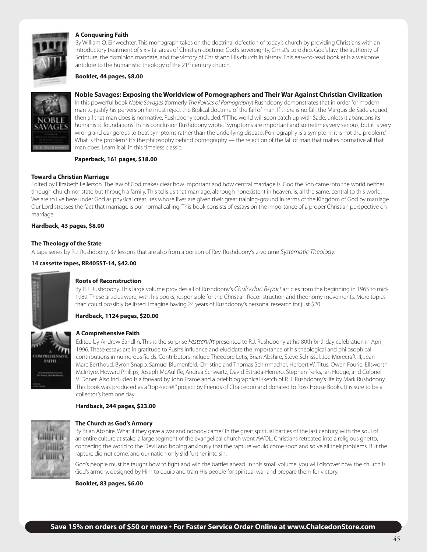

#### **A Conquering Faith**

By William O. Einwechter. This monograph takes on the doctrinal defection of today's church by providing Christians with an introductory treatment of six vital areas of Christian doctrine: God's sovereignty, Christ's Lordship, God's law, the authority of Scripture, the dominion mandate, and the victory of Christ and His church in history. This easy-to-read booklet is a welcome antidote to the humanistic theology of the 21<sup>st</sup> century church.

#### **Booklet, 44 pages, \$8.00**



#### **Noble Savages: Exposing the Worldview of Pornographers and Their War Against Christian Civilization**

In this powerful book *Noble Savages* (formerly *The Politics of Pornography*) Rushdoony demonstrates that in order for modern man to justify his perversion he must reject the Biblical doctrine of the fall of man. If there is no fall, the Marquis de Sade argued, then all that man does is normative. Rushdoony concluded, "[T]he world will soon catch up with Sade, unless it abandons its humanistic foundations." In his conclusion Rushdoony wrote, "Symptoms are important and sometimes very serious, but it is very wrong and dangerous to treat symptoms rather than the underlying disease. Pornography is a symptom; it is not the problem." What is the problem? It's the philosophy behind pornography — the rejection of the fall of man that makes normative all that man does. Learn it all in this timeless classic.

#### **Paperback, 161 pages, \$18.00**

#### **Toward a Christian Marriage**

Edited by Elizabeth Fellerson. The law of God makes clear how important and how central marriage is. God the Son came into the world neither through church nor state but through a family. This tells us that marriage, although nonexistent in heaven, is, all the same, central to this world. We are to live here under God as physical creatures whose lives are given their great training-ground in terms of the Kingdom of God by marriage. Our Lord stresses the fact that marriage is our normal calling. This book consists of essays on the importance of a proper Christian perspective on marriage.

#### **Hardback, 43 pages, \$8.00**

#### **The Theology of the State**

A tape series by R.J. Rushdoony. 37 lessons that are also from a portion of Rev. Rushdoony's 2-volume *Systematic Theology*.

#### **14 cassette tapes, RR405ST-14, \$42.00**



#### **Roots of Reconstruction**

By R.J. Rushdoony. This large volume provides all of Rushdoony's *Chalcedon Report* articles from the beginning in 1965 to mid-1989. These articles were, with his books, responsible for the Christian Reconstruction and theonomy movements. More topics than could possibly be listed. Imagine having 24 years of Rushdoony's personal research for just \$20.

#### **Hardback, 1124 pages, \$20.00**



#### **A Comprehensive Faith**

Edited by Andrew Sandlin. This is the surprise *Festschrift* presented to R.J. Rushdoony at his 80th birthday celebration in April, 1996. These essays are in gratitude to Rush's influence and elucidate the importance of his theological and philosophical contributions in numerous fields. Contributors include Theodore Letis, Brian Abshire, Steve Schlissel, Joe Morecraft III, Jean-Marc Berthoud, Byron Snapp, Samuel Blumenfeld, Christine and Thomas Schirrmacher, Herbert W. Titus, Owen Fourie, Ellsworth McIntyre, Howard Phillips, Joseph McAuliffe, Andrea Schwartz, David Estrada-Herrero, Stephen Perks, Ian Hodge, and Colonel V. Doner. Also included is a forward by John Frame and a brief biographical sketch of R. J. Rushdoony's life by Mark Rushdoony. This book was produced as a "top-secret" project by Friends of Chalcedon and donated to Ross House Books. It is sure to be a collector's item one day.

#### **Hardback, 244 pages, \$23.00**



#### **The Church as God's Armory**

By Brian Abshire. What if they gave a war and nobody came? In the great spiritual battles of the last century, with the soul of an entire culture at stake, a large segment of the evangelical church went AWOL. Christians retreated into a religious ghetto, conceding the world to the Devil and hoping anxiously that the rapture would come soon and solve all their problems. But the rapture did not come, and our nation only slid further into sin.

God's people must be taught how to fight and win the battles ahead. In this small volume, you will discover how the church is God's armory, designed by Him to equip and train His people for spiritual war and prepare them for victory.

**Booklet, 83 pages, \$6.00**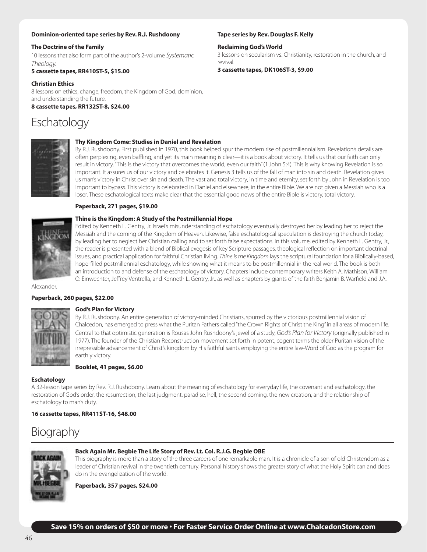#### **Dominion-oriented tape series by Rev. R.J. Rushdoony**

#### **The Doctrine of the Family**

10 lessons that also form part of the author's 2-volume *Systematic Theology*.

#### **5 cassette tapes, RR410ST-5, \$15.00**

#### **Christian Ethics**

8 lessons on ethics, change, freedom, the Kingdom of God, dominion, and understanding the future. **8 cassette tapes, RR132ST-8, \$24.00**

## Eschatology



#### **Thy Kingdom Come: Studies in Daniel and Revelation**

By R.J. Rushdoony. First published in 1970, this book helped spur the modern rise of postmillennialism. Revelation's details are often perplexing, even baffling, and yet its main meaning is clear—it is a book about victory. It tells us that our faith can only result in victory. "This is the victory that overcomes the world, even our faith" (1 John 5:4). This is why knowing Revelation is so important. It assures us of our victory and celebrates it. Genesis 3 tells us of the fall of man into sin and death. Revelation gives us man's victory in Christ over sin and death. The vast and total victory, in time and eternity, set forth by John in Revelation is too important to bypass. This victory is celebrated in Daniel and elsewhere, in the entire Bible. We are not given a Messiah who is a loser. These eschatological texts make clear that the essential good news of the entire Bible is victory, total victory.

#### **Paperback, 271 pages, \$19.00**

**Thine is the Kingdom: A Study of the Postmillennial Hope** Edited by Kenneth L. Gentry, Jr. Israel's misunderstanding of eschatology eventually destroyed her by leading her to reject the Messiah and the coming of the Kingdom of Heaven. Likewise, false eschatological speculation is destroying the church today, by leading her to neglect her Christian calling and to set forth false expectations. In this volume, edited by Kenneth L. Gentry, Jr., the reader is presented with a blend of Biblical exegesis of key Scripture passages, theological reflection on important doctrinal issues, and practical application for faithful Christian living. *Thine is the Kingdom* lays the scriptural foundation for a Biblically-based, hope-filled postmillennial eschatology, while showing what it means to be postmillennial in the real world. The book is both an introduction to and defense of the eschatology of victory. Chapters include contemporary writers Keith A. Mathison, William O. Einwechter, Jeffrey Ventrella, and Kenneth L. Gentry, Jr., as well as chapters by giants of the faith Benjamin B. Warfield and J.A.

Alexander.

#### **Paperback, 260 pages, \$22.00**



#### **God's Plan for Victory**

By R.J. Rushdoony. An entire generation of victory-minded Christians, spurred by the victorious postmillennial vision of Chalcedon, has emerged to press what the Puritan Fathers called "the Crown Rights of Christ the King" in all areas of modern life. Central to that optimistic generation is Rousas John Rushdoony's jewel of a study, *God's Plan for Victory* (originally published in 1977). The founder of the Christian Reconstruction movement set forth in potent, cogent terms the older Puritan vision of the irrepressible advancement of Christ's kingdom by His faithful saints employing the entire law-Word of God as the program for earthly victory.

#### **Booklet, 41 pages, \$6.00**

#### **Eschatology**

A 32-lesson tape series by Rev. R.J. Rushdoony. Learn about the meaning of eschatology for everyday life, the covenant and eschatology, the restoration of God's order, the resurrection, the last judgment, paradise, hell, the second coming, the new creation, and the relationship of eschatology to man's duty.

#### **16 cassette tapes, RR411ST-16, \$48.00**

## Biography



#### **Back Again Mr. Begbie The Life Story of Rev. Lt. Col. R.J.G. Begbie OBE**

This biography is more than a story of the three careers of one remarkable man. It is a chronicle of a son of old Christendom as a leader of Christian revival in the twentieth century. Personal history shows the greater story of what the Holy Spirit can and does do in the evangelization of the world.

**Paperback, 357 pages, \$24.00**

#### **Tape series by Rev. Douglas F. Kelly**

**Reclaiming God's World**

3 lessons on secularism vs. Christianity, restoration in the church, and revival.

**3 cassette tapes, DK106ST-3, \$9.00**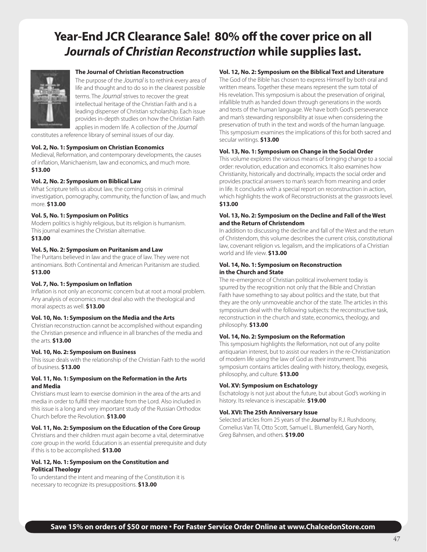## **Year-End JCR Clearance Sale! 80% off the cover price on all** *Journals of Christian Reconstruction* **while supplies last.**



#### **The Journal of Christian Reconstruction**

The purpose of the *Journal* is to rethink every area of life and thought and to do so in the clearest possible terms. The *Journal* strives to recover the great intellectual heritage of the Christian Faith and is a leading dispenser of Christian scholarship. Each issue provides in-depth studies on how the Christian Faith applies in modern life. A collection of the *Journal*

constitutes a reference library of seminal issues of our day.

#### **Vol. 2, No. 1: Symposium on Christian Economics**

Medieval, Reformation, and contemporary developments, the causes of inflation, Manichaenism, law and economics, and much more. **\$13.00**

#### **Vol. 2, No. 2: Symposium on Biblical Law**

What Scripture tells us about law, the coming crisis in criminal investigation, pornography, community, the function of law, and much more. **\$13.00**

#### **Vol. 5, No. 1: Symposium on Politics**

Modern politics is highly religious, but its religion is humanism. This journal examines the Christian alternative.

#### **\$13.00**

#### **Vol. 5, No. 2: Symposium on Puritanism and Law**

The Puritans believed in law and the grace of law. They were not antinomians. Both Continental and American Puritanism are studied. **\$13.00**

#### **Vol. 7, No. 1: Symposium on Inflation**

Inflation is not only an economic concern but at root a moral problem. Any analysis of economics must deal also with the theological and moral aspects as well. **\$13.00**

#### **Vol. 10, No. 1: Symposium on the Media and the Arts**

Christian reconstruction cannot be accomplished without expanding the Christian presence and influence in all branches of the media and the arts. **\$13.00**

#### **Vol. 10, No. 2: Symposium on Business**

This issue deals with the relationship of the Christian Faith to the world of business. **\$13.00**

#### **Vol. 11, No. 1: Symposium on the Reformation in the Arts and Media**

Christians must learn to exercise dominion in the area of the arts and media in order to fulfill their mandate from the Lord. Also included in this issue is a long and very important study of the Russian Orthodox Church before the Revolution. **\$13.00**

#### **Vol. 11, No. 2: Symposium on the Education of the Core Group**

Christians and their children must again become a vital, determinative core group in the world. Education is an essential prerequisite and duty if this is to be accomplished. **\$13.00**

#### **Vol. 12, No. 1: Symposium on the Constitution and Political Theology**

To understand the intent and meaning of the Constitution it is necessary to recognize its presuppositions. **\$13.00**

#### **Vol. 12, No. 2: Symposium on the Biblical Text and Literature**

The God of the Bible has chosen to express Himself by both oral and written means. Together these means represent the sum total of His revelation. This symposium is about the preservation of original, infallible truth as handed down through generations in the words and texts of the human language. We have both God's perseverance and man's stewarding responsibility at issue when considering the preservation of truth in the text and words of the human language. This symposium examines the implications of this for both sacred and secular writings. **\$13.00**

#### **Vol. 13, No. 1: Symposium on Change in the Social Order**

This volume explores the various means of bringing change to a social order: revolution, education and economics. It also examines how Christianity, historically and doctrinally, impacts the social order and provides practical answers to man's search from meaning and order in life. It concludes with a special report on reconstruction in action, which highlights the work of Reconstructionists at the grassroots level. **\$13.00**

#### **Vol. 13, No. 2: Symposium on the Decline and Fall of the West and the Return of Christendom**

In addition to discussing the decline and fall of the West and the return of Christendom, this volume describes the current crisis, constitutional law, covenant religion vs. legalism, and the implications of a Christian world and life view. **\$13.00**

#### **Vol. 14, No. 1: Symposium on Reconstruction in the Church and State**

The re-emergence of Christian political involvement today is spurred by the recognition not only that the Bible and Christian Faith have something to say about politics and the state, but that they are the only unmoveable anchor of the state. The articles in this symposium deal with the following subjects: the reconstructive task, reconstruction in the church and state, economics, theology, and philosophy. **\$13.00**

#### **Vol. 14, No. 2: Symposium on the Reformation**

This symposium highlights the Reformation, not out of any polite antiquarian interest, but to assist our readers in the re-Christianization of modern life using the law of God as their instrument. This symposium contains articles dealing with history, theology, exegesis, philosophy, and culture. **\$13.00**

#### **Vol. XV: Symposium on Eschatology**

Eschatology is not just about the future, but about God's working in history. Its relevance is inescapable. **\$19.00**

#### **Vol. XVI: The 25th Anniversary Issue**

Selected articles from 25 years of the *Journal* by R.J. Rushdoony, Cornelius Van Til, Otto Scott, Samuel L. Blumenfeld, Gary North, Greg Bahnsen, and others. **\$19.00**